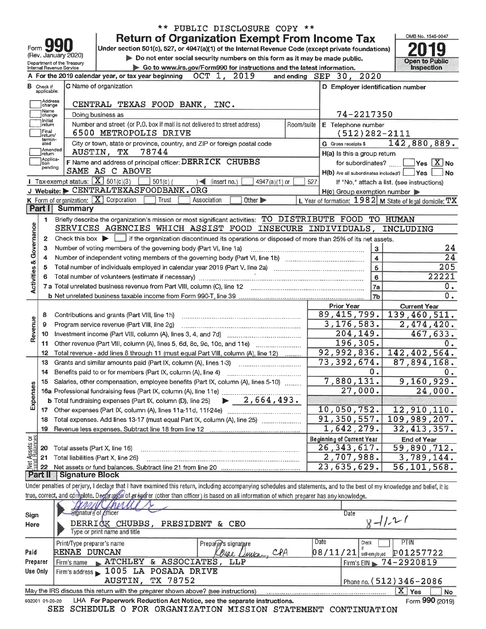|                                                                     |                             |                                                        | <b>Return of Organization Exempt From Income Tax</b>                                                                                                                                                                           |                                                                                                                     | OMB No. 1545-0047                          |  |
|---------------------------------------------------------------------|-----------------------------|--------------------------------------------------------|--------------------------------------------------------------------------------------------------------------------------------------------------------------------------------------------------------------------------------|---------------------------------------------------------------------------------------------------------------------|--------------------------------------------|--|
| Form                                                                |                             |                                                        | Under section 501(c), 527, or 4947(a)(1) of the Internal Revenue Code (except private foundations)                                                                                                                             |                                                                                                                     |                                            |  |
|                                                                     |                             | (Rev. January 2020)                                    | Do not enter social security numbers on this form as it may be made public.                                                                                                                                                    |                                                                                                                     | <b>Open to Public</b>                      |  |
|                                                                     |                             | Department of the Treasury<br>Internal Revenue Service | Go to www.irs.gov/Form990 for instructions and the latest information.                                                                                                                                                         |                                                                                                                     | <b>Inspection</b>                          |  |
|                                                                     |                             |                                                        | OCT 1, 2019<br>A For the 2019 calendar year, or tax year beginning                                                                                                                                                             | 2020<br>and ending $SEP$ 30,                                                                                        |                                            |  |
|                                                                     | <b>B</b> Check if           |                                                        | C Name of organization                                                                                                                                                                                                         | D Employer identification number                                                                                    |                                            |  |
|                                                                     | applicable:<br>Address      |                                                        |                                                                                                                                                                                                                                |                                                                                                                     |                                            |  |
|                                                                     | change                      |                                                        | CENTRAL TEXAS FOOD BANK, INC.                                                                                                                                                                                                  |                                                                                                                     |                                            |  |
|                                                                     | Name<br>change<br>Initial   |                                                        | Doing business as                                                                                                                                                                                                              | 74-2217350                                                                                                          |                                            |  |
|                                                                     | return                      |                                                        | Number and street (or P.O. box if mail is not delivered to street address)<br>Room/suite                                                                                                                                       | E Telephone number                                                                                                  |                                            |  |
|                                                                     | Final<br>return/<br>termin- |                                                        | 6500 METROPOLIS DRIVE                                                                                                                                                                                                          | $(512)$ 282-2111                                                                                                    |                                            |  |
|                                                                     | ated<br>Amended             |                                                        | City or town, state or province, country, and ZIP or foreign postal code                                                                                                                                                       | <b>G</b> Gross receipts \$                                                                                          | 142,880,889.                               |  |
|                                                                     | return<br>Applica-          |                                                        | AUSTIN, TX<br>78744                                                                                                                                                                                                            | H(a) Is this a group return                                                                                         |                                            |  |
|                                                                     | tion<br>pending             |                                                        | F Name and address of principal officer: DERRICK CHUBBS<br>SAME AS C ABOVE                                                                                                                                                     | for subordinates?                                                                                                   | $\sqrt{}$ Yes $\sqrt{X}$ No                |  |
|                                                                     |                             | 1 Tax-exempt status: $X$ 501(c)(3)                     | $501(c)$ (<br>$)$ (insert no.)                                                                                                                                                                                                 | $H(b)$ Are all subordinates included? $\Box$ Yes                                                                    | No                                         |  |
|                                                                     |                             |                                                        | 4947(a)(1) or<br>J Website: CENTRALTEXASFOODBANK.ORG                                                                                                                                                                           | 527                                                                                                                 | If "No," attach a list. (see instructions) |  |
|                                                                     |                             |                                                        | K Form of organization: $X$ Corporation<br>Trust<br>Other ><br>Association                                                                                                                                                     | $H(c)$ Group exemption number $\blacktriangleright$<br>L. Year of formation: $1982$ M State of legal domicile: $TX$ |                                            |  |
|                                                                     | Part I                      | <b>Summary</b>                                         |                                                                                                                                                                                                                                |                                                                                                                     |                                            |  |
|                                                                     | 1                           |                                                        | Briefly describe the organization's mission or most significant activities: TO DISTRIBUTE FOOD TO HUMAN                                                                                                                        |                                                                                                                     |                                            |  |
|                                                                     |                             |                                                        | SERVICES AGENCIES WHICH ASSIST FOOD INSECURE INDIVIDUALS,                                                                                                                                                                      |                                                                                                                     | INCLUDING                                  |  |
| Activities & Governance                                             | $\mathbf{2}$                |                                                        | Check this box $\blacktriangleright$ $\blacksquare$ if the organization discontinued its operations or disposed of more than 25% of its net assets.                                                                            |                                                                                                                     |                                            |  |
|                                                                     | з                           |                                                        | Number of voting members of the governing body (Part VI, line 1a)                                                                                                                                                              | 3                                                                                                                   | 24                                         |  |
|                                                                     | 4                           |                                                        |                                                                                                                                                                                                                                | $\overline{\mathbf{4}}$                                                                                             | $\overline{24}$                            |  |
|                                                                     | 5                           |                                                        |                                                                                                                                                                                                                                | 5                                                                                                                   | 205                                        |  |
|                                                                     | 6                           |                                                        | Total number of volunteers (estimate if necessary) manufactured contain the manufactured contained and all number of volunteers (estimate if necessary) manufactured contained and all numbers of the state of the state of th | 6                                                                                                                   | 22221                                      |  |
|                                                                     |                             |                                                        | 7 a Total unrelated business revenue from Part VIII, column (C), line 12                                                                                                                                                       | 7a                                                                                                                  | 0.                                         |  |
|                                                                     |                             |                                                        |                                                                                                                                                                                                                                | 7b                                                                                                                  | 0.                                         |  |
|                                                                     |                             |                                                        |                                                                                                                                                                                                                                | <b>Prior Year</b>                                                                                                   | <b>Current Year</b>                        |  |
|                                                                     | 8                           |                                                        | Contributions and grants (Part VIII, line 1h)                                                                                                                                                                                  | 89, 415, 799.                                                                                                       | 139,460,511.                               |  |
| Revenue                                                             | 9                           |                                                        | Program service revenue (Part VIII, line 2g)                                                                                                                                                                                   | 3, 176, 583.                                                                                                        | 2,474,420.                                 |  |
|                                                                     | 10                          |                                                        |                                                                                                                                                                                                                                | 204,149.                                                                                                            | 467,633.                                   |  |
|                                                                     | 11.                         |                                                        | Other revenue (Part VIII, column (A), lines 5, 6d, 8c, 9c, 10c, and 11e)                                                                                                                                                       | 196,305.                                                                                                            | 0.                                         |  |
|                                                                     | 12                          |                                                        | Total revenue - add lines 8 through 11 (must equal Part VIII, column (A), line 12)                                                                                                                                             | 92,992,836.                                                                                                         | 142,402,564.                               |  |
|                                                                     | 13                          |                                                        | Grants and similar amounts paid (Part IX, column (A), lines 1-3)                                                                                                                                                               | 73, 392, 674.                                                                                                       | 87,894,168.                                |  |
|                                                                     | 14                          |                                                        | Benefits paid to or for members (Part IX, column (A), line 4)                                                                                                                                                                  | 0.                                                                                                                  | 0.                                         |  |
|                                                                     | 15                          |                                                        | Salaries, other compensation, employee benefits (Part IX, column (A), lines 5-10)                                                                                                                                              | 7,880,131.                                                                                                          | 9,160,929.                                 |  |
| Expenses                                                            |                             |                                                        |                                                                                                                                                                                                                                | 27,000.                                                                                                             | 24,000.                                    |  |
|                                                                     |                             |                                                        | $\blacktriangleright$ 2,664,493.<br><b>b</b> Total fundraising expenses (Part IX, column (D), line 25)                                                                                                                         |                                                                                                                     |                                            |  |
|                                                                     |                             |                                                        |                                                                                                                                                                                                                                | 10,050,752.                                                                                                         | 12,910,110.                                |  |
|                                                                     | 18                          |                                                        | Total expenses. Add lines 13-17 (must equal Part IX, column (A), line 25)                                                                                                                                                      | 91,350,557.                                                                                                         | 109,989,207.                               |  |
|                                                                     | 19                          |                                                        | Revenue less expenses. Subtract line 18 from line 12                                                                                                                                                                           | 1,642,279.                                                                                                          | 32, 413, 357.                              |  |
| 요혒                                                                  |                             |                                                        |                                                                                                                                                                                                                                | <b>Beginning of Current Year</b>                                                                                    | <b>End of Year</b>                         |  |
| Assets<br>Haalang                                                   | 20                          | Total assets (Part X, line 16)                         |                                                                                                                                                                                                                                | 26, 343, 617.                                                                                                       | 59,890,712.                                |  |
| 형                                                                   | 21                          |                                                        | Total liabilities (Part X, line 26)                                                                                                                                                                                            | 2,707,988.                                                                                                          | 3,789,144.                                 |  |
|                                                                     | 22<br>Part II               | <b>Signature Block</b>                                 |                                                                                                                                                                                                                                | 23,635,629.                                                                                                         | 56, 101, 568.                              |  |
|                                                                     |                             |                                                        | Under penalties of perjury, I declare that I have examined this return, including accompanying schedules and statements, and to the best of my knowledge and belief, it is                                                     |                                                                                                                     |                                            |  |
|                                                                     |                             |                                                        | true, correct, and complete. Declaration of preparer (other than officer) is based on all information of which preparer has any knowledge.                                                                                     |                                                                                                                     |                                            |  |
|                                                                     |                             |                                                        |                                                                                                                                                                                                                                |                                                                                                                     |                                            |  |
|                                                                     |                             |                                                        | Signature of officer                                                                                                                                                                                                           | Date                                                                                                                |                                            |  |
| Sign<br>$8 - 11 - 21$<br>DERRICK CHUBBS,<br>PRESIDENT & CEO<br>Here |                             |                                                        |                                                                                                                                                                                                                                |                                                                                                                     |                                            |  |
|                                                                     |                             |                                                        | Type or print name and title                                                                                                                                                                                                   |                                                                                                                     |                                            |  |
|                                                                     |                             | Print/Type preparer's name                             | Preparey's signature                                                                                                                                                                                                           | Date<br>Check                                                                                                       | PTIN                                       |  |
| Paid                                                                |                             | RENAE DUNCAN                                           | CPA<br>Na e<br>$L$ <i>MICA</i>                                                                                                                                                                                                 | $08/11/21$ self-employed                                                                                            | P01257722                                  |  |
|                                                                     | Preparer                    | Firm's name                                            | ATCHLEY & ASSOCIATES,<br>LLP                                                                                                                                                                                                   | $Firm's EIN \blacktriangleright$                                                                                    | 74-2920819                                 |  |
|                                                                     | Use Only                    |                                                        | Firm's address 1005 LA POSADA DRIVE                                                                                                                                                                                            |                                                                                                                     |                                            |  |
|                                                                     |                             |                                                        | TX 78752<br>AUSTIN,                                                                                                                                                                                                            |                                                                                                                     | Phone no. (512) 346-2086                   |  |
|                                                                     |                             |                                                        | May the IRS discuss this return with the preparer shown above? (see instructions)                                                                                                                                              |                                                                                                                     | $X$ Yes<br>No                              |  |
|                                                                     |                             |                                                        |                                                                                                                                                                                                                                |                                                                                                                     |                                            |  |

\*\* PUBLIC DISCLOSURE COPY \*\*

932001 01-20-20 LHA For Paperwork Reduction Act Notice, see the separate instructions. SEE SCHEDULE O FOR ORGANIZATION MISSION STATEMENT CONTINUATION

Form 990 (2019)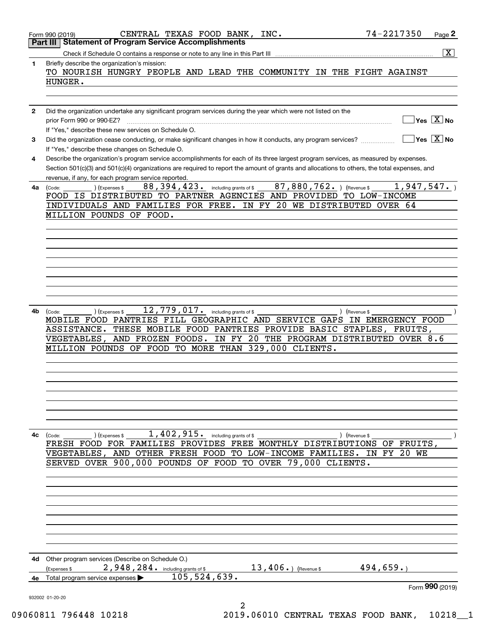|              | 74-2217350<br>CENTRAL TEXAS FOOD BANK, INC.<br>Page 2<br>Form 990 (2019)                                                                                                                                                                                                             |
|--------------|--------------------------------------------------------------------------------------------------------------------------------------------------------------------------------------------------------------------------------------------------------------------------------------|
|              | <b>Statement of Program Service Accomplishments</b><br>Part III                                                                                                                                                                                                                      |
| 1            | $\overline{\mathbf{x}}$<br>Briefly describe the organization's mission:                                                                                                                                                                                                              |
|              | TO NOURISH HUNGRY PEOPLE AND LEAD THE COMMUNITY IN THE FIGHT AGAINST                                                                                                                                                                                                                 |
|              | HUNGER.                                                                                                                                                                                                                                                                              |
|              |                                                                                                                                                                                                                                                                                      |
| $\mathbf{2}$ | Did the organization undertake any significant program services during the year which were not listed on the                                                                                                                                                                         |
|              | $Yes \ \boxed{X}$ No<br>prior Form 990 or 990-EZ?<br>If "Yes," describe these new services on Schedule O.                                                                                                                                                                            |
| 3            | $Yes$ $X$ No<br>Did the organization cease conducting, or make significant changes in how it conducts, any program services?                                                                                                                                                         |
|              | If "Yes," describe these changes on Schedule O.                                                                                                                                                                                                                                      |
| 4            | Describe the organization's program service accomplishments for each of its three largest program services, as measured by expenses.<br>Section 501(c)(3) and 501(c)(4) organizations are required to report the amount of grants and allocations to others, the total expenses, and |
|              | revenue, if any, for each program service reported.                                                                                                                                                                                                                                  |
| 4a           | $\overline{87,880,762}$ . ) (Revenue \$<br>1,947,547.<br>88,394,423.<br>(Expenses \$<br>including grants of \$<br>(Code:<br>FOOD IS DISTRIBUTED TO PARTNER AGENCIES AND PROVIDED TO LOW-INCOME                                                                                       |
|              | INDIVIDUALS AND FAMILIES FOR FREE. IN FY 20 WE DISTRIBUTED OVER 64                                                                                                                                                                                                                   |
|              | MILLION POUNDS OF FOOD.                                                                                                                                                                                                                                                              |
|              |                                                                                                                                                                                                                                                                                      |
|              |                                                                                                                                                                                                                                                                                      |
|              |                                                                                                                                                                                                                                                                                      |
|              |                                                                                                                                                                                                                                                                                      |
|              |                                                                                                                                                                                                                                                                                      |
|              |                                                                                                                                                                                                                                                                                      |
|              |                                                                                                                                                                                                                                                                                      |
| 4b           | 12,779,017.<br>including grants of \$<br>(Expenses \$<br>) (Revenue \$<br>(Code:<br>MOBILE FOOD PANTRIES FILL GEOGRAPHIC AND SERVICE GAPS IN EMERGENCY FOOD                                                                                                                          |
|              | THESE MOBILE FOOD PANTRIES PROVIDE BASIC STAPLES, FRUITS,<br>ASSISTANCE.                                                                                                                                                                                                             |
|              | AND FROZEN FOODS. IN FY 20 THE PROGRAM DISTRIBUTED OVER 8.6<br><b>VEGETABLES,</b>                                                                                                                                                                                                    |
|              | TO MORE THAN 329,000 CLIENTS.<br>MILLION POUNDS OF FOOD                                                                                                                                                                                                                              |
|              |                                                                                                                                                                                                                                                                                      |
|              |                                                                                                                                                                                                                                                                                      |
|              |                                                                                                                                                                                                                                                                                      |
|              |                                                                                                                                                                                                                                                                                      |
|              |                                                                                                                                                                                                                                                                                      |
| 4с           | 1,402,915. including grants of \$<br>) (Expenses \$                                                                                                                                                                                                                                  |
|              | (Code:<br>) (Revenue \$<br>FRESH FOOD FOR FAMILIES PROVIDES FREE MONTHLY DISTRIBUTIONS OF FRUITS,                                                                                                                                                                                    |
|              | VEGETABLES, AND OTHER FRESH FOOD TO LOW-INCOME FAMILIES. IN FY 20 WE                                                                                                                                                                                                                 |
|              | SERVED OVER 900,000 POUNDS OF FOOD TO OVER 79,000 CLIENTS.                                                                                                                                                                                                                           |
|              |                                                                                                                                                                                                                                                                                      |
|              |                                                                                                                                                                                                                                                                                      |
|              |                                                                                                                                                                                                                                                                                      |
|              |                                                                                                                                                                                                                                                                                      |
|              |                                                                                                                                                                                                                                                                                      |
|              |                                                                                                                                                                                                                                                                                      |
|              | 4d Other program services (Describe on Schedule O.)                                                                                                                                                                                                                                  |
|              | 494,659.<br>2,948,284. including grants of \$<br>$13,406.$ ) (Revenue \$<br>(Expenses \$                                                                                                                                                                                             |
| 4е           | 105, 524, 639.<br>Total program service expenses<br>Form 990 (2019)                                                                                                                                                                                                                  |
|              | 932002 01-20-20                                                                                                                                                                                                                                                                      |
|              | 2<br>160011 706110 10010<br>2010 06010 CENTERAT ERVAC ROOD<br>10010                                                                                                                                                                                                                  |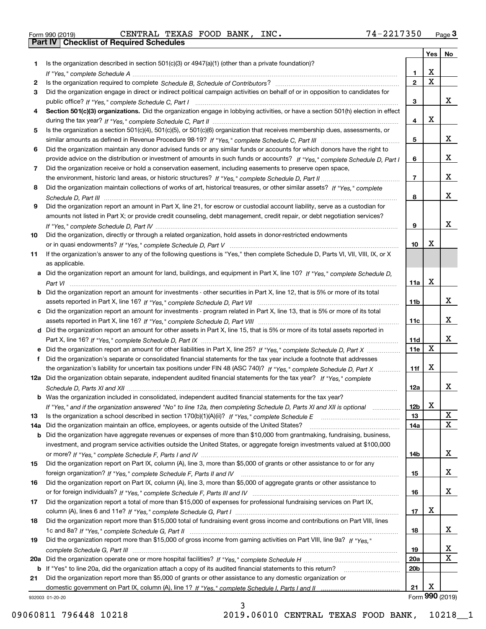| Form 990 (2019) |  |  |
|-----------------|--|--|

Form 990 (2019) CENTRAL TEXAS FOOD BANK, INC **.** 7 4 – 2 2 1 7 3 5 0 <sub>Page</sub> 3<br>**Part IV** | Checklist of Required Schedules

| Is the organization described in section $501(c)(3)$ or $4947(a)(1)$ (other than a private foundation)?<br>1<br>X<br>1.<br>$\overline{\mathbf{x}}$<br>$\overline{2}$<br>2<br>Did the organization engage in direct or indirect political campaign activities on behalf of or in opposition to candidates for<br>3<br>x<br>3<br>Section 501(c)(3) organizations. Did the organization engage in lobbying activities, or have a section 501(h) election in effect<br>4<br>X<br>4<br>Is the organization a section 501(c)(4), 501(c)(5), or 501(c)(6) organization that receives membership dues, assessments, or<br>5<br>x<br>5<br>Did the organization maintain any donor advised funds or any similar funds or accounts for which donors have the right to<br>6<br>x<br>provide advice on the distribution or investment of amounts in such funds or accounts? If "Yes," complete Schedule D, Part I<br>6<br>Did the organization receive or hold a conservation easement, including easements to preserve open space,<br>7<br>x<br>$\overline{7}$<br>Did the organization maintain collections of works of art, historical treasures, or other similar assets? If "Yes," complete<br>8<br>х<br>8<br>Did the organization report an amount in Part X, line 21, for escrow or custodial account liability, serve as a custodian for<br>9<br>amounts not listed in Part X; or provide credit counseling, debt management, credit repair, or debt negotiation services?<br>x<br>9<br>Did the organization, directly or through a related organization, hold assets in donor-restricted endowments<br>10<br>Х<br>10<br>If the organization's answer to any of the following questions is "Yes," then complete Schedule D, Parts VI, VII, VIII, IX, or X<br>11<br>as applicable.<br>a Did the organization report an amount for land, buildings, and equipment in Part X, line 10? If "Yes," complete Schedule D,<br>X<br>11a<br>Did the organization report an amount for investments - other securities in Part X, line 12, that is 5% or more of its total<br>x<br>11 <sub>b</sub><br>Did the organization report an amount for investments - program related in Part X, line 13, that is 5% or more of its total<br>x<br>11c<br>Did the organization report an amount for other assets in Part X, line 15, that is 5% or more of its total assets reported in<br>d<br>x<br>11d<br>$\mathbf X$<br>11e<br>Did the organization's separate or consolidated financial statements for the tax year include a footnote that addresses<br>X<br>the organization's liability for uncertain tax positions under FIN 48 (ASC 740)? If "Yes," complete Schedule D, Part X<br>11f<br>12a Did the organization obtain separate, independent audited financial statements for the tax year? If "Yes," complete<br>x<br>12a<br><b>b</b> Was the organization included in consolidated, independent audited financial statements for the tax year?<br>X<br>If "Yes," and if the organization answered "No" to line 12a, then completing Schedule D, Parts XI and XII is optional<br>12b<br>X<br>13<br>13<br>X<br>Did the organization maintain an office, employees, or agents outside of the United States?<br>14a<br>14a<br>Did the organization have aggregate revenues or expenses of more than \$10,000 from grantmaking, fundraising, business,<br>b<br>investment, and program service activities outside the United States, or aggregate foreign investments valued at \$100,000<br>x<br>14b<br>Did the organization report on Part IX, column (A), line 3, more than \$5,000 of grants or other assistance to or for any<br>15<br>x<br>15<br>Did the organization report on Part IX, column (A), line 3, more than \$5,000 of aggregate grants or other assistance to<br>16<br>x<br>16<br>Did the organization report a total of more than \$15,000 of expenses for professional fundraising services on Part IX,<br>17<br>х<br>17<br>Did the organization report more than \$15,000 total of fundraising event gross income and contributions on Part VIII, lines<br>18<br>x<br>18<br>Did the organization report more than \$15,000 of gross income from gaming activities on Part VIII, line 9a? If "Yes."<br>19<br>x<br>19<br>X<br>20a<br>20a<br>20 <sub>b</sub><br>If "Yes" to line 20a, did the organization attach a copy of its audited financial statements to this return?<br>b<br>Did the organization report more than \$5,000 of grants or other assistance to any domestic organization or<br>21<br>х<br>21<br>Form 990 (2019)<br>932003 01-20-20 |  | Yes | No |
|---------------------------------------------------------------------------------------------------------------------------------------------------------------------------------------------------------------------------------------------------------------------------------------------------------------------------------------------------------------------------------------------------------------------------------------------------------------------------------------------------------------------------------------------------------------------------------------------------------------------------------------------------------------------------------------------------------------------------------------------------------------------------------------------------------------------------------------------------------------------------------------------------------------------------------------------------------------------------------------------------------------------------------------------------------------------------------------------------------------------------------------------------------------------------------------------------------------------------------------------------------------------------------------------------------------------------------------------------------------------------------------------------------------------------------------------------------------------------------------------------------------------------------------------------------------------------------------------------------------------------------------------------------------------------------------------------------------------------------------------------------------------------------------------------------------------------------------------------------------------------------------------------------------------------------------------------------------------------------------------------------------------------------------------------------------------------------------------------------------------------------------------------------------------------------------------------------------------------------------------------------------------------------------------------------------------------------------------------------------------------------------------------------------------------------------------------------------------------------------------------------------------------------------------------------------------------------------------------------------------------------------------------------------------------------------------------------------------------------------------------------------------------------------------------------------------------------------------------------------------------------------------------------------------------------------------------------------------------------------------------------------------------------------------------------------------------------------------------------------------------------------------------------------------------------------------------------------------------------------------------------------------------------------------------------------------------------------------------------------------------------------------------------------------------------------------------------------------------------------------------------------------------------------------------------------------------------------------------------------------------------------------------------------------------------------------------------------------------------------------------------------------------------------------------------------------------------------------------------------------------------------------------------------------------------------------------------------------------------------------------------------------------------------------------------------------------------------------------------------------------------------------------------------------------------------------------------------------------------------------------------------------------------------------------------------------------------------------------------------------------------------------------------------------------------------------------------------------------------------------------------------------------------------------------------|--|-----|----|
|                                                                                                                                                                                                                                                                                                                                                                                                                                                                                                                                                                                                                                                                                                                                                                                                                                                                                                                                                                                                                                                                                                                                                                                                                                                                                                                                                                                                                                                                                                                                                                                                                                                                                                                                                                                                                                                                                                                                                                                                                                                                                                                                                                                                                                                                                                                                                                                                                                                                                                                                                                                                                                                                                                                                                                                                                                                                                                                                                                                                                                                                                                                                                                                                                                                                                                                                                                                                                                                                                                                                                                                                                                                                                                                                                                                                                                                                                                                                                                                                                                                                                                                                                                                                                                                                                                                                                                                                                                                                                                                                                         |  |     |    |
|                                                                                                                                                                                                                                                                                                                                                                                                                                                                                                                                                                                                                                                                                                                                                                                                                                                                                                                                                                                                                                                                                                                                                                                                                                                                                                                                                                                                                                                                                                                                                                                                                                                                                                                                                                                                                                                                                                                                                                                                                                                                                                                                                                                                                                                                                                                                                                                                                                                                                                                                                                                                                                                                                                                                                                                                                                                                                                                                                                                                                                                                                                                                                                                                                                                                                                                                                                                                                                                                                                                                                                                                                                                                                                                                                                                                                                                                                                                                                                                                                                                                                                                                                                                                                                                                                                                                                                                                                                                                                                                                                         |  |     |    |
|                                                                                                                                                                                                                                                                                                                                                                                                                                                                                                                                                                                                                                                                                                                                                                                                                                                                                                                                                                                                                                                                                                                                                                                                                                                                                                                                                                                                                                                                                                                                                                                                                                                                                                                                                                                                                                                                                                                                                                                                                                                                                                                                                                                                                                                                                                                                                                                                                                                                                                                                                                                                                                                                                                                                                                                                                                                                                                                                                                                                                                                                                                                                                                                                                                                                                                                                                                                                                                                                                                                                                                                                                                                                                                                                                                                                                                                                                                                                                                                                                                                                                                                                                                                                                                                                                                                                                                                                                                                                                                                                                         |  |     |    |
|                                                                                                                                                                                                                                                                                                                                                                                                                                                                                                                                                                                                                                                                                                                                                                                                                                                                                                                                                                                                                                                                                                                                                                                                                                                                                                                                                                                                                                                                                                                                                                                                                                                                                                                                                                                                                                                                                                                                                                                                                                                                                                                                                                                                                                                                                                                                                                                                                                                                                                                                                                                                                                                                                                                                                                                                                                                                                                                                                                                                                                                                                                                                                                                                                                                                                                                                                                                                                                                                                                                                                                                                                                                                                                                                                                                                                                                                                                                                                                                                                                                                                                                                                                                                                                                                                                                                                                                                                                                                                                                                                         |  |     |    |
|                                                                                                                                                                                                                                                                                                                                                                                                                                                                                                                                                                                                                                                                                                                                                                                                                                                                                                                                                                                                                                                                                                                                                                                                                                                                                                                                                                                                                                                                                                                                                                                                                                                                                                                                                                                                                                                                                                                                                                                                                                                                                                                                                                                                                                                                                                                                                                                                                                                                                                                                                                                                                                                                                                                                                                                                                                                                                                                                                                                                                                                                                                                                                                                                                                                                                                                                                                                                                                                                                                                                                                                                                                                                                                                                                                                                                                                                                                                                                                                                                                                                                                                                                                                                                                                                                                                                                                                                                                                                                                                                                         |  |     |    |
|                                                                                                                                                                                                                                                                                                                                                                                                                                                                                                                                                                                                                                                                                                                                                                                                                                                                                                                                                                                                                                                                                                                                                                                                                                                                                                                                                                                                                                                                                                                                                                                                                                                                                                                                                                                                                                                                                                                                                                                                                                                                                                                                                                                                                                                                                                                                                                                                                                                                                                                                                                                                                                                                                                                                                                                                                                                                                                                                                                                                                                                                                                                                                                                                                                                                                                                                                                                                                                                                                                                                                                                                                                                                                                                                                                                                                                                                                                                                                                                                                                                                                                                                                                                                                                                                                                                                                                                                                                                                                                                                                         |  |     |    |
|                                                                                                                                                                                                                                                                                                                                                                                                                                                                                                                                                                                                                                                                                                                                                                                                                                                                                                                                                                                                                                                                                                                                                                                                                                                                                                                                                                                                                                                                                                                                                                                                                                                                                                                                                                                                                                                                                                                                                                                                                                                                                                                                                                                                                                                                                                                                                                                                                                                                                                                                                                                                                                                                                                                                                                                                                                                                                                                                                                                                                                                                                                                                                                                                                                                                                                                                                                                                                                                                                                                                                                                                                                                                                                                                                                                                                                                                                                                                                                                                                                                                                                                                                                                                                                                                                                                                                                                                                                                                                                                                                         |  |     |    |
|                                                                                                                                                                                                                                                                                                                                                                                                                                                                                                                                                                                                                                                                                                                                                                                                                                                                                                                                                                                                                                                                                                                                                                                                                                                                                                                                                                                                                                                                                                                                                                                                                                                                                                                                                                                                                                                                                                                                                                                                                                                                                                                                                                                                                                                                                                                                                                                                                                                                                                                                                                                                                                                                                                                                                                                                                                                                                                                                                                                                                                                                                                                                                                                                                                                                                                                                                                                                                                                                                                                                                                                                                                                                                                                                                                                                                                                                                                                                                                                                                                                                                                                                                                                                                                                                                                                                                                                                                                                                                                                                                         |  |     |    |
|                                                                                                                                                                                                                                                                                                                                                                                                                                                                                                                                                                                                                                                                                                                                                                                                                                                                                                                                                                                                                                                                                                                                                                                                                                                                                                                                                                                                                                                                                                                                                                                                                                                                                                                                                                                                                                                                                                                                                                                                                                                                                                                                                                                                                                                                                                                                                                                                                                                                                                                                                                                                                                                                                                                                                                                                                                                                                                                                                                                                                                                                                                                                                                                                                                                                                                                                                                                                                                                                                                                                                                                                                                                                                                                                                                                                                                                                                                                                                                                                                                                                                                                                                                                                                                                                                                                                                                                                                                                                                                                                                         |  |     |    |
|                                                                                                                                                                                                                                                                                                                                                                                                                                                                                                                                                                                                                                                                                                                                                                                                                                                                                                                                                                                                                                                                                                                                                                                                                                                                                                                                                                                                                                                                                                                                                                                                                                                                                                                                                                                                                                                                                                                                                                                                                                                                                                                                                                                                                                                                                                                                                                                                                                                                                                                                                                                                                                                                                                                                                                                                                                                                                                                                                                                                                                                                                                                                                                                                                                                                                                                                                                                                                                                                                                                                                                                                                                                                                                                                                                                                                                                                                                                                                                                                                                                                                                                                                                                                                                                                                                                                                                                                                                                                                                                                                         |  |     |    |
|                                                                                                                                                                                                                                                                                                                                                                                                                                                                                                                                                                                                                                                                                                                                                                                                                                                                                                                                                                                                                                                                                                                                                                                                                                                                                                                                                                                                                                                                                                                                                                                                                                                                                                                                                                                                                                                                                                                                                                                                                                                                                                                                                                                                                                                                                                                                                                                                                                                                                                                                                                                                                                                                                                                                                                                                                                                                                                                                                                                                                                                                                                                                                                                                                                                                                                                                                                                                                                                                                                                                                                                                                                                                                                                                                                                                                                                                                                                                                                                                                                                                                                                                                                                                                                                                                                                                                                                                                                                                                                                                                         |  |     |    |
|                                                                                                                                                                                                                                                                                                                                                                                                                                                                                                                                                                                                                                                                                                                                                                                                                                                                                                                                                                                                                                                                                                                                                                                                                                                                                                                                                                                                                                                                                                                                                                                                                                                                                                                                                                                                                                                                                                                                                                                                                                                                                                                                                                                                                                                                                                                                                                                                                                                                                                                                                                                                                                                                                                                                                                                                                                                                                                                                                                                                                                                                                                                                                                                                                                                                                                                                                                                                                                                                                                                                                                                                                                                                                                                                                                                                                                                                                                                                                                                                                                                                                                                                                                                                                                                                                                                                                                                                                                                                                                                                                         |  |     |    |
|                                                                                                                                                                                                                                                                                                                                                                                                                                                                                                                                                                                                                                                                                                                                                                                                                                                                                                                                                                                                                                                                                                                                                                                                                                                                                                                                                                                                                                                                                                                                                                                                                                                                                                                                                                                                                                                                                                                                                                                                                                                                                                                                                                                                                                                                                                                                                                                                                                                                                                                                                                                                                                                                                                                                                                                                                                                                                                                                                                                                                                                                                                                                                                                                                                                                                                                                                                                                                                                                                                                                                                                                                                                                                                                                                                                                                                                                                                                                                                                                                                                                                                                                                                                                                                                                                                                                                                                                                                                                                                                                                         |  |     |    |
|                                                                                                                                                                                                                                                                                                                                                                                                                                                                                                                                                                                                                                                                                                                                                                                                                                                                                                                                                                                                                                                                                                                                                                                                                                                                                                                                                                                                                                                                                                                                                                                                                                                                                                                                                                                                                                                                                                                                                                                                                                                                                                                                                                                                                                                                                                                                                                                                                                                                                                                                                                                                                                                                                                                                                                                                                                                                                                                                                                                                                                                                                                                                                                                                                                                                                                                                                                                                                                                                                                                                                                                                                                                                                                                                                                                                                                                                                                                                                                                                                                                                                                                                                                                                                                                                                                                                                                                                                                                                                                                                                         |  |     |    |
|                                                                                                                                                                                                                                                                                                                                                                                                                                                                                                                                                                                                                                                                                                                                                                                                                                                                                                                                                                                                                                                                                                                                                                                                                                                                                                                                                                                                                                                                                                                                                                                                                                                                                                                                                                                                                                                                                                                                                                                                                                                                                                                                                                                                                                                                                                                                                                                                                                                                                                                                                                                                                                                                                                                                                                                                                                                                                                                                                                                                                                                                                                                                                                                                                                                                                                                                                                                                                                                                                                                                                                                                                                                                                                                                                                                                                                                                                                                                                                                                                                                                                                                                                                                                                                                                                                                                                                                                                                                                                                                                                         |  |     |    |
|                                                                                                                                                                                                                                                                                                                                                                                                                                                                                                                                                                                                                                                                                                                                                                                                                                                                                                                                                                                                                                                                                                                                                                                                                                                                                                                                                                                                                                                                                                                                                                                                                                                                                                                                                                                                                                                                                                                                                                                                                                                                                                                                                                                                                                                                                                                                                                                                                                                                                                                                                                                                                                                                                                                                                                                                                                                                                                                                                                                                                                                                                                                                                                                                                                                                                                                                                                                                                                                                                                                                                                                                                                                                                                                                                                                                                                                                                                                                                                                                                                                                                                                                                                                                                                                                                                                                                                                                                                                                                                                                                         |  |     |    |
|                                                                                                                                                                                                                                                                                                                                                                                                                                                                                                                                                                                                                                                                                                                                                                                                                                                                                                                                                                                                                                                                                                                                                                                                                                                                                                                                                                                                                                                                                                                                                                                                                                                                                                                                                                                                                                                                                                                                                                                                                                                                                                                                                                                                                                                                                                                                                                                                                                                                                                                                                                                                                                                                                                                                                                                                                                                                                                                                                                                                                                                                                                                                                                                                                                                                                                                                                                                                                                                                                                                                                                                                                                                                                                                                                                                                                                                                                                                                                                                                                                                                                                                                                                                                                                                                                                                                                                                                                                                                                                                                                         |  |     |    |
|                                                                                                                                                                                                                                                                                                                                                                                                                                                                                                                                                                                                                                                                                                                                                                                                                                                                                                                                                                                                                                                                                                                                                                                                                                                                                                                                                                                                                                                                                                                                                                                                                                                                                                                                                                                                                                                                                                                                                                                                                                                                                                                                                                                                                                                                                                                                                                                                                                                                                                                                                                                                                                                                                                                                                                                                                                                                                                                                                                                                                                                                                                                                                                                                                                                                                                                                                                                                                                                                                                                                                                                                                                                                                                                                                                                                                                                                                                                                                                                                                                                                                                                                                                                                                                                                                                                                                                                                                                                                                                                                                         |  |     |    |
|                                                                                                                                                                                                                                                                                                                                                                                                                                                                                                                                                                                                                                                                                                                                                                                                                                                                                                                                                                                                                                                                                                                                                                                                                                                                                                                                                                                                                                                                                                                                                                                                                                                                                                                                                                                                                                                                                                                                                                                                                                                                                                                                                                                                                                                                                                                                                                                                                                                                                                                                                                                                                                                                                                                                                                                                                                                                                                                                                                                                                                                                                                                                                                                                                                                                                                                                                                                                                                                                                                                                                                                                                                                                                                                                                                                                                                                                                                                                                                                                                                                                                                                                                                                                                                                                                                                                                                                                                                                                                                                                                         |  |     |    |
|                                                                                                                                                                                                                                                                                                                                                                                                                                                                                                                                                                                                                                                                                                                                                                                                                                                                                                                                                                                                                                                                                                                                                                                                                                                                                                                                                                                                                                                                                                                                                                                                                                                                                                                                                                                                                                                                                                                                                                                                                                                                                                                                                                                                                                                                                                                                                                                                                                                                                                                                                                                                                                                                                                                                                                                                                                                                                                                                                                                                                                                                                                                                                                                                                                                                                                                                                                                                                                                                                                                                                                                                                                                                                                                                                                                                                                                                                                                                                                                                                                                                                                                                                                                                                                                                                                                                                                                                                                                                                                                                                         |  |     |    |
|                                                                                                                                                                                                                                                                                                                                                                                                                                                                                                                                                                                                                                                                                                                                                                                                                                                                                                                                                                                                                                                                                                                                                                                                                                                                                                                                                                                                                                                                                                                                                                                                                                                                                                                                                                                                                                                                                                                                                                                                                                                                                                                                                                                                                                                                                                                                                                                                                                                                                                                                                                                                                                                                                                                                                                                                                                                                                                                                                                                                                                                                                                                                                                                                                                                                                                                                                                                                                                                                                                                                                                                                                                                                                                                                                                                                                                                                                                                                                                                                                                                                                                                                                                                                                                                                                                                                                                                                                                                                                                                                                         |  |     |    |
|                                                                                                                                                                                                                                                                                                                                                                                                                                                                                                                                                                                                                                                                                                                                                                                                                                                                                                                                                                                                                                                                                                                                                                                                                                                                                                                                                                                                                                                                                                                                                                                                                                                                                                                                                                                                                                                                                                                                                                                                                                                                                                                                                                                                                                                                                                                                                                                                                                                                                                                                                                                                                                                                                                                                                                                                                                                                                                                                                                                                                                                                                                                                                                                                                                                                                                                                                                                                                                                                                                                                                                                                                                                                                                                                                                                                                                                                                                                                                                                                                                                                                                                                                                                                                                                                                                                                                                                                                                                                                                                                                         |  |     |    |
|                                                                                                                                                                                                                                                                                                                                                                                                                                                                                                                                                                                                                                                                                                                                                                                                                                                                                                                                                                                                                                                                                                                                                                                                                                                                                                                                                                                                                                                                                                                                                                                                                                                                                                                                                                                                                                                                                                                                                                                                                                                                                                                                                                                                                                                                                                                                                                                                                                                                                                                                                                                                                                                                                                                                                                                                                                                                                                                                                                                                                                                                                                                                                                                                                                                                                                                                                                                                                                                                                                                                                                                                                                                                                                                                                                                                                                                                                                                                                                                                                                                                                                                                                                                                                                                                                                                                                                                                                                                                                                                                                         |  |     |    |
|                                                                                                                                                                                                                                                                                                                                                                                                                                                                                                                                                                                                                                                                                                                                                                                                                                                                                                                                                                                                                                                                                                                                                                                                                                                                                                                                                                                                                                                                                                                                                                                                                                                                                                                                                                                                                                                                                                                                                                                                                                                                                                                                                                                                                                                                                                                                                                                                                                                                                                                                                                                                                                                                                                                                                                                                                                                                                                                                                                                                                                                                                                                                                                                                                                                                                                                                                                                                                                                                                                                                                                                                                                                                                                                                                                                                                                                                                                                                                                                                                                                                                                                                                                                                                                                                                                                                                                                                                                                                                                                                                         |  |     |    |
|                                                                                                                                                                                                                                                                                                                                                                                                                                                                                                                                                                                                                                                                                                                                                                                                                                                                                                                                                                                                                                                                                                                                                                                                                                                                                                                                                                                                                                                                                                                                                                                                                                                                                                                                                                                                                                                                                                                                                                                                                                                                                                                                                                                                                                                                                                                                                                                                                                                                                                                                                                                                                                                                                                                                                                                                                                                                                                                                                                                                                                                                                                                                                                                                                                                                                                                                                                                                                                                                                                                                                                                                                                                                                                                                                                                                                                                                                                                                                                                                                                                                                                                                                                                                                                                                                                                                                                                                                                                                                                                                                         |  |     |    |
|                                                                                                                                                                                                                                                                                                                                                                                                                                                                                                                                                                                                                                                                                                                                                                                                                                                                                                                                                                                                                                                                                                                                                                                                                                                                                                                                                                                                                                                                                                                                                                                                                                                                                                                                                                                                                                                                                                                                                                                                                                                                                                                                                                                                                                                                                                                                                                                                                                                                                                                                                                                                                                                                                                                                                                                                                                                                                                                                                                                                                                                                                                                                                                                                                                                                                                                                                                                                                                                                                                                                                                                                                                                                                                                                                                                                                                                                                                                                                                                                                                                                                                                                                                                                                                                                                                                                                                                                                                                                                                                                                         |  |     |    |
|                                                                                                                                                                                                                                                                                                                                                                                                                                                                                                                                                                                                                                                                                                                                                                                                                                                                                                                                                                                                                                                                                                                                                                                                                                                                                                                                                                                                                                                                                                                                                                                                                                                                                                                                                                                                                                                                                                                                                                                                                                                                                                                                                                                                                                                                                                                                                                                                                                                                                                                                                                                                                                                                                                                                                                                                                                                                                                                                                                                                                                                                                                                                                                                                                                                                                                                                                                                                                                                                                                                                                                                                                                                                                                                                                                                                                                                                                                                                                                                                                                                                                                                                                                                                                                                                                                                                                                                                                                                                                                                                                         |  |     |    |
|                                                                                                                                                                                                                                                                                                                                                                                                                                                                                                                                                                                                                                                                                                                                                                                                                                                                                                                                                                                                                                                                                                                                                                                                                                                                                                                                                                                                                                                                                                                                                                                                                                                                                                                                                                                                                                                                                                                                                                                                                                                                                                                                                                                                                                                                                                                                                                                                                                                                                                                                                                                                                                                                                                                                                                                                                                                                                                                                                                                                                                                                                                                                                                                                                                                                                                                                                                                                                                                                                                                                                                                                                                                                                                                                                                                                                                                                                                                                                                                                                                                                                                                                                                                                                                                                                                                                                                                                                                                                                                                                                         |  |     |    |
|                                                                                                                                                                                                                                                                                                                                                                                                                                                                                                                                                                                                                                                                                                                                                                                                                                                                                                                                                                                                                                                                                                                                                                                                                                                                                                                                                                                                                                                                                                                                                                                                                                                                                                                                                                                                                                                                                                                                                                                                                                                                                                                                                                                                                                                                                                                                                                                                                                                                                                                                                                                                                                                                                                                                                                                                                                                                                                                                                                                                                                                                                                                                                                                                                                                                                                                                                                                                                                                                                                                                                                                                                                                                                                                                                                                                                                                                                                                                                                                                                                                                                                                                                                                                                                                                                                                                                                                                                                                                                                                                                         |  |     |    |
|                                                                                                                                                                                                                                                                                                                                                                                                                                                                                                                                                                                                                                                                                                                                                                                                                                                                                                                                                                                                                                                                                                                                                                                                                                                                                                                                                                                                                                                                                                                                                                                                                                                                                                                                                                                                                                                                                                                                                                                                                                                                                                                                                                                                                                                                                                                                                                                                                                                                                                                                                                                                                                                                                                                                                                                                                                                                                                                                                                                                                                                                                                                                                                                                                                                                                                                                                                                                                                                                                                                                                                                                                                                                                                                                                                                                                                                                                                                                                                                                                                                                                                                                                                                                                                                                                                                                                                                                                                                                                                                                                         |  |     |    |
|                                                                                                                                                                                                                                                                                                                                                                                                                                                                                                                                                                                                                                                                                                                                                                                                                                                                                                                                                                                                                                                                                                                                                                                                                                                                                                                                                                                                                                                                                                                                                                                                                                                                                                                                                                                                                                                                                                                                                                                                                                                                                                                                                                                                                                                                                                                                                                                                                                                                                                                                                                                                                                                                                                                                                                                                                                                                                                                                                                                                                                                                                                                                                                                                                                                                                                                                                                                                                                                                                                                                                                                                                                                                                                                                                                                                                                                                                                                                                                                                                                                                                                                                                                                                                                                                                                                                                                                                                                                                                                                                                         |  |     |    |
|                                                                                                                                                                                                                                                                                                                                                                                                                                                                                                                                                                                                                                                                                                                                                                                                                                                                                                                                                                                                                                                                                                                                                                                                                                                                                                                                                                                                                                                                                                                                                                                                                                                                                                                                                                                                                                                                                                                                                                                                                                                                                                                                                                                                                                                                                                                                                                                                                                                                                                                                                                                                                                                                                                                                                                                                                                                                                                                                                                                                                                                                                                                                                                                                                                                                                                                                                                                                                                                                                                                                                                                                                                                                                                                                                                                                                                                                                                                                                                                                                                                                                                                                                                                                                                                                                                                                                                                                                                                                                                                                                         |  |     |    |
|                                                                                                                                                                                                                                                                                                                                                                                                                                                                                                                                                                                                                                                                                                                                                                                                                                                                                                                                                                                                                                                                                                                                                                                                                                                                                                                                                                                                                                                                                                                                                                                                                                                                                                                                                                                                                                                                                                                                                                                                                                                                                                                                                                                                                                                                                                                                                                                                                                                                                                                                                                                                                                                                                                                                                                                                                                                                                                                                                                                                                                                                                                                                                                                                                                                                                                                                                                                                                                                                                                                                                                                                                                                                                                                                                                                                                                                                                                                                                                                                                                                                                                                                                                                                                                                                                                                                                                                                                                                                                                                                                         |  |     |    |
|                                                                                                                                                                                                                                                                                                                                                                                                                                                                                                                                                                                                                                                                                                                                                                                                                                                                                                                                                                                                                                                                                                                                                                                                                                                                                                                                                                                                                                                                                                                                                                                                                                                                                                                                                                                                                                                                                                                                                                                                                                                                                                                                                                                                                                                                                                                                                                                                                                                                                                                                                                                                                                                                                                                                                                                                                                                                                                                                                                                                                                                                                                                                                                                                                                                                                                                                                                                                                                                                                                                                                                                                                                                                                                                                                                                                                                                                                                                                                                                                                                                                                                                                                                                                                                                                                                                                                                                                                                                                                                                                                         |  |     |    |
|                                                                                                                                                                                                                                                                                                                                                                                                                                                                                                                                                                                                                                                                                                                                                                                                                                                                                                                                                                                                                                                                                                                                                                                                                                                                                                                                                                                                                                                                                                                                                                                                                                                                                                                                                                                                                                                                                                                                                                                                                                                                                                                                                                                                                                                                                                                                                                                                                                                                                                                                                                                                                                                                                                                                                                                                                                                                                                                                                                                                                                                                                                                                                                                                                                                                                                                                                                                                                                                                                                                                                                                                                                                                                                                                                                                                                                                                                                                                                                                                                                                                                                                                                                                                                                                                                                                                                                                                                                                                                                                                                         |  |     |    |
|                                                                                                                                                                                                                                                                                                                                                                                                                                                                                                                                                                                                                                                                                                                                                                                                                                                                                                                                                                                                                                                                                                                                                                                                                                                                                                                                                                                                                                                                                                                                                                                                                                                                                                                                                                                                                                                                                                                                                                                                                                                                                                                                                                                                                                                                                                                                                                                                                                                                                                                                                                                                                                                                                                                                                                                                                                                                                                                                                                                                                                                                                                                                                                                                                                                                                                                                                                                                                                                                                                                                                                                                                                                                                                                                                                                                                                                                                                                                                                                                                                                                                                                                                                                                                                                                                                                                                                                                                                                                                                                                                         |  |     |    |
|                                                                                                                                                                                                                                                                                                                                                                                                                                                                                                                                                                                                                                                                                                                                                                                                                                                                                                                                                                                                                                                                                                                                                                                                                                                                                                                                                                                                                                                                                                                                                                                                                                                                                                                                                                                                                                                                                                                                                                                                                                                                                                                                                                                                                                                                                                                                                                                                                                                                                                                                                                                                                                                                                                                                                                                                                                                                                                                                                                                                                                                                                                                                                                                                                                                                                                                                                                                                                                                                                                                                                                                                                                                                                                                                                                                                                                                                                                                                                                                                                                                                                                                                                                                                                                                                                                                                                                                                                                                                                                                                                         |  |     |    |
|                                                                                                                                                                                                                                                                                                                                                                                                                                                                                                                                                                                                                                                                                                                                                                                                                                                                                                                                                                                                                                                                                                                                                                                                                                                                                                                                                                                                                                                                                                                                                                                                                                                                                                                                                                                                                                                                                                                                                                                                                                                                                                                                                                                                                                                                                                                                                                                                                                                                                                                                                                                                                                                                                                                                                                                                                                                                                                                                                                                                                                                                                                                                                                                                                                                                                                                                                                                                                                                                                                                                                                                                                                                                                                                                                                                                                                                                                                                                                                                                                                                                                                                                                                                                                                                                                                                                                                                                                                                                                                                                                         |  |     |    |
|                                                                                                                                                                                                                                                                                                                                                                                                                                                                                                                                                                                                                                                                                                                                                                                                                                                                                                                                                                                                                                                                                                                                                                                                                                                                                                                                                                                                                                                                                                                                                                                                                                                                                                                                                                                                                                                                                                                                                                                                                                                                                                                                                                                                                                                                                                                                                                                                                                                                                                                                                                                                                                                                                                                                                                                                                                                                                                                                                                                                                                                                                                                                                                                                                                                                                                                                                                                                                                                                                                                                                                                                                                                                                                                                                                                                                                                                                                                                                                                                                                                                                                                                                                                                                                                                                                                                                                                                                                                                                                                                                         |  |     |    |
|                                                                                                                                                                                                                                                                                                                                                                                                                                                                                                                                                                                                                                                                                                                                                                                                                                                                                                                                                                                                                                                                                                                                                                                                                                                                                                                                                                                                                                                                                                                                                                                                                                                                                                                                                                                                                                                                                                                                                                                                                                                                                                                                                                                                                                                                                                                                                                                                                                                                                                                                                                                                                                                                                                                                                                                                                                                                                                                                                                                                                                                                                                                                                                                                                                                                                                                                                                                                                                                                                                                                                                                                                                                                                                                                                                                                                                                                                                                                                                                                                                                                                                                                                                                                                                                                                                                                                                                                                                                                                                                                                         |  |     |    |
|                                                                                                                                                                                                                                                                                                                                                                                                                                                                                                                                                                                                                                                                                                                                                                                                                                                                                                                                                                                                                                                                                                                                                                                                                                                                                                                                                                                                                                                                                                                                                                                                                                                                                                                                                                                                                                                                                                                                                                                                                                                                                                                                                                                                                                                                                                                                                                                                                                                                                                                                                                                                                                                                                                                                                                                                                                                                                                                                                                                                                                                                                                                                                                                                                                                                                                                                                                                                                                                                                                                                                                                                                                                                                                                                                                                                                                                                                                                                                                                                                                                                                                                                                                                                                                                                                                                                                                                                                                                                                                                                                         |  |     |    |
|                                                                                                                                                                                                                                                                                                                                                                                                                                                                                                                                                                                                                                                                                                                                                                                                                                                                                                                                                                                                                                                                                                                                                                                                                                                                                                                                                                                                                                                                                                                                                                                                                                                                                                                                                                                                                                                                                                                                                                                                                                                                                                                                                                                                                                                                                                                                                                                                                                                                                                                                                                                                                                                                                                                                                                                                                                                                                                                                                                                                                                                                                                                                                                                                                                                                                                                                                                                                                                                                                                                                                                                                                                                                                                                                                                                                                                                                                                                                                                                                                                                                                                                                                                                                                                                                                                                                                                                                                                                                                                                                                         |  |     |    |
|                                                                                                                                                                                                                                                                                                                                                                                                                                                                                                                                                                                                                                                                                                                                                                                                                                                                                                                                                                                                                                                                                                                                                                                                                                                                                                                                                                                                                                                                                                                                                                                                                                                                                                                                                                                                                                                                                                                                                                                                                                                                                                                                                                                                                                                                                                                                                                                                                                                                                                                                                                                                                                                                                                                                                                                                                                                                                                                                                                                                                                                                                                                                                                                                                                                                                                                                                                                                                                                                                                                                                                                                                                                                                                                                                                                                                                                                                                                                                                                                                                                                                                                                                                                                                                                                                                                                                                                                                                                                                                                                                         |  |     |    |
|                                                                                                                                                                                                                                                                                                                                                                                                                                                                                                                                                                                                                                                                                                                                                                                                                                                                                                                                                                                                                                                                                                                                                                                                                                                                                                                                                                                                                                                                                                                                                                                                                                                                                                                                                                                                                                                                                                                                                                                                                                                                                                                                                                                                                                                                                                                                                                                                                                                                                                                                                                                                                                                                                                                                                                                                                                                                                                                                                                                                                                                                                                                                                                                                                                                                                                                                                                                                                                                                                                                                                                                                                                                                                                                                                                                                                                                                                                                                                                                                                                                                                                                                                                                                                                                                                                                                                                                                                                                                                                                                                         |  |     |    |
|                                                                                                                                                                                                                                                                                                                                                                                                                                                                                                                                                                                                                                                                                                                                                                                                                                                                                                                                                                                                                                                                                                                                                                                                                                                                                                                                                                                                                                                                                                                                                                                                                                                                                                                                                                                                                                                                                                                                                                                                                                                                                                                                                                                                                                                                                                                                                                                                                                                                                                                                                                                                                                                                                                                                                                                                                                                                                                                                                                                                                                                                                                                                                                                                                                                                                                                                                                                                                                                                                                                                                                                                                                                                                                                                                                                                                                                                                                                                                                                                                                                                                                                                                                                                                                                                                                                                                                                                                                                                                                                                                         |  |     |    |
|                                                                                                                                                                                                                                                                                                                                                                                                                                                                                                                                                                                                                                                                                                                                                                                                                                                                                                                                                                                                                                                                                                                                                                                                                                                                                                                                                                                                                                                                                                                                                                                                                                                                                                                                                                                                                                                                                                                                                                                                                                                                                                                                                                                                                                                                                                                                                                                                                                                                                                                                                                                                                                                                                                                                                                                                                                                                                                                                                                                                                                                                                                                                                                                                                                                                                                                                                                                                                                                                                                                                                                                                                                                                                                                                                                                                                                                                                                                                                                                                                                                                                                                                                                                                                                                                                                                                                                                                                                                                                                                                                         |  |     |    |
|                                                                                                                                                                                                                                                                                                                                                                                                                                                                                                                                                                                                                                                                                                                                                                                                                                                                                                                                                                                                                                                                                                                                                                                                                                                                                                                                                                                                                                                                                                                                                                                                                                                                                                                                                                                                                                                                                                                                                                                                                                                                                                                                                                                                                                                                                                                                                                                                                                                                                                                                                                                                                                                                                                                                                                                                                                                                                                                                                                                                                                                                                                                                                                                                                                                                                                                                                                                                                                                                                                                                                                                                                                                                                                                                                                                                                                                                                                                                                                                                                                                                                                                                                                                                                                                                                                                                                                                                                                                                                                                                                         |  |     |    |
|                                                                                                                                                                                                                                                                                                                                                                                                                                                                                                                                                                                                                                                                                                                                                                                                                                                                                                                                                                                                                                                                                                                                                                                                                                                                                                                                                                                                                                                                                                                                                                                                                                                                                                                                                                                                                                                                                                                                                                                                                                                                                                                                                                                                                                                                                                                                                                                                                                                                                                                                                                                                                                                                                                                                                                                                                                                                                                                                                                                                                                                                                                                                                                                                                                                                                                                                                                                                                                                                                                                                                                                                                                                                                                                                                                                                                                                                                                                                                                                                                                                                                                                                                                                                                                                                                                                                                                                                                                                                                                                                                         |  |     |    |
|                                                                                                                                                                                                                                                                                                                                                                                                                                                                                                                                                                                                                                                                                                                                                                                                                                                                                                                                                                                                                                                                                                                                                                                                                                                                                                                                                                                                                                                                                                                                                                                                                                                                                                                                                                                                                                                                                                                                                                                                                                                                                                                                                                                                                                                                                                                                                                                                                                                                                                                                                                                                                                                                                                                                                                                                                                                                                                                                                                                                                                                                                                                                                                                                                                                                                                                                                                                                                                                                                                                                                                                                                                                                                                                                                                                                                                                                                                                                                                                                                                                                                                                                                                                                                                                                                                                                                                                                                                                                                                                                                         |  |     |    |
|                                                                                                                                                                                                                                                                                                                                                                                                                                                                                                                                                                                                                                                                                                                                                                                                                                                                                                                                                                                                                                                                                                                                                                                                                                                                                                                                                                                                                                                                                                                                                                                                                                                                                                                                                                                                                                                                                                                                                                                                                                                                                                                                                                                                                                                                                                                                                                                                                                                                                                                                                                                                                                                                                                                                                                                                                                                                                                                                                                                                                                                                                                                                                                                                                                                                                                                                                                                                                                                                                                                                                                                                                                                                                                                                                                                                                                                                                                                                                                                                                                                                                                                                                                                                                                                                                                                                                                                                                                                                                                                                                         |  |     |    |
|                                                                                                                                                                                                                                                                                                                                                                                                                                                                                                                                                                                                                                                                                                                                                                                                                                                                                                                                                                                                                                                                                                                                                                                                                                                                                                                                                                                                                                                                                                                                                                                                                                                                                                                                                                                                                                                                                                                                                                                                                                                                                                                                                                                                                                                                                                                                                                                                                                                                                                                                                                                                                                                                                                                                                                                                                                                                                                                                                                                                                                                                                                                                                                                                                                                                                                                                                                                                                                                                                                                                                                                                                                                                                                                                                                                                                                                                                                                                                                                                                                                                                                                                                                                                                                                                                                                                                                                                                                                                                                                                                         |  |     |    |
|                                                                                                                                                                                                                                                                                                                                                                                                                                                                                                                                                                                                                                                                                                                                                                                                                                                                                                                                                                                                                                                                                                                                                                                                                                                                                                                                                                                                                                                                                                                                                                                                                                                                                                                                                                                                                                                                                                                                                                                                                                                                                                                                                                                                                                                                                                                                                                                                                                                                                                                                                                                                                                                                                                                                                                                                                                                                                                                                                                                                                                                                                                                                                                                                                                                                                                                                                                                                                                                                                                                                                                                                                                                                                                                                                                                                                                                                                                                                                                                                                                                                                                                                                                                                                                                                                                                                                                                                                                                                                                                                                         |  |     |    |
|                                                                                                                                                                                                                                                                                                                                                                                                                                                                                                                                                                                                                                                                                                                                                                                                                                                                                                                                                                                                                                                                                                                                                                                                                                                                                                                                                                                                                                                                                                                                                                                                                                                                                                                                                                                                                                                                                                                                                                                                                                                                                                                                                                                                                                                                                                                                                                                                                                                                                                                                                                                                                                                                                                                                                                                                                                                                                                                                                                                                                                                                                                                                                                                                                                                                                                                                                                                                                                                                                                                                                                                                                                                                                                                                                                                                                                                                                                                                                                                                                                                                                                                                                                                                                                                                                                                                                                                                                                                                                                                                                         |  |     |    |
|                                                                                                                                                                                                                                                                                                                                                                                                                                                                                                                                                                                                                                                                                                                                                                                                                                                                                                                                                                                                                                                                                                                                                                                                                                                                                                                                                                                                                                                                                                                                                                                                                                                                                                                                                                                                                                                                                                                                                                                                                                                                                                                                                                                                                                                                                                                                                                                                                                                                                                                                                                                                                                                                                                                                                                                                                                                                                                                                                                                                                                                                                                                                                                                                                                                                                                                                                                                                                                                                                                                                                                                                                                                                                                                                                                                                                                                                                                                                                                                                                                                                                                                                                                                                                                                                                                                                                                                                                                                                                                                                                         |  |     |    |

3

932003 01-20-20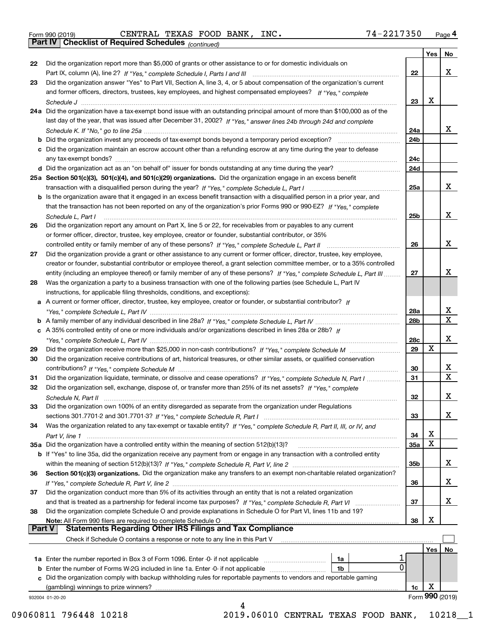|  | Form 990 (2019) |  |
|--|-----------------|--|
|  |                 |  |

*(continued)* Form 990 (2019) CENTRAL TEXAS FOOD BANK, INC. 7 4~2 2 1 7 3 5 0 <sub>Page</sub> 4<br>**Part IV | Checklist of Required Schedules** <sub>(continued)</sub>

|               |                                                                                                                              |                 | Yes | No              |
|---------------|------------------------------------------------------------------------------------------------------------------------------|-----------------|-----|-----------------|
| 22            | Did the organization report more than \$5,000 of grants or other assistance to or for domestic individuals on                |                 |     |                 |
|               |                                                                                                                              | 22              |     | x               |
| 23            | Did the organization answer "Yes" to Part VII, Section A, line 3, 4, or 5 about compensation of the organization's current   |                 |     |                 |
|               | and former officers, directors, trustees, key employees, and highest compensated employees? If "Yes," complete               |                 |     |                 |
|               |                                                                                                                              | 23              | x   |                 |
|               | 24a Did the organization have a tax-exempt bond issue with an outstanding principal amount of more than \$100,000 as of the  |                 |     |                 |
|               | last day of the year, that was issued after December 31, 2002? If "Yes," answer lines 24b through 24d and complete           |                 |     |                 |
|               |                                                                                                                              | 24a             |     | x               |
|               | <b>b</b> Did the organization invest any proceeds of tax-exempt bonds beyond a temporary period exception?                   | 24b             |     |                 |
|               | c Did the organization maintain an escrow account other than a refunding escrow at any time during the year to defease       |                 |     |                 |
|               |                                                                                                                              | 24c<br>24d      |     |                 |
|               | 25a Section 501(c)(3), 501(c)(4), and 501(c)(29) organizations. Did the organization engage in an excess benefit             |                 |     |                 |
|               |                                                                                                                              | 25a             |     | x               |
|               | b Is the organization aware that it engaged in an excess benefit transaction with a disqualified person in a prior year, and |                 |     |                 |
|               | that the transaction has not been reported on any of the organization's prior Forms 990 or 990-EZ? If "Yes," complete        |                 |     |                 |
|               | Schedule L. Part I                                                                                                           | 25b             |     | x               |
| 26            | Did the organization report any amount on Part X, line 5 or 22, for receivables from or payables to any current              |                 |     |                 |
|               | or former officer, director, trustee, key employee, creator or founder, substantial contributor, or 35%                      |                 |     |                 |
|               |                                                                                                                              | 26              |     | x               |
| 27            | Did the organization provide a grant or other assistance to any current or former officer, director, trustee, key employee,  |                 |     |                 |
|               | creator or founder, substantial contributor or employee thereof, a grant selection committee member, or to a 35% controlled  |                 |     |                 |
|               | entity (including an employee thereof) or family member of any of these persons? If "Yes," complete Schedule L, Part III     | 27              |     | x.              |
| 28            | Was the organization a party to a business transaction with one of the following parties (see Schedule L, Part IV            |                 |     |                 |
|               | instructions, for applicable filing thresholds, conditions, and exceptions):                                                 |                 |     |                 |
|               | a A current or former officer, director, trustee, key employee, creator or founder, or substantial contributor? If           |                 |     |                 |
|               |                                                                                                                              | 28a             |     | x               |
|               |                                                                                                                              | 28 <sub>b</sub> |     | x               |
|               | c A 35% controlled entity of one or more individuals and/or organizations described in lines 28a or 28b? If                  |                 |     |                 |
|               |                                                                                                                              | 28c             |     | x               |
| 29            |                                                                                                                              | 29              | х   |                 |
| 30            | Did the organization receive contributions of art, historical treasures, or other similar assets, or qualified conservation  |                 |     |                 |
|               |                                                                                                                              | 30              |     | x               |
| 31            | Did the organization liquidate, terminate, or dissolve and cease operations? If "Yes," complete Schedule N, Part I           | 31              |     | X               |
| 32            | Did the organization sell, exchange, dispose of, or transfer more than 25% of its net assets? If "Yes," complete             |                 |     |                 |
|               |                                                                                                                              | 32              |     | x               |
| 33            | Did the organization own 100% of an entity disregarded as separate from the organization under Regulations                   |                 |     | x               |
|               |                                                                                                                              | 33              |     |                 |
| 34            | Was the organization related to any tax-exempt or taxable entity? If "Yes," complete Schedule R, Part II, III, or IV, and    | 34              | X   |                 |
|               | 35a Did the organization have a controlled entity within the meaning of section 512(b)(13)?                                  | <b>35a</b>      | X   |                 |
|               | b If "Yes" to line 35a, did the organization receive any payment from or engage in any transaction with a controlled entity  |                 |     |                 |
|               |                                                                                                                              | 35b             |     | x               |
| 36            | Section 501(c)(3) organizations. Did the organization make any transfers to an exempt non-charitable related organization?   |                 |     |                 |
|               |                                                                                                                              | 36              |     | x               |
| 37            | Did the organization conduct more than 5% of its activities through an entity that is not a related organization             |                 |     |                 |
|               | and that is treated as a partnership for federal income tax purposes? If "Yes," complete Schedule R, Part VI                 | 37              |     | x               |
| 38            | Did the organization complete Schedule O and provide explanations in Schedule O for Part VI, lines 11b and 19?               |                 |     |                 |
|               | Note: All Form 990 filers are required to complete Schedule O                                                                | 38              | X   |                 |
| <b>Part V</b> | <b>Statements Regarding Other IRS Filings and Tax Compliance</b>                                                             |                 |     |                 |
|               | Check if Schedule O contains a response or note to any line in this Part V                                                   |                 |     |                 |
|               |                                                                                                                              |                 | Yes | No              |
|               | 1a                                                                                                                           |                 |     |                 |
|               | $\mathbf 0$<br><b>b</b> Enter the number of Forms W-2G included in line 1a. Enter -0- if not applicable<br>1b                |                 |     |                 |
|               | c Did the organization comply with backup withholding rules for reportable payments to vendors and reportable gaming         |                 |     |                 |
|               | (gambling) winnings to prize winners?                                                                                        | 1c              | Χ   | Form 990 (2019) |
|               | 932004 01-20-20<br>4                                                                                                         |                 |     |                 |
|               |                                                                                                                              |                 |     |                 |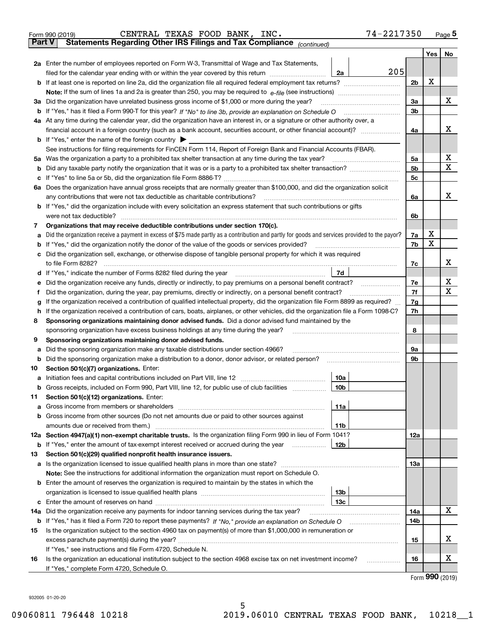|               | 74-2217350<br>CENTRAL TEXAS FOOD BANK, INC.<br>Form 990 (2019)                                                                                                                             |                |         | Page $5$    |
|---------------|--------------------------------------------------------------------------------------------------------------------------------------------------------------------------------------------|----------------|---------|-------------|
| <b>Part V</b> | Statements Regarding Other IRS Filings and Tax Compliance (continued)                                                                                                                      |                |         |             |
|               |                                                                                                                                                                                            |                | Yes $ $ | No          |
|               | 2a Enter the number of employees reported on Form W-3, Transmittal of Wage and Tax Statements,                                                                                             |                |         |             |
|               | 205<br>filed for the calendar year ending with or within the year covered by this return [11] [11] filed for the calendar year ending with or within the year covered by this return<br>2a |                |         |             |
| b             |                                                                                                                                                                                            | 2 <sub>b</sub> | х       |             |
|               |                                                                                                                                                                                            |                |         |             |
|               | 3a Did the organization have unrelated business gross income of \$1,000 or more during the year?                                                                                           | 3a             |         | х           |
|               | <b>b</b> If "Yes," has it filed a Form 990-T for this year? If "No" to line 3b, provide an explanation on Schedule O                                                                       | 3 <sub>b</sub> |         |             |
|               | 4a At any time during the calendar year, did the organization have an interest in, or a signature or other authority over, a                                                               |                |         |             |
|               | financial account in a foreign country (such as a bank account, securities account, or other financial account)?                                                                           | 4a             |         | х           |
|               | <b>b</b> If "Yes," enter the name of the foreign country $\blacktriangleright$                                                                                                             |                |         |             |
|               | See instructions for filing requirements for FinCEN Form 114, Report of Foreign Bank and Financial Accounts (FBAR).                                                                        |                |         |             |
|               | 5a Was the organization a party to a prohibited tax shelter transaction at any time during the tax year?                                                                                   | 5a             |         | х           |
| b             |                                                                                                                                                                                            | 5 <sub>b</sub> |         | $\mathbf X$ |
| с             |                                                                                                                                                                                            | 5с             |         |             |
|               | 6a Does the organization have annual gross receipts that are normally greater than \$100,000, and did the organization solicit                                                             |                |         |             |
|               | any contributions that were not tax deductible as charitable contributions?                                                                                                                | 6a             |         | х           |
|               | <b>b</b> If "Yes," did the organization include with every solicitation an express statement that such contributions or gifts                                                              |                |         |             |
|               | were not tax deductible?                                                                                                                                                                   | 6b             |         |             |
| 7             | Organizations that may receive deductible contributions under section 170(c).                                                                                                              |                |         |             |
| а             | Did the organization receive a payment in excess of \$75 made partly as a contribution and partly for goods and services provided to the payor?                                            | 7a             | х       |             |
| b             | If "Yes," did the organization notify the donor of the value of the goods or services provided?                                                                                            | 7b             | X       |             |
|               | Did the organization sell, exchange, or otherwise dispose of tangible personal property for which it was required                                                                          |                |         |             |
|               | to file Form 8282?                                                                                                                                                                         | 7с             |         | х           |
|               | 7d<br>d If "Yes," indicate the number of Forms 8282 filed during the year                                                                                                                  |                |         |             |
| е             | Did the organization receive any funds, directly or indirectly, to pay premiums on a personal benefit contract?                                                                            | 7е             |         | х           |
| f             | Did the organization, during the year, pay premiums, directly or indirectly, on a personal benefit contract?                                                                               | 7f             |         | Х           |
| g             | If the organization received a contribution of qualified intellectual property, did the organization file Form 8899 as required?                                                           | 7g             |         |             |
| h             | If the organization received a contribution of cars, boats, airplanes, or other vehicles, did the organization file a Form 1098-C?                                                         | 7h             |         |             |
| 8             | Sponsoring organizations maintaining donor advised funds. Did a donor advised fund maintained by the                                                                                       |                |         |             |
|               | sponsoring organization have excess business holdings at any time during the year?                                                                                                         | 8              |         |             |
| 9             | Sponsoring organizations maintaining donor advised funds.                                                                                                                                  |                |         |             |
| а             | Did the sponsoring organization make any taxable distributions under section 4966?                                                                                                         | 9а             |         |             |
| b             | Did the sponsoring organization make a distribution to a donor, donor advisor, or related person?                                                                                          | 9b             |         |             |
| 10            | Section 501(c)(7) organizations. Enter:                                                                                                                                                    |                |         |             |
|               | 10a<br>a Initiation fees and capital contributions included on Part VIII, line 12                                                                                                          |                |         |             |
|               | b Gross receipts, included on Form 990, Part VIII, line 12, for public use of club facilities<br>10b                                                                                       |                |         |             |
| 11            | Section 501(c)(12) organizations. Enter:                                                                                                                                                   |                |         |             |
| a             | 11a                                                                                                                                                                                        |                |         |             |
| b             | Gross income from other sources (Do not net amounts due or paid to other sources against                                                                                                   |                |         |             |
|               | 11b                                                                                                                                                                                        |                |         |             |
|               | 12a Section 4947(a)(1) non-exempt charitable trusts. Is the organization filing Form 990 in lieu of Form 1041?                                                                             | 12a            |         |             |
|               | <b>b</b> If "Yes," enter the amount of tax-exempt interest received or accrued during the year<br>12b                                                                                      |                |         |             |
| 13            | Section 501(c)(29) qualified nonprofit health insurance issuers.                                                                                                                           |                |         |             |
| a             |                                                                                                                                                                                            | 13а            |         |             |
|               | <b>Note:</b> See the instructions for additional information the organization must report on Schedule O.                                                                                   |                |         |             |
| b             | Enter the amount of reserves the organization is required to maintain by the states in which the                                                                                           |                |         |             |
|               | 13b                                                                                                                                                                                        |                |         |             |
| c             | 13с                                                                                                                                                                                        |                |         |             |
| 14a           | Did the organization receive any payments for indoor tanning services during the tax year?                                                                                                 | 14a            |         | х           |
|               |                                                                                                                                                                                            | 14b            |         |             |
|               | Is the organization subject to the section 4960 tax on payment(s) of more than \$1,000,000 in remuneration or                                                                              |                |         |             |
| 15            |                                                                                                                                                                                            | 15             |         | х           |
|               |                                                                                                                                                                                            |                |         |             |
|               | If "Yes," see instructions and file Form 4720, Schedule N.<br>Is the organization an educational institution subject to the section 4968 excise tax on net investment income?              | 16             |         | x           |
| 16            |                                                                                                                                                                                            |                |         |             |

5

Form (2019) **990**

932005 01-20-20

If "Yes," complete Form 4720, Schedule O.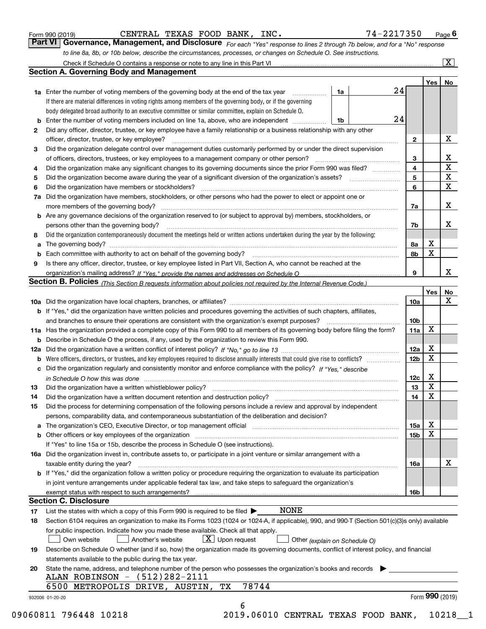| Form 990 (2019) |  |  |
|-----------------|--|--|
|                 |  |  |

CENTRAL TEXAS FOOD BANK, INC. 74-2217350

*For each "Yes" response to lines 2 through 7b below, and for a "No" response to line 8a, 8b, or 10b below, describe the circumstances, processes, or changes on Schedule O. See instructions.* Form 990 (2019) **CENTRAL TEXAS FOOD BANK, INC.** 74 – 2217350 Page 6<br>**Part VI Governance, Management, and Disclosure** *For each "Yes" response to lines 2 through 7b below, and for a "No" response* 

|     |                                                                                                                                                                            |                               |                 | Yes <sub>1</sub> | No                      |  |  |  |
|-----|----------------------------------------------------------------------------------------------------------------------------------------------------------------------------|-------------------------------|-----------------|------------------|-------------------------|--|--|--|
|     | <b>1a</b> Enter the number of voting members of the governing body at the end of the tax year<br>.                                                                         | 1a                            | 24              |                  |                         |  |  |  |
|     | If there are material differences in voting rights among members of the governing body, or if the governing                                                                |                               |                 |                  |                         |  |  |  |
|     | body delegated broad authority to an executive committee or similar committee, explain on Schedule O.                                                                      |                               |                 |                  |                         |  |  |  |
|     | <b>b</b> Enter the number of voting members included on line 1a, above, who are independent <i>manumum</i>                                                                 | 24<br>1b                      |                 |                  |                         |  |  |  |
| 2   | Did any officer, director, trustee, or key employee have a family relationship or a business relationship with any other                                                   |                               |                 |                  |                         |  |  |  |
|     | officer, director, trustee, or key employee?                                                                                                                               |                               | $\mathbf{2}$    |                  | X                       |  |  |  |
| 3   | Did the organization delegate control over management duties customarily performed by or under the direct supervision                                                      |                               |                 |                  |                         |  |  |  |
|     |                                                                                                                                                                            |                               | 3               |                  | х                       |  |  |  |
| 4   | Did the organization make any significant changes to its governing documents since the prior Form 990 was filed?                                                           |                               | 4               |                  | $\overline{\mathbf{x}}$ |  |  |  |
| 5   |                                                                                                                                                                            |                               | 5               |                  | $\overline{\mathbf{x}}$ |  |  |  |
| 6   | Did the organization have members or stockholders?                                                                                                                         |                               |                 |                  |                         |  |  |  |
| 7a  | Did the organization have members, stockholders, or other persons who had the power to elect or appoint one or                                                             |                               | 6               |                  | $\overline{\mathbf{x}}$ |  |  |  |
|     |                                                                                                                                                                            |                               | 7a              |                  | X                       |  |  |  |
|     | <b>b</b> Are any governance decisions of the organization reserved to (or subject to approval by) members, stockholders, or                                                |                               |                 |                  |                         |  |  |  |
|     | persons other than the governing body?                                                                                                                                     |                               |                 |                  | х                       |  |  |  |
|     | Did the organization contemporaneously document the meetings held or written actions undertaken during the year by the following:                                          |                               | 7b              |                  |                         |  |  |  |
| 8   |                                                                                                                                                                            |                               |                 | х                |                         |  |  |  |
| a   |                                                                                                                                                                            |                               | 8a              | X                |                         |  |  |  |
|     |                                                                                                                                                                            |                               | 8b              |                  |                         |  |  |  |
| 9   | Is there any officer, director, trustee, or key employee listed in Part VII, Section A, who cannot be reached at the                                                       |                               |                 |                  | x                       |  |  |  |
|     |                                                                                                                                                                            |                               | 9               |                  |                         |  |  |  |
|     | Section B. Policies (This Section B requests information about policies not required by the Internal Revenue Code.)                                                        |                               |                 |                  |                         |  |  |  |
|     |                                                                                                                                                                            |                               |                 | Yes              | No<br>$\mathbf X$       |  |  |  |
|     |                                                                                                                                                                            |                               | 10a             |                  |                         |  |  |  |
|     | <b>b</b> If "Yes," did the organization have written policies and procedures governing the activities of such chapters, affiliates,                                        |                               |                 |                  |                         |  |  |  |
|     |                                                                                                                                                                            |                               | 10 <sub>b</sub> |                  |                         |  |  |  |
|     | 11a Has the organization provided a complete copy of this Form 990 to all members of its governing body before filing the form?                                            |                               | 11a             | X                |                         |  |  |  |
|     | <b>b</b> Describe in Schedule O the process, if any, used by the organization to review this Form 990.                                                                     |                               |                 |                  |                         |  |  |  |
| 12a |                                                                                                                                                                            |                               | 12a             | х                |                         |  |  |  |
| b   |                                                                                                                                                                            |                               | 12 <sub>b</sub> | $\mathbf X$      |                         |  |  |  |
|     | c Did the organization regularly and consistently monitor and enforce compliance with the policy? If "Yes," describe                                                       |                               |                 |                  |                         |  |  |  |
|     | in Schedule O how this was done www.communication.com/www.communications.com/www.communications.com/                                                                       |                               | 12c             | х                |                         |  |  |  |
| 13  |                                                                                                                                                                            |                               | 13              | X                |                         |  |  |  |
| 14  | Did the organization have a written document retention and destruction policy? manufactured and the organization have a written document retention and destruction policy? |                               | 14              | $\mathbf X$      |                         |  |  |  |
| 15  | Did the process for determining compensation of the following persons include a review and approval by independent                                                         |                               |                 |                  |                         |  |  |  |
|     | persons, comparability data, and contemporaneous substantiation of the deliberation and decision?                                                                          |                               |                 |                  |                         |  |  |  |
|     |                                                                                                                                                                            |                               | 15a             | х                |                         |  |  |  |
|     | <b>b</b> Other officers or key employees of the organization                                                                                                               |                               | 15 <sub>b</sub> | X                |                         |  |  |  |
|     | If "Yes" to line 15a or 15b, describe the process in Schedule O (see instructions).                                                                                        |                               |                 |                  |                         |  |  |  |
|     | 16a Did the organization invest in, contribute assets to, or participate in a joint venture or similar arrangement with a                                                  |                               |                 |                  |                         |  |  |  |
|     | taxable entity during the year?                                                                                                                                            |                               | 16a             |                  | х                       |  |  |  |
|     | <b>b</b> If "Yes," did the organization follow a written policy or procedure requiring the organization to evaluate its participation                                      |                               |                 |                  |                         |  |  |  |
|     | in joint venture arrangements under applicable federal tax law, and take steps to safeguard the organization's                                                             |                               |                 |                  |                         |  |  |  |
|     | exempt status with respect to such arrangements?                                                                                                                           |                               | 16b             |                  |                         |  |  |  |
|     | <b>Section C. Disclosure</b>                                                                                                                                               |                               |                 |                  |                         |  |  |  |
| 17  | <b>NONE</b><br>List the states with which a copy of this Form 990 is required to be filed $\blacktriangleright$                                                            |                               |                 |                  |                         |  |  |  |
| 18  | Section 6104 requires an organization to make its Forms 1023 (1024 or 1024-A, if applicable), 990, and 990-T (Section 501(c)(3)s only) available                           |                               |                 |                  |                         |  |  |  |
|     | for public inspection. Indicate how you made these available. Check all that apply.                                                                                        |                               |                 |                  |                         |  |  |  |
|     | $X$ Upon request<br>Own website<br>Another's website                                                                                                                       | Other (explain on Schedule O) |                 |                  |                         |  |  |  |
| 19  | Describe on Schedule O whether (and if so, how) the organization made its governing documents, conflict of interest policy, and financial                                  |                               |                 |                  |                         |  |  |  |
|     | statements available to the public during the tax year.                                                                                                                    |                               |                 |                  |                         |  |  |  |
| 20  | State the name, address, and telephone number of the person who possesses the organization's books and records                                                             |                               |                 |                  |                         |  |  |  |
|     | ALAN ROBINSON - (512)282-2111                                                                                                                                              |                               |                 |                  |                         |  |  |  |
|     | 78744<br>6500<br>METROPOLIS DRIVE, AUSTIN,<br>TХ                                                                                                                           |                               |                 |                  |                         |  |  |  |
|     | 932006 01-20-20                                                                                                                                                            |                               |                 | Form 990 (2019)  |                         |  |  |  |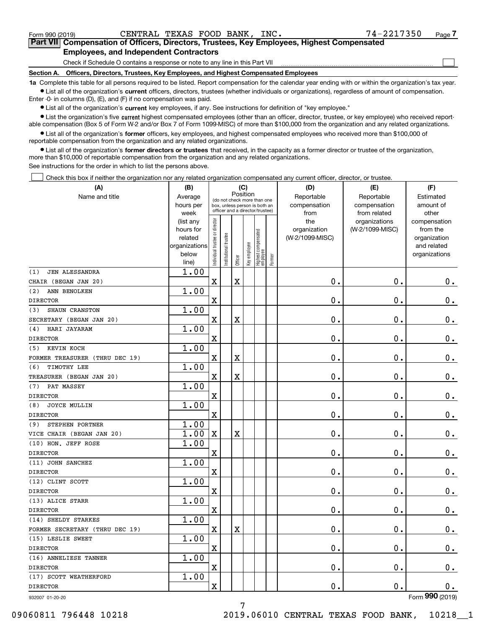| Form 990 (2019) |  |  |
|-----------------|--|--|
|                 |  |  |

 $\mathcal{L}^{\text{max}}$ 

| Form 990 (2019) |                                               | CENTRAL TEXAS FOOD BANK, INC. |  |  | 74-2217350                                                                                 | Page $7$ |
|-----------------|-----------------------------------------------|-------------------------------|--|--|--------------------------------------------------------------------------------------------|----------|
|                 |                                               |                               |  |  | Part VII Compensation of Officers, Directors, Trustees, Key Employees, Highest Compensated |          |
|                 | <b>Employees, and Independent Contractors</b> |                               |  |  |                                                                                            |          |

Check if Schedule O contains a response or note to any line in this Part VII

**Section A. Officers, Directors, Trustees, Key Employees, and Highest Compensated Employees**

**1a**  Complete this table for all persons required to be listed. Report compensation for the calendar year ending with or within the organization's tax year. **•** List all of the organization's current officers, directors, trustees (whether individuals or organizations), regardless of amount of compensation.

Enter -0- in columns (D), (E), and (F) if no compensation was paid.

 $\bullet$  List all of the organization's  $\,$ current key employees, if any. See instructions for definition of "key employee."

**•** List the organization's five current highest compensated employees (other than an officer, director, trustee, or key employee) who received reportable compensation (Box 5 of Form W-2 and/or Box 7 of Form 1099-MISC) of more than \$100,000 from the organization and any related organizations.

**•** List all of the organization's former officers, key employees, and highest compensated employees who received more than \$100,000 of reportable compensation from the organization and any related organizations.

**former directors or trustees**  ¥ List all of the organization's that received, in the capacity as a former director or trustee of the organization, more than \$10,000 of reportable compensation from the organization and any related organizations.

See instructions for the order in which to list the persons above.

Check this box if neither the organization nor any related organization compensated any current officer, director, or trustee.  $\mathcal{L}^{\text{max}}$ 

| Position<br>Reportable<br>Average<br>Estimated<br>(do not check more than one<br>compensation<br>hours per<br>compensation<br>amount of<br>box, unless person is both an<br>officer and a director/trustee)<br>from<br>from related<br>other<br>week<br>Individual trustee or director<br>the<br>organizations<br>(list any<br>compensation<br>(W-2/1099-MISC)<br>hours for<br>organization<br>from the<br>Highest compensated<br> employee<br>nstitutional trustee<br>(W-2/1099-MISC)<br>related<br>organization<br>Key employee<br>organizations<br>and related<br>below<br>organizations<br>Former<br>Officer<br>line)<br>1.00<br><b>JEN ALESSANDRA</b><br>$\mathbf X$<br>$\mathbf X$<br>0.<br>$\mathbf 0$ .<br>0.<br>1.00<br>ANN BENOLKEN<br>$\overline{\text{X}}$<br>0.<br>$\mathbf 0$ .<br>0.<br>1.00<br>SHAUN CRANSTON<br>$\overline{\textbf{X}}$<br>$\mathbf X$<br>0.<br>$\mathbf 0$ .<br>$\mathbf 0$ .<br>1.00<br>HARI JAYARAM<br>$\overline{\text{X}}$<br>0.<br>$\mathbf 0$ .<br>$0_{.}$<br>1.00<br>KEVIN KOCH<br>$\overline{\text{X}}$<br>$\rm X$<br>$\mathbf 0$ .<br>0.<br>0.<br>1.00<br>TIMOTHY LEE<br>$\overline{\mathbf{X}}$<br>$\mathbf 0$ .<br>$\mathbf X$<br>0.<br>$\mathbf 0$ .<br>1.00<br>PAT MASSEY<br>$\overline{\mathbf{X}}$<br>$\mathbf 0$ .<br>0.<br>$0_{.}$<br>1.00<br><b>JOYCE MULLIN</b><br>$\overline{\mathbf{X}}$<br>$\mathbf 0$ .<br>$\mathbf 0$ .<br>$0$ .<br>1.00<br>STEPHEN PORTNER<br>1.00<br>$\mathbf X$<br>$\mathbf 0$ .<br>$\mathbf 0$ .<br>$\mathbf 0$ .<br>X<br>1.00<br>$\mathbf 0$ .<br>X<br>$\mathbf 0$ .<br>0.<br>1.00<br>0.<br>$\mathbf 0$ .<br>X<br>0.<br>1.00<br>$\mathbf 0$ .<br>$\rm X$<br>0.<br>$\mathbf 0$ .<br>1.00<br>X<br>0.<br>0.<br>$\mathbf 0$ .<br>1.00<br>$\mathbf X$<br>$\mathbf 0$ .<br>$\mathbf 0$ .<br>$\mathbf X$<br>0.<br>1.00<br>X<br>0.<br>$\mathbf 0$ .<br>$\mathbf 0$ .<br>1.00<br>$\overline{\mathbf{X}}$<br>0.<br>0.<br>0.<br>1.00<br>$\overline{\mathbf{X}}$<br>0.<br>$\mathbf 0$ .<br>0. | (A)                            | (B) |  | (C) |  | (D) | (E)        | (F)            |
|------------------------------------------------------------------------------------------------------------------------------------------------------------------------------------------------------------------------------------------------------------------------------------------------------------------------------------------------------------------------------------------------------------------------------------------------------------------------------------------------------------------------------------------------------------------------------------------------------------------------------------------------------------------------------------------------------------------------------------------------------------------------------------------------------------------------------------------------------------------------------------------------------------------------------------------------------------------------------------------------------------------------------------------------------------------------------------------------------------------------------------------------------------------------------------------------------------------------------------------------------------------------------------------------------------------------------------------------------------------------------------------------------------------------------------------------------------------------------------------------------------------------------------------------------------------------------------------------------------------------------------------------------------------------------------------------------------------------------------------------------------------------------------------------------------------------------------------------------------------------------------------------------------------------------------------------------------------|--------------------------------|-----|--|-----|--|-----|------------|----------------|
|                                                                                                                                                                                                                                                                                                                                                                                                                                                                                                                                                                                                                                                                                                                                                                                                                                                                                                                                                                                                                                                                                                                                                                                                                                                                                                                                                                                                                                                                                                                                                                                                                                                                                                                                                                                                                                                                                                                                                                  | Name and title                 |     |  |     |  |     | Reportable |                |
|                                                                                                                                                                                                                                                                                                                                                                                                                                                                                                                                                                                                                                                                                                                                                                                                                                                                                                                                                                                                                                                                                                                                                                                                                                                                                                                                                                                                                                                                                                                                                                                                                                                                                                                                                                                                                                                                                                                                                                  |                                |     |  |     |  |     |            |                |
|                                                                                                                                                                                                                                                                                                                                                                                                                                                                                                                                                                                                                                                                                                                                                                                                                                                                                                                                                                                                                                                                                                                                                                                                                                                                                                                                                                                                                                                                                                                                                                                                                                                                                                                                                                                                                                                                                                                                                                  |                                |     |  |     |  |     |            |                |
|                                                                                                                                                                                                                                                                                                                                                                                                                                                                                                                                                                                                                                                                                                                                                                                                                                                                                                                                                                                                                                                                                                                                                                                                                                                                                                                                                                                                                                                                                                                                                                                                                                                                                                                                                                                                                                                                                                                                                                  |                                |     |  |     |  |     |            |                |
|                                                                                                                                                                                                                                                                                                                                                                                                                                                                                                                                                                                                                                                                                                                                                                                                                                                                                                                                                                                                                                                                                                                                                                                                                                                                                                                                                                                                                                                                                                                                                                                                                                                                                                                                                                                                                                                                                                                                                                  |                                |     |  |     |  |     |            |                |
|                                                                                                                                                                                                                                                                                                                                                                                                                                                                                                                                                                                                                                                                                                                                                                                                                                                                                                                                                                                                                                                                                                                                                                                                                                                                                                                                                                                                                                                                                                                                                                                                                                                                                                                                                                                                                                                                                                                                                                  |                                |     |  |     |  |     |            |                |
|                                                                                                                                                                                                                                                                                                                                                                                                                                                                                                                                                                                                                                                                                                                                                                                                                                                                                                                                                                                                                                                                                                                                                                                                                                                                                                                                                                                                                                                                                                                                                                                                                                                                                                                                                                                                                                                                                                                                                                  |                                |     |  |     |  |     |            |                |
|                                                                                                                                                                                                                                                                                                                                                                                                                                                                                                                                                                                                                                                                                                                                                                                                                                                                                                                                                                                                                                                                                                                                                                                                                                                                                                                                                                                                                                                                                                                                                                                                                                                                                                                                                                                                                                                                                                                                                                  |                                |     |  |     |  |     |            |                |
|                                                                                                                                                                                                                                                                                                                                                                                                                                                                                                                                                                                                                                                                                                                                                                                                                                                                                                                                                                                                                                                                                                                                                                                                                                                                                                                                                                                                                                                                                                                                                                                                                                                                                                                                                                                                                                                                                                                                                                  | (1)                            |     |  |     |  |     |            |                |
|                                                                                                                                                                                                                                                                                                                                                                                                                                                                                                                                                                                                                                                                                                                                                                                                                                                                                                                                                                                                                                                                                                                                                                                                                                                                                                                                                                                                                                                                                                                                                                                                                                                                                                                                                                                                                                                                                                                                                                  | CHAIR (BEGAN JAN 20)           |     |  |     |  |     |            |                |
|                                                                                                                                                                                                                                                                                                                                                                                                                                                                                                                                                                                                                                                                                                                                                                                                                                                                                                                                                                                                                                                                                                                                                                                                                                                                                                                                                                                                                                                                                                                                                                                                                                                                                                                                                                                                                                                                                                                                                                  | (2)                            |     |  |     |  |     |            |                |
|                                                                                                                                                                                                                                                                                                                                                                                                                                                                                                                                                                                                                                                                                                                                                                                                                                                                                                                                                                                                                                                                                                                                                                                                                                                                                                                                                                                                                                                                                                                                                                                                                                                                                                                                                                                                                                                                                                                                                                  | <b>DIRECTOR</b>                |     |  |     |  |     |            |                |
|                                                                                                                                                                                                                                                                                                                                                                                                                                                                                                                                                                                                                                                                                                                                                                                                                                                                                                                                                                                                                                                                                                                                                                                                                                                                                                                                                                                                                                                                                                                                                                                                                                                                                                                                                                                                                                                                                                                                                                  | (3)                            |     |  |     |  |     |            |                |
|                                                                                                                                                                                                                                                                                                                                                                                                                                                                                                                                                                                                                                                                                                                                                                                                                                                                                                                                                                                                                                                                                                                                                                                                                                                                                                                                                                                                                                                                                                                                                                                                                                                                                                                                                                                                                                                                                                                                                                  | SECRETARY (BEGAN JAN 20)       |     |  |     |  |     |            |                |
|                                                                                                                                                                                                                                                                                                                                                                                                                                                                                                                                                                                                                                                                                                                                                                                                                                                                                                                                                                                                                                                                                                                                                                                                                                                                                                                                                                                                                                                                                                                                                                                                                                                                                                                                                                                                                                                                                                                                                                  | (4)                            |     |  |     |  |     |            |                |
|                                                                                                                                                                                                                                                                                                                                                                                                                                                                                                                                                                                                                                                                                                                                                                                                                                                                                                                                                                                                                                                                                                                                                                                                                                                                                                                                                                                                                                                                                                                                                                                                                                                                                                                                                                                                                                                                                                                                                                  | <b>DIRECTOR</b>                |     |  |     |  |     |            |                |
|                                                                                                                                                                                                                                                                                                                                                                                                                                                                                                                                                                                                                                                                                                                                                                                                                                                                                                                                                                                                                                                                                                                                                                                                                                                                                                                                                                                                                                                                                                                                                                                                                                                                                                                                                                                                                                                                                                                                                                  | (5)                            |     |  |     |  |     |            |                |
|                                                                                                                                                                                                                                                                                                                                                                                                                                                                                                                                                                                                                                                                                                                                                                                                                                                                                                                                                                                                                                                                                                                                                                                                                                                                                                                                                                                                                                                                                                                                                                                                                                                                                                                                                                                                                                                                                                                                                                  | FORMER TREASURER (THRU DEC 19) |     |  |     |  |     |            |                |
|                                                                                                                                                                                                                                                                                                                                                                                                                                                                                                                                                                                                                                                                                                                                                                                                                                                                                                                                                                                                                                                                                                                                                                                                                                                                                                                                                                                                                                                                                                                                                                                                                                                                                                                                                                                                                                                                                                                                                                  | (6)                            |     |  |     |  |     |            |                |
|                                                                                                                                                                                                                                                                                                                                                                                                                                                                                                                                                                                                                                                                                                                                                                                                                                                                                                                                                                                                                                                                                                                                                                                                                                                                                                                                                                                                                                                                                                                                                                                                                                                                                                                                                                                                                                                                                                                                                                  | TREASURER (BEGAN JAN 20)       |     |  |     |  |     |            |                |
|                                                                                                                                                                                                                                                                                                                                                                                                                                                                                                                                                                                                                                                                                                                                                                                                                                                                                                                                                                                                                                                                                                                                                                                                                                                                                                                                                                                                                                                                                                                                                                                                                                                                                                                                                                                                                                                                                                                                                                  | (7)                            |     |  |     |  |     |            |                |
|                                                                                                                                                                                                                                                                                                                                                                                                                                                                                                                                                                                                                                                                                                                                                                                                                                                                                                                                                                                                                                                                                                                                                                                                                                                                                                                                                                                                                                                                                                                                                                                                                                                                                                                                                                                                                                                                                                                                                                  | <b>DIRECTOR</b>                |     |  |     |  |     |            |                |
|                                                                                                                                                                                                                                                                                                                                                                                                                                                                                                                                                                                                                                                                                                                                                                                                                                                                                                                                                                                                                                                                                                                                                                                                                                                                                                                                                                                                                                                                                                                                                                                                                                                                                                                                                                                                                                                                                                                                                                  | (8)                            |     |  |     |  |     |            |                |
|                                                                                                                                                                                                                                                                                                                                                                                                                                                                                                                                                                                                                                                                                                                                                                                                                                                                                                                                                                                                                                                                                                                                                                                                                                                                                                                                                                                                                                                                                                                                                                                                                                                                                                                                                                                                                                                                                                                                                                  | <b>DIRECTOR</b>                |     |  |     |  |     |            |                |
|                                                                                                                                                                                                                                                                                                                                                                                                                                                                                                                                                                                                                                                                                                                                                                                                                                                                                                                                                                                                                                                                                                                                                                                                                                                                                                                                                                                                                                                                                                                                                                                                                                                                                                                                                                                                                                                                                                                                                                  | (9)                            |     |  |     |  |     |            |                |
|                                                                                                                                                                                                                                                                                                                                                                                                                                                                                                                                                                                                                                                                                                                                                                                                                                                                                                                                                                                                                                                                                                                                                                                                                                                                                                                                                                                                                                                                                                                                                                                                                                                                                                                                                                                                                                                                                                                                                                  | VICE CHAIR (BEGAN JAN 20)      |     |  |     |  |     |            |                |
|                                                                                                                                                                                                                                                                                                                                                                                                                                                                                                                                                                                                                                                                                                                                                                                                                                                                                                                                                                                                                                                                                                                                                                                                                                                                                                                                                                                                                                                                                                                                                                                                                                                                                                                                                                                                                                                                                                                                                                  | (10) HON. JEFF ROSE            |     |  |     |  |     |            |                |
|                                                                                                                                                                                                                                                                                                                                                                                                                                                                                                                                                                                                                                                                                                                                                                                                                                                                                                                                                                                                                                                                                                                                                                                                                                                                                                                                                                                                                                                                                                                                                                                                                                                                                                                                                                                                                                                                                                                                                                  | <b>DIRECTOR</b>                |     |  |     |  |     |            |                |
|                                                                                                                                                                                                                                                                                                                                                                                                                                                                                                                                                                                                                                                                                                                                                                                                                                                                                                                                                                                                                                                                                                                                                                                                                                                                                                                                                                                                                                                                                                                                                                                                                                                                                                                                                                                                                                                                                                                                                                  | (11) JOHN SANCHEZ              |     |  |     |  |     |            |                |
|                                                                                                                                                                                                                                                                                                                                                                                                                                                                                                                                                                                                                                                                                                                                                                                                                                                                                                                                                                                                                                                                                                                                                                                                                                                                                                                                                                                                                                                                                                                                                                                                                                                                                                                                                                                                                                                                                                                                                                  | <b>DIRECTOR</b>                |     |  |     |  |     |            |                |
|                                                                                                                                                                                                                                                                                                                                                                                                                                                                                                                                                                                                                                                                                                                                                                                                                                                                                                                                                                                                                                                                                                                                                                                                                                                                                                                                                                                                                                                                                                                                                                                                                                                                                                                                                                                                                                                                                                                                                                  | (12) CLINT SCOTT               |     |  |     |  |     |            |                |
|                                                                                                                                                                                                                                                                                                                                                                                                                                                                                                                                                                                                                                                                                                                                                                                                                                                                                                                                                                                                                                                                                                                                                                                                                                                                                                                                                                                                                                                                                                                                                                                                                                                                                                                                                                                                                                                                                                                                                                  | <b>DIRECTOR</b>                |     |  |     |  |     |            |                |
|                                                                                                                                                                                                                                                                                                                                                                                                                                                                                                                                                                                                                                                                                                                                                                                                                                                                                                                                                                                                                                                                                                                                                                                                                                                                                                                                                                                                                                                                                                                                                                                                                                                                                                                                                                                                                                                                                                                                                                  | (13) ALICE STARR               |     |  |     |  |     |            |                |
|                                                                                                                                                                                                                                                                                                                                                                                                                                                                                                                                                                                                                                                                                                                                                                                                                                                                                                                                                                                                                                                                                                                                                                                                                                                                                                                                                                                                                                                                                                                                                                                                                                                                                                                                                                                                                                                                                                                                                                  | <b>DIRECTOR</b>                |     |  |     |  |     |            |                |
|                                                                                                                                                                                                                                                                                                                                                                                                                                                                                                                                                                                                                                                                                                                                                                                                                                                                                                                                                                                                                                                                                                                                                                                                                                                                                                                                                                                                                                                                                                                                                                                                                                                                                                                                                                                                                                                                                                                                                                  | (14) SHELDY STARKES            |     |  |     |  |     |            |                |
|                                                                                                                                                                                                                                                                                                                                                                                                                                                                                                                                                                                                                                                                                                                                                                                                                                                                                                                                                                                                                                                                                                                                                                                                                                                                                                                                                                                                                                                                                                                                                                                                                                                                                                                                                                                                                                                                                                                                                                  | FORMER SECRETARY (THRU DEC 19) |     |  |     |  |     |            |                |
|                                                                                                                                                                                                                                                                                                                                                                                                                                                                                                                                                                                                                                                                                                                                                                                                                                                                                                                                                                                                                                                                                                                                                                                                                                                                                                                                                                                                                                                                                                                                                                                                                                                                                                                                                                                                                                                                                                                                                                  | (15) LESLIE SWEET              |     |  |     |  |     |            |                |
|                                                                                                                                                                                                                                                                                                                                                                                                                                                                                                                                                                                                                                                                                                                                                                                                                                                                                                                                                                                                                                                                                                                                                                                                                                                                                                                                                                                                                                                                                                                                                                                                                                                                                                                                                                                                                                                                                                                                                                  | <b>DIRECTOR</b>                |     |  |     |  |     |            |                |
|                                                                                                                                                                                                                                                                                                                                                                                                                                                                                                                                                                                                                                                                                                                                                                                                                                                                                                                                                                                                                                                                                                                                                                                                                                                                                                                                                                                                                                                                                                                                                                                                                                                                                                                                                                                                                                                                                                                                                                  | (16) ANNELIESE TANNER          |     |  |     |  |     |            |                |
|                                                                                                                                                                                                                                                                                                                                                                                                                                                                                                                                                                                                                                                                                                                                                                                                                                                                                                                                                                                                                                                                                                                                                                                                                                                                                                                                                                                                                                                                                                                                                                                                                                                                                                                                                                                                                                                                                                                                                                  | <b>DIRECTOR</b>                |     |  |     |  |     |            |                |
|                                                                                                                                                                                                                                                                                                                                                                                                                                                                                                                                                                                                                                                                                                                                                                                                                                                                                                                                                                                                                                                                                                                                                                                                                                                                                                                                                                                                                                                                                                                                                                                                                                                                                                                                                                                                                                                                                                                                                                  | (17) SCOTT WEATHERFORD         |     |  |     |  |     |            |                |
|                                                                                                                                                                                                                                                                                                                                                                                                                                                                                                                                                                                                                                                                                                                                                                                                                                                                                                                                                                                                                                                                                                                                                                                                                                                                                                                                                                                                                                                                                                                                                                                                                                                                                                                                                                                                                                                                                                                                                                  | <b>DIRECTOR</b>                |     |  |     |  |     |            | $\overline{2}$ |

7

932007 01-20-20

Form (2019) **990**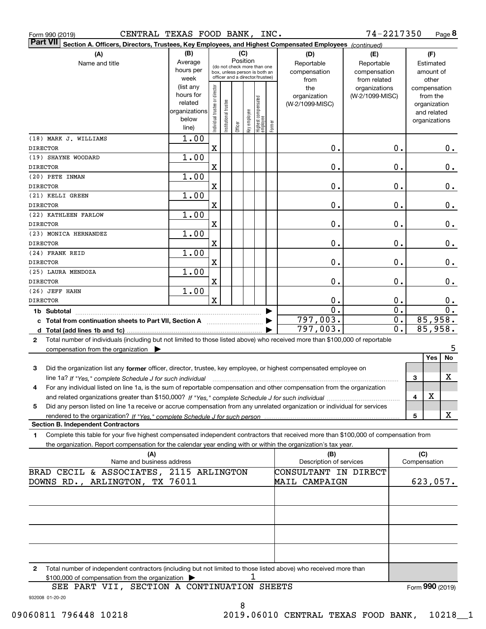| CENTRAL TEXAS FOOD BANK, INC.<br>Form 990 (2019)                                                                                          |                        |                                                                                                 |                       |         |              |                                   |              |                                 | 74-2217350             |              |                             | Page 8        |
|-------------------------------------------------------------------------------------------------------------------------------------------|------------------------|-------------------------------------------------------------------------------------------------|-----------------------|---------|--------------|-----------------------------------|--------------|---------------------------------|------------------------|--------------|-----------------------------|---------------|
| <b>Part VII</b><br>Section A. Officers, Directors, Trustees, Key Employees, and Highest Compensated Employees (continued)                 |                        |                                                                                                 |                       |         |              |                                   |              |                                 |                        |              |                             |               |
| (A)                                                                                                                                       | (B)<br>(C)<br>Position |                                                                                                 |                       |         |              |                                   |              | (D)                             | (E)                    |              | (F)                         |               |
| Name and title                                                                                                                            | Average                |                                                                                                 |                       |         |              |                                   |              | Reportable                      | Reportable             |              | Estimated                   |               |
|                                                                                                                                           | hours per              | (do not check more than one<br>box, unless person is both an<br>officer and a director/trustee) |                       |         |              |                                   | compensation | compensation                    |                        | amount of    |                             |               |
|                                                                                                                                           | week                   |                                                                                                 |                       |         |              |                                   |              | from                            | from related           |              | other                       |               |
|                                                                                                                                           | (list any<br>hours for |                                                                                                 |                       |         |              |                                   |              | the                             | organizations          |              | compensation                |               |
|                                                                                                                                           | related                |                                                                                                 |                       |         |              |                                   |              | organization<br>(W-2/1099-MISC) | (W-2/1099-MISC)        |              | from the                    |               |
|                                                                                                                                           | organizations          |                                                                                                 |                       |         |              |                                   |              |                                 |                        |              | organization<br>and related |               |
|                                                                                                                                           | below                  |                                                                                                 |                       |         |              |                                   |              |                                 |                        |              | organizations               |               |
|                                                                                                                                           | line)                  | Individual trustee or director                                                                  | Institutional trustee | Officer | key employee | Highest compensated<br>  employee | Former       |                                 |                        |              |                             |               |
| (18) MARK J. WILLIAMS                                                                                                                     | 1.00                   |                                                                                                 |                       |         |              |                                   |              |                                 |                        |              |                             |               |
| DIRECTOR                                                                                                                                  |                        | X                                                                                               |                       |         |              |                                   |              | $\mathbf 0$ .                   | 0.                     |              |                             | $0$ .         |
| (19) SHAYNE WOODARD                                                                                                                       | 1.00                   |                                                                                                 |                       |         |              |                                   |              |                                 |                        |              |                             |               |
| DIRECTOR                                                                                                                                  |                        | X                                                                                               |                       |         |              |                                   |              | 0.                              | 0.                     |              |                             | 0.            |
| (20) PETE INMAN                                                                                                                           | 1.00                   |                                                                                                 |                       |         |              |                                   |              |                                 |                        |              |                             |               |
| <b>DIRECTOR</b>                                                                                                                           |                        | $\mathbf X$                                                                                     |                       |         |              |                                   |              | 0.                              | 0.                     |              |                             | 0.            |
| (21) KELLI GREEN                                                                                                                          | 1.00                   |                                                                                                 |                       |         |              |                                   |              |                                 |                        |              |                             |               |
| DIRECTOR                                                                                                                                  |                        | $\mathbf X$                                                                                     |                       |         |              |                                   |              | 0.                              | 0.                     |              |                             | 0.            |
| (22) KATHLEEN FARLOW                                                                                                                      | 1.00                   |                                                                                                 |                       |         |              |                                   |              |                                 |                        |              |                             |               |
| <b>DIRECTOR</b>                                                                                                                           |                        | X                                                                                               |                       |         |              |                                   |              | 0.                              | 0.                     |              |                             | 0.            |
| (23) MONICA HERNANDEZ                                                                                                                     | 1.00                   |                                                                                                 |                       |         |              |                                   |              |                                 |                        |              |                             |               |
| DIRECTOR                                                                                                                                  |                        | $\mathbf X$                                                                                     |                       |         |              |                                   |              | 0.                              | 0.                     |              |                             | 0.            |
| (24) FRANK REID                                                                                                                           | 1.00                   |                                                                                                 |                       |         |              |                                   |              |                                 |                        |              |                             |               |
| DIRECTOR                                                                                                                                  |                        | $\mathbf X$                                                                                     |                       |         |              |                                   |              | 0.                              | 0.                     |              |                             | 0.            |
| (25) LAURA MENDOZA                                                                                                                        | 1.00                   |                                                                                                 |                       |         |              |                                   |              |                                 |                        |              |                             |               |
| DIRECTOR                                                                                                                                  |                        | X                                                                                               |                       |         |              |                                   |              | 0.                              | 0.                     |              |                             | $\mathbf 0$ . |
| (26) JEFF HAHN                                                                                                                            | 1.00                   | X                                                                                               |                       |         |              |                                   |              |                                 |                        |              |                             |               |
| DIRECTOR                                                                                                                                  |                        |                                                                                                 |                       |         |              |                                   |              | $\mathbf 0$ .<br>0.             | 0.<br>$\overline{0}$ . |              |                             | 0.<br>0.      |
| 1b Subtotal                                                                                                                               |                        |                                                                                                 |                       |         |              |                                   |              | 797,003.                        | $\overline{0}$ .       |              | 85,958.                     |               |
| c Total from continuation sheets to Part VII, Section A                                                                                   |                        |                                                                                                 |                       |         |              |                                   |              | 797,003.                        | $\overline{0}$ .       |              | 85,958.                     |               |
| Total number of individuals (including but not limited to those listed above) who received more than \$100,000 of reportable              |                        |                                                                                                 |                       |         |              |                                   |              |                                 |                        |              |                             |               |
| 2<br>compensation from the organization $\blacktriangleright$                                                                             |                        |                                                                                                 |                       |         |              |                                   |              |                                 |                        |              |                             | 5             |
|                                                                                                                                           |                        |                                                                                                 |                       |         |              |                                   |              |                                 |                        |              | Yes                         | No            |
| 3<br>Did the organization list any former officer, director, trustee, key employee, or highest compensated employee on                    |                        |                                                                                                 |                       |         |              |                                   |              |                                 |                        |              |                             |               |
| line 1a? If "Yes," complete Schedule J for such individual manufactured contained and the Ves," complete Schedule J for such individual   |                        |                                                                                                 |                       |         |              |                                   |              |                                 |                        | 3            |                             | х             |
| For any individual listed on line 1a, is the sum of reportable compensation and other compensation from the organization<br>4             |                        |                                                                                                 |                       |         |              |                                   |              |                                 |                        |              |                             |               |
|                                                                                                                                           |                        |                                                                                                 |                       |         |              |                                   |              |                                 |                        | 4            | х                           |               |
| Did any person listed on line 1a receive or accrue compensation from any unrelated organization or individual for services<br>5           |                        |                                                                                                 |                       |         |              |                                   |              |                                 |                        |              |                             |               |
|                                                                                                                                           |                        |                                                                                                 |                       |         |              |                                   |              |                                 |                        | 5            |                             | X             |
| <b>Section B. Independent Contractors</b>                                                                                                 |                        |                                                                                                 |                       |         |              |                                   |              |                                 |                        |              |                             |               |
| Complete this table for your five highest compensated independent contractors that received more than \$100,000 of compensation from<br>1 |                        |                                                                                                 |                       |         |              |                                   |              |                                 |                        |              |                             |               |
| the organization. Report compensation for the calendar year ending with or within the organization's tax year.                            |                        |                                                                                                 |                       |         |              |                                   |              |                                 |                        |              |                             |               |
| (A)                                                                                                                                       |                        |                                                                                                 |                       |         |              |                                   |              | (B)                             |                        |              | (C)                         |               |
| Name and business address                                                                                                                 |                        |                                                                                                 |                       |         |              |                                   |              | Description of services         |                        | Compensation |                             |               |
| BRAD CECIL & ASSOCIATES, 2115 ARLINGTON                                                                                                   |                        |                                                                                                 |                       |         |              |                                   |              | CONSULTANT IN DIRECT            |                        |              |                             |               |
| ARLINGTON, TX 76011<br>DOWNS RD.,                                                                                                         |                        |                                                                                                 |                       |         |              |                                   |              | MAIL CAMPAIGN                   |                        |              | 623,057.                    |               |
|                                                                                                                                           |                        |                                                                                                 |                       |         |              |                                   |              |                                 |                        |              |                             |               |
|                                                                                                                                           |                        |                                                                                                 |                       |         |              |                                   |              |                                 |                        |              |                             |               |
|                                                                                                                                           |                        |                                                                                                 |                       |         |              |                                   |              |                                 |                        |              |                             |               |
|                                                                                                                                           |                        |                                                                                                 |                       |         |              |                                   |              |                                 |                        |              |                             |               |
|                                                                                                                                           |                        |                                                                                                 |                       |         |              |                                   |              |                                 |                        |              |                             |               |
|                                                                                                                                           |                        |                                                                                                 |                       |         |              |                                   |              |                                 |                        |              |                             |               |
|                                                                                                                                           |                        |                                                                                                 |                       |         |              |                                   |              |                                 |                        |              |                             |               |
| Total number of independent contractors (including but not limited to those listed above) who received more than<br>2                     |                        |                                                                                                 |                       |         |              |                                   |              |                                 |                        |              |                             |               |

\$100,000 of compensation from the organization  $\quadblacktriangleright$   $\qquad \qquad$   $\qquad \qquad 1$ 

Form (2019) **990**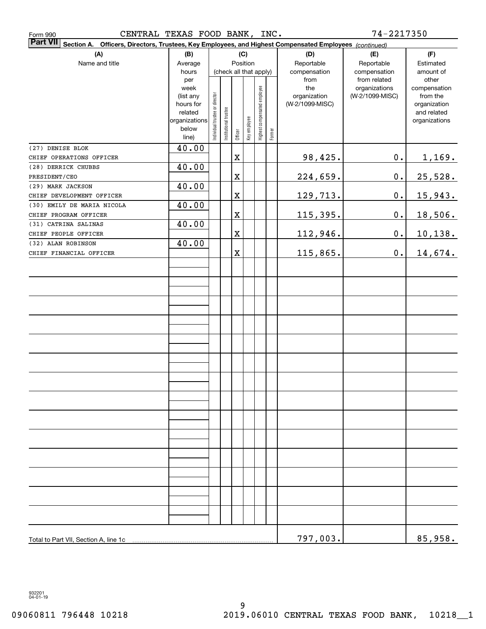| CENTRAL TEXAS FOOD BANK,<br>Form 990                                                                                                |                      |                               |                        |             |              |                              | INC.   |                 | 74-2217350      |                             |
|-------------------------------------------------------------------------------------------------------------------------------------|----------------------|-------------------------------|------------------------|-------------|--------------|------------------------------|--------|-----------------|-----------------|-----------------------------|
| <b>Part VII</b><br><b>Section A.</b><br>Officers, Directors, Trustees, Key Employees, and Highest Compensated Employees (continued) |                      |                               |                        |             |              |                              |        |                 |                 |                             |
| (A)                                                                                                                                 | (B)                  |                               |                        |             | (C)          |                              |        | (D)             | (E)             | (F)                         |
| Name and title                                                                                                                      | Average              |                               |                        |             | Position     |                              |        | Reportable      | Reportable      | Estimated                   |
|                                                                                                                                     | hours                |                               | (check all that apply) |             |              |                              |        | compensation    | compensation    | amount of                   |
|                                                                                                                                     | per                  |                               |                        |             |              |                              |        | from            | from related    | other                       |
|                                                                                                                                     | week                 |                               |                        |             |              |                              |        | the             | organizations   | compensation                |
|                                                                                                                                     | (list any            |                               |                        |             |              |                              |        | organization    | (W-2/1099-MISC) | from the                    |
|                                                                                                                                     | hours for<br>related |                               |                        |             |              |                              |        | (W-2/1099-MISC) |                 | organization<br>and related |
|                                                                                                                                     | organizations        | ndividual trustee or director | Institutional trustee  |             |              | Highest compensated employee |        |                 |                 | organizations               |
|                                                                                                                                     | below                |                               |                        |             | Key employee |                              |        |                 |                 |                             |
|                                                                                                                                     | line)                |                               |                        | Officer     |              |                              | Former |                 |                 |                             |
| (27) DENISE BLOK                                                                                                                    | 40.00                |                               |                        |             |              |                              |        |                 |                 |                             |
| CHIEF OPERATIONS OFFICER                                                                                                            |                      |                               |                        | $\mathbf X$ |              |                              |        | 98,425.         | $0$ .           | <u>1,169.</u>               |
| (28) DERRICK CHUBBS                                                                                                                 | 40.00                |                               |                        |             |              |                              |        |                 |                 |                             |
| PRESIDENT/CEO                                                                                                                       |                      |                               |                        | $\mathbf X$ |              |                              |        | 224,659.        | $\mathbf 0$ .   | 25,528.                     |
| (29) MARK JACKSON                                                                                                                   | 40.00                |                               |                        |             |              |                              |        |                 |                 |                             |
| CHIEF DEVELOPMENT OFFICER                                                                                                           |                      |                               |                        | $\mathbf X$ |              |                              |        | 129,713.        | $\mathbf 0$ .   | 15,943.                     |
| (30) EMILY DE MARIA NICOLA                                                                                                          | 40.00                |                               |                        |             |              |                              |        |                 |                 |                             |
| CHIEF PROGRAM OFFICER                                                                                                               |                      |                               |                        | $\mathbf X$ |              |                              |        | 115,395.        | $\mathbf 0$ .   | 18,506.                     |
| (31) CATRINA SALINAS                                                                                                                | 40.00                |                               |                        |             |              |                              |        |                 |                 |                             |
| CHIEF PEOPLE OFFICER                                                                                                                |                      |                               |                        | $\mathbf X$ |              |                              |        | 112,946.        | $\mathbf 0$ .   | 10,138.                     |
| (32) ALAN ROBINSON                                                                                                                  | 40.00                |                               |                        |             |              |                              |        |                 |                 |                             |
| CHIEF FINANCIAL OFFICER                                                                                                             |                      |                               |                        | $\mathbf X$ |              |                              |        | 115,865.        | $\mathbf 0$ .   | 14,674.                     |
|                                                                                                                                     |                      |                               |                        |             |              |                              |        |                 |                 |                             |
|                                                                                                                                     |                      |                               |                        |             |              |                              |        |                 |                 |                             |
|                                                                                                                                     |                      |                               |                        |             |              |                              |        |                 |                 |                             |
|                                                                                                                                     |                      |                               |                        |             |              |                              |        |                 |                 |                             |
|                                                                                                                                     |                      |                               |                        |             |              |                              |        |                 |                 |                             |
|                                                                                                                                     |                      |                               |                        |             |              |                              |        |                 |                 |                             |
|                                                                                                                                     |                      |                               |                        |             |              |                              |        |                 |                 |                             |
|                                                                                                                                     |                      |                               |                        |             |              |                              |        |                 |                 |                             |
|                                                                                                                                     |                      |                               |                        |             |              |                              |        |                 |                 |                             |
|                                                                                                                                     |                      |                               |                        |             |              |                              |        |                 |                 |                             |
|                                                                                                                                     |                      |                               |                        |             |              |                              |        |                 |                 |                             |
|                                                                                                                                     |                      |                               |                        |             |              |                              |        |                 |                 |                             |
|                                                                                                                                     |                      |                               |                        |             |              |                              |        |                 |                 |                             |
|                                                                                                                                     |                      |                               |                        |             |              |                              |        |                 |                 |                             |
|                                                                                                                                     |                      |                               |                        |             |              |                              |        |                 |                 |                             |
|                                                                                                                                     |                      |                               |                        |             |              |                              |        |                 |                 |                             |
|                                                                                                                                     |                      |                               |                        |             |              |                              |        |                 |                 |                             |
|                                                                                                                                     |                      |                               |                        |             |              |                              |        |                 |                 |                             |
|                                                                                                                                     |                      |                               |                        |             |              |                              |        |                 |                 |                             |
|                                                                                                                                     |                      |                               |                        |             |              |                              |        |                 |                 |                             |
|                                                                                                                                     |                      |                               |                        |             |              |                              |        |                 |                 |                             |
|                                                                                                                                     |                      |                               |                        |             |              |                              |        |                 |                 |                             |
|                                                                                                                                     |                      |                               |                        |             |              |                              |        |                 |                 |                             |
|                                                                                                                                     |                      |                               |                        |             |              |                              |        |                 |                 |                             |
|                                                                                                                                     |                      |                               |                        |             |              |                              |        |                 |                 |                             |
|                                                                                                                                     |                      |                               |                        |             |              |                              |        |                 |                 |                             |
|                                                                                                                                     |                      |                               |                        |             |              |                              |        |                 |                 |                             |
|                                                                                                                                     |                      |                               |                        |             |              |                              |        |                 |                 |                             |
|                                                                                                                                     |                      |                               |                        |             |              |                              |        | 797,003.        |                 | 85,958.                     |

932201 04-01-19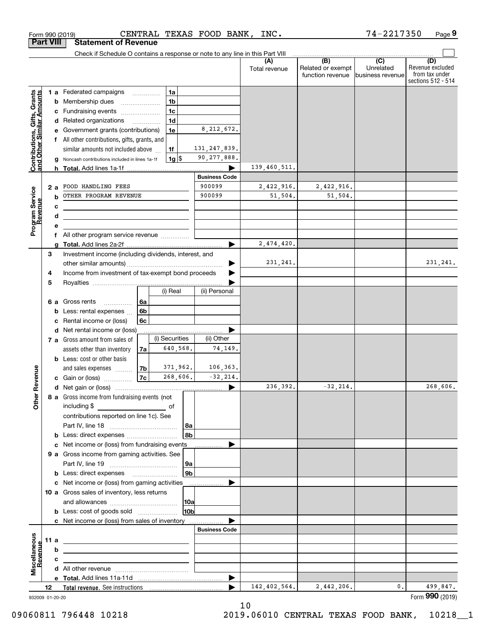|                                                           | <b>Part VIII</b> |        | <b>Statement of Revenue</b>                                                                                            |                      |                         |                      |                                              |                                                 |                                                                 |
|-----------------------------------------------------------|------------------|--------|------------------------------------------------------------------------------------------------------------------------|----------------------|-------------------------|----------------------|----------------------------------------------|-------------------------------------------------|-----------------------------------------------------------------|
|                                                           |                  |        | Check if Schedule O contains a response or note to any line in this Part VIII                                          |                      |                         |                      |                                              |                                                 |                                                                 |
|                                                           |                  |        |                                                                                                                        |                      |                         | (A)<br>Total revenue | (B)<br>Related or exempt<br>function revenue | $\overline{C}$<br>Unrelated<br>business revenue | (D)<br>Revenue excluded<br>from tax under<br>sections 512 - 514 |
|                                                           |                  |        | <b>1 a</b> Federated campaigns<br>.                                                                                    | 1a                   |                         |                      |                                              |                                                 |                                                                 |
| Contributions, Gifts, Grants<br>and Other Similar Amounts |                  | b      | Membership dues                                                                                                        | 1 <sub>b</sub>       |                         |                      |                                              |                                                 |                                                                 |
|                                                           |                  | c      | Fundraising events                                                                                                     | 1 <sub>c</sub>       |                         |                      |                                              |                                                 |                                                                 |
|                                                           |                  |        | d Related organizations                                                                                                | 1 <sub>d</sub>       |                         |                      |                                              |                                                 |                                                                 |
|                                                           |                  |        | Government grants (contributions)                                                                                      | 1e                   | 8, 212, 672.            |                      |                                              |                                                 |                                                                 |
|                                                           |                  | f      | All other contributions, gifts, grants, and                                                                            |                      |                         |                      |                                              |                                                 |                                                                 |
|                                                           |                  |        | similar amounts not included above                                                                                     | 1f                   | 131, 247, 839.          |                      |                                              |                                                 |                                                                 |
|                                                           |                  |        | Noncash contributions included in lines 1a-1f                                                                          | $1g$ \$              | 90, 277, 888.           |                      |                                              |                                                 |                                                                 |
|                                                           |                  |        |                                                                                                                        |                      |                         | 139,460,511.         |                                              |                                                 |                                                                 |
|                                                           |                  |        |                                                                                                                        |                      | <b>Business Code</b>    |                      |                                              |                                                 |                                                                 |
|                                                           |                  | 2 a    | FOOD HANDLING FEES                                                                                                     |                      | 900099                  | 2,422,916.           | 2,422,916.                                   |                                                 |                                                                 |
|                                                           |                  | b      | OTHER PROGRAM REVENUE                                                                                                  |                      | 900099                  | 51,504.              | 51,504.                                      |                                                 |                                                                 |
|                                                           |                  | с      |                                                                                                                        |                      |                         |                      |                                              |                                                 |                                                                 |
|                                                           |                  | d      |                                                                                                                        |                      |                         |                      |                                              |                                                 |                                                                 |
| Program Service<br>Revenue                                |                  | е<br>f | All other program service revenue                                                                                      |                      |                         |                      |                                              |                                                 |                                                                 |
|                                                           |                  | a      |                                                                                                                        |                      |                         | 2,474,420.           |                                              |                                                 |                                                                 |
|                                                           | 3                |        | Investment income (including dividends, interest, and                                                                  |                      |                         |                      |                                              |                                                 |                                                                 |
|                                                           |                  |        |                                                                                                                        |                      |                         | 231,241.             |                                              |                                                 | 231, 241.                                                       |
|                                                           | 4                |        | Income from investment of tax-exempt bond proceeds                                                                     |                      |                         |                      |                                              |                                                 |                                                                 |
|                                                           | 5                |        |                                                                                                                        |                      |                         |                      |                                              |                                                 |                                                                 |
|                                                           |                  |        |                                                                                                                        | (i) Real             | (ii) Personal           |                      |                                              |                                                 |                                                                 |
|                                                           |                  | 6а     | Gross rents<br>l 6a<br>.                                                                                               |                      |                         |                      |                                              |                                                 |                                                                 |
|                                                           |                  | b      | 6 <sub>b</sub><br>Less: rental expenses                                                                                |                      |                         |                      |                                              |                                                 |                                                                 |
|                                                           |                  | c      | 6c<br>Rental income or (loss)                                                                                          |                      |                         |                      |                                              |                                                 |                                                                 |
|                                                           |                  | d      | Net rental income or (loss)                                                                                            |                      |                         |                      |                                              |                                                 |                                                                 |
|                                                           |                  |        | 7 a Gross amount from sales of                                                                                         | (i) Securities       | (ii) Other              |                      |                                              |                                                 |                                                                 |
|                                                           |                  |        | assets other than inventory<br>7a                                                                                      | 640,568.             | 74,149.                 |                      |                                              |                                                 |                                                                 |
|                                                           |                  |        | <b>b</b> Less: cost or other basis                                                                                     |                      |                         |                      |                                              |                                                 |                                                                 |
| Revenue                                                   |                  |        | 7 <sub>b</sub>  <br>and sales expenses                                                                                 | 371,962.<br>268,606. | 106,363.<br>$-32, 214.$ |                      |                                              |                                                 |                                                                 |
|                                                           |                  |        | 7c <br><b>c</b> Gain or (loss) $\ldots$                                                                                |                      |                         | 236,392.             | $-32, 214.$                                  |                                                 | 268,606.                                                        |
|                                                           |                  |        | 8 a Gross income from fundraising events (not                                                                          |                      |                         |                      |                                              |                                                 |                                                                 |
| <b>Othe</b>                                               |                  |        | including \$                                                                                                           |                      |                         |                      |                                              |                                                 |                                                                 |
|                                                           |                  |        | contributions reported on line 1c). See                                                                                |                      |                         |                      |                                              |                                                 |                                                                 |
|                                                           |                  |        |                                                                                                                        | 8a                   |                         |                      |                                              |                                                 |                                                                 |
|                                                           |                  |        |                                                                                                                        | 8b                   |                         |                      |                                              |                                                 |                                                                 |
|                                                           |                  |        | c Net income or (loss) from fundraising events                                                                         |                      |                         |                      |                                              |                                                 |                                                                 |
|                                                           |                  |        | 9 a Gross income from gaming activities. See                                                                           |                      |                         |                      |                                              |                                                 |                                                                 |
|                                                           |                  |        |                                                                                                                        | 9a                   |                         |                      |                                              |                                                 |                                                                 |
|                                                           |                  |        | <b>b</b> Less: direct expenses <b>manually</b>                                                                         | 9 <sub>b</sub>       |                         |                      |                                              |                                                 |                                                                 |
|                                                           |                  |        |                                                                                                                        |                      |                         |                      |                                              |                                                 |                                                                 |
|                                                           |                  |        | 10 a Gross sales of inventory, less returns                                                                            |                      |                         |                      |                                              |                                                 |                                                                 |
|                                                           |                  |        |                                                                                                                        | 10a                  |                         |                      |                                              |                                                 |                                                                 |
|                                                           |                  |        | <b>b</b> Less: cost of goods sold                                                                                      | 10bl                 |                         |                      |                                              |                                                 |                                                                 |
|                                                           |                  |        | c Net income or (loss) from sales of inventory                                                                         |                      |                         |                      |                                              |                                                 |                                                                 |
|                                                           |                  |        |                                                                                                                        |                      | <b>Business Code</b>    |                      |                                              |                                                 |                                                                 |
|                                                           | 11 a             |        | <u> 1989 - Johann Stoff, deutscher Stoffen und der Stoffen und der Stoffen und der Stoffen und der Stoffen und der</u> |                      |                         |                      |                                              |                                                 |                                                                 |
| Revenue                                                   |                  | b      | <u> 1989 - Johann Stein, marwolaethau a bhann an t-Amhair an t-Amhair an t-Amhair an t-Amhair an t-Amhair an t-A</u>   |                      |                         |                      |                                              |                                                 |                                                                 |
| Miscellaneous                                             |                  | c      | the control of the control of the control of the control of the control of the control of                              |                      |                         |                      |                                              |                                                 |                                                                 |
|                                                           |                  |        |                                                                                                                        |                      |                         |                      |                                              |                                                 |                                                                 |
|                                                           | 12               |        |                                                                                                                        |                      |                         | 142, 402, 564.       | 2,442,206.                                   | 0.                                              | 499,847.                                                        |
| 932009 01-20-20                                           |                  |        |                                                                                                                        |                      |                         |                      |                                              |                                                 | Form 990 (2019)                                                 |
|                                                           |                  |        |                                                                                                                        |                      |                         |                      |                                              |                                                 |                                                                 |

 $\epsilon$ orm 990 (2019) CENTRAL TEXAS FOOD BANK, INC. / 4-2 2 1 / 3 5 0 Page

CENTRAL TEXAS FOOD BANK, INC.

**9**

74-2217350

932009 01-20-20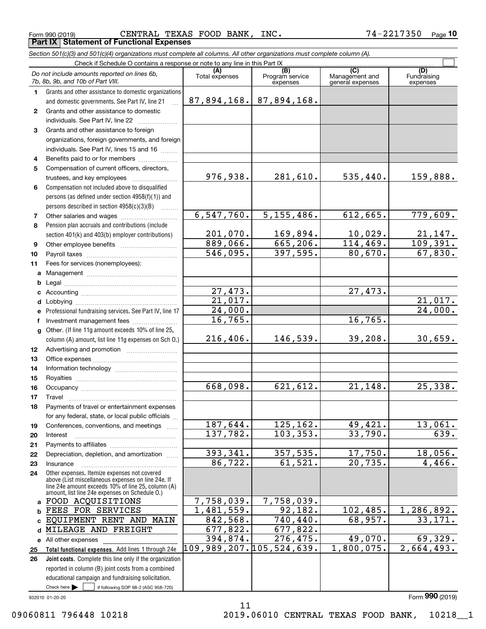Form 990 (2019) CENTRAL TEXAS FOOD BANK, INC. 7 $4\texttt{-}2217350$  <sub>Page</sub> **Part IX Statement of Functional Expenses**

*Section 501(c)(3) and 501(c)(4) organizations must complete all columns. All other organizations must complete column (A).*

|                  | Check if Schedule O contains a response or note to any line in this Part IX |                          |                        |                       |                            |  |  |  |  |
|------------------|-----------------------------------------------------------------------------|--------------------------|------------------------|-----------------------|----------------------------|--|--|--|--|
|                  | Do not include amounts reported on lines 6b,                                | (A)<br>Total expenses    | (B)<br>Program service | (C)<br>Management and | (D)<br>Fundraising         |  |  |  |  |
|                  | 7b, 8b, 9b, and 10b of Part VIII.                                           |                          | expenses               | general expenses      | expenses                   |  |  |  |  |
| 1.               | Grants and other assistance to domestic organizations                       |                          |                        |                       |                            |  |  |  |  |
|                  | and domestic governments. See Part IV, line 21                              | 87,894,168.              | 87,894,168.            |                       |                            |  |  |  |  |
| $\mathbf{2}$     | Grants and other assistance to domestic                                     |                          |                        |                       |                            |  |  |  |  |
|                  | individuals. See Part IV, line 22                                           |                          |                        |                       |                            |  |  |  |  |
| 3                | Grants and other assistance to foreign                                      |                          |                        |                       |                            |  |  |  |  |
|                  | organizations, foreign governments, and foreign                             |                          |                        |                       |                            |  |  |  |  |
|                  | individuals. See Part IV, lines 15 and 16                                   |                          |                        |                       |                            |  |  |  |  |
| 4                | Benefits paid to or for members                                             |                          |                        |                       |                            |  |  |  |  |
| 5                | Compensation of current officers, directors,                                |                          |                        |                       |                            |  |  |  |  |
|                  | trustees, and key employees                                                 | 976,938.                 | 281,610.               | 535,440.              | 159,888.                   |  |  |  |  |
| 6                | Compensation not included above to disqualified                             |                          |                        |                       |                            |  |  |  |  |
|                  | persons (as defined under section 4958(f)(1)) and                           |                          |                        |                       |                            |  |  |  |  |
|                  | persons described in section 4958(c)(3)(B)                                  |                          |                        |                       |                            |  |  |  |  |
| 7                |                                                                             | 6, 547, 760.             | 5, 155, 486.           | 612,665.              | 779,609.                   |  |  |  |  |
| 8                | Pension plan accruals and contributions (include                            |                          |                        |                       |                            |  |  |  |  |
|                  | section 401(k) and 403(b) employer contributions)                           | 201,070.                 | 169,894.               | 10,029.               | $\frac{21,147}{109,391}$ . |  |  |  |  |
| 9                |                                                                             | 889,066.                 | 665, 206.              | 114, 469.             |                            |  |  |  |  |
| 10               |                                                                             | 546,095.                 | 397,595.               | 80,670.               | 67,830.                    |  |  |  |  |
| 11               | Fees for services (nonemployees):                                           |                          |                        |                       |                            |  |  |  |  |
| a                |                                                                             |                          |                        |                       |                            |  |  |  |  |
| b                |                                                                             |                          |                        |                       |                            |  |  |  |  |
| c                |                                                                             | 27,473.                  |                        | 27,473.               |                            |  |  |  |  |
| d                |                                                                             | 21,017.                  |                        |                       | 21,017.                    |  |  |  |  |
| е                | Professional fundraising services. See Part IV, line 17                     | 24,000.                  |                        |                       | 24,000.                    |  |  |  |  |
| f                | Investment management fees                                                  | 16,765.                  |                        | 16,765.               |                            |  |  |  |  |
| g                | Other. (If line 11g amount exceeds 10% of line 25,                          |                          |                        |                       |                            |  |  |  |  |
|                  | column (A) amount, list line 11g expenses on Sch O.)                        | 216,406.                 | 146,539.               | 39,208.               | 30,659.                    |  |  |  |  |
| 12 <sup>12</sup> |                                                                             |                          |                        |                       |                            |  |  |  |  |
| 13               |                                                                             |                          |                        |                       |                            |  |  |  |  |
| 14               |                                                                             |                          |                        |                       |                            |  |  |  |  |
| 15               |                                                                             |                          |                        |                       |                            |  |  |  |  |
| 16               |                                                                             | 668,098.                 | 621,612.               | 21,148.               | 25,338.                    |  |  |  |  |
| 17               | Travel                                                                      |                          |                        |                       |                            |  |  |  |  |
| 18               | Payments of travel or entertainment expenses                                |                          |                        |                       |                            |  |  |  |  |
|                  | for any federal, state, or local public officials                           |                          |                        |                       |                            |  |  |  |  |
| 19               | Conferences, conventions, and meetings                                      | 187,644.                 | 125, 162.              | 49, 421.              | 13,061.                    |  |  |  |  |
| 20               | Interest                                                                    | 137,782.                 | 103, 353.              | 33,790.               | 639.                       |  |  |  |  |
| 21               |                                                                             | 393,341.                 |                        | 17,750.               | 18,056.                    |  |  |  |  |
| 22               | Depreciation, depletion, and amortization                                   | 86,722.                  | 357,535.<br>61,521.    | 20,735.               | 4,466.                     |  |  |  |  |
| 23               | Insurance<br>Other expenses. Itemize expenses not covered                   |                          |                        |                       |                            |  |  |  |  |
| 24               | above (List miscellaneous expenses on line 24e. If                          |                          |                        |                       |                            |  |  |  |  |
|                  | line 24e amount exceeds 10% of line 25, column (A)                          |                          |                        |                       |                            |  |  |  |  |
|                  | amount, list line 24e expenses on Schedule O.)<br>FOOD ACQUISITIONS         | 7,758,039.               | 7,758,039.             |                       |                            |  |  |  |  |
| a<br>b           | FEES FOR SERVICES                                                           | 1,481,559.               | 92, 182.               | 102,485.              | 1,286,892.                 |  |  |  |  |
| C                | EQUIPMENT RENT AND MAIN                                                     | 842,568.                 | 740,440.               | 68,957.               | 33,171.                    |  |  |  |  |
| d                | MILEAGE AND FREIGHT                                                         | 677,822.                 | 677,822.               |                       |                            |  |  |  |  |
| е                | All other expenses                                                          | 394,874.                 | 276,475.               | 49,070.               | 69,329.                    |  |  |  |  |
| 25               | Total functional expenses. Add lines 1 through 24e                          | 109,989,207.105,524,639. |                        | 1,800,075.            | 2,664,493.                 |  |  |  |  |
| 26               | Joint costs. Complete this line only if the organization                    |                          |                        |                       |                            |  |  |  |  |
|                  | reported in column (B) joint costs from a combined                          |                          |                        |                       |                            |  |  |  |  |
|                  | educational campaign and fundraising solicitation.                          |                          |                        |                       |                            |  |  |  |  |
|                  | Check here<br>if following SOP 98-2 (ASC 958-720)                           |                          |                        |                       |                            |  |  |  |  |
|                  |                                                                             |                          |                        |                       |                            |  |  |  |  |

932010 01-20-20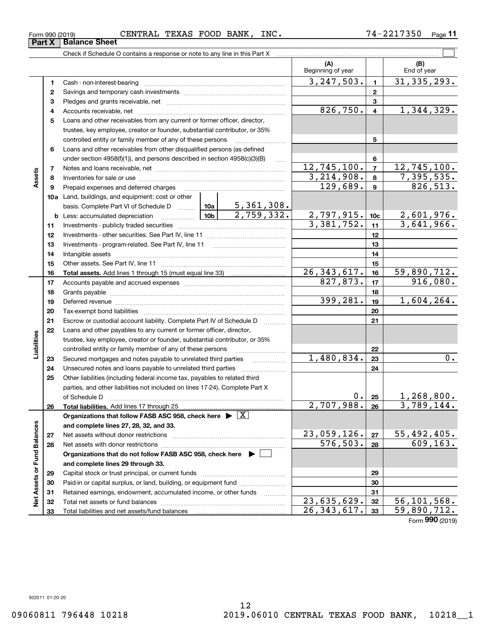**Part X Balance Sheet** 

|                             |    |                                                                                            |            |                 | (A)<br>Beginning of year    |                           | (B)<br>End of year |
|-----------------------------|----|--------------------------------------------------------------------------------------------|------------|-----------------|-----------------------------|---------------------------|--------------------|
|                             | 1  |                                                                                            |            |                 | 3, 247, 503.                | $\mathbf{1}$              | 31, 335, 293.      |
|                             | 2  |                                                                                            |            |                 | $\mathbf{2}$                |                           |                    |
|                             | 3  |                                                                                            |            |                 |                             | 3                         |                    |
|                             | 4  |                                                                                            |            |                 | 826,750.                    | $\overline{\mathbf{4}}$   | 1,344,329.         |
|                             | 5  | Loans and other receivables from any current or former officer, director,                  |            |                 |                             |                           |                    |
|                             |    | trustee, key employee, creator or founder, substantial contributor, or 35%                 |            |                 |                             |                           |                    |
|                             |    | controlled entity or family member of any of these persons                                 |            |                 |                             | 5                         |                    |
|                             | 6  | Loans and other receivables from other disqualified persons (as defined                    |            |                 |                             |                           |                    |
|                             |    | under section $4958(f)(1)$ , and persons described in section $4958(c)(3)(B)$              |            |                 |                             | 6                         |                    |
|                             | 7  |                                                                                            |            | 12,745,100.     | $\overline{7}$              | $\overline{12,745,100}$ . |                    |
| Assets                      | 8  |                                                                                            |            |                 | 3, 214, 908.                | 8                         | 7,395,535.         |
|                             | 9  | Prepaid expenses and deferred charges                                                      |            |                 | 129,689.                    | $\mathbf{9}$              | 826,513.           |
|                             |    | <b>10a</b> Land, buildings, and equipment: cost or other                                   |            |                 |                             |                           |                    |
|                             |    | basis. Complete Part VI of Schedule D  10a   5, 361, 308.                                  |            | 2,759,332.      |                             |                           |                    |
|                             |    | <b>b</b> Less: accumulated depreciation                                                    | 2,797,915. | 10 <sub>c</sub> | 2,601,976.                  |                           |                    |
|                             | 11 |                                                                                            | 3,381,752. | 11              | 3,641,966.                  |                           |                    |
|                             | 12 |                                                                                            |            | 12              |                             |                           |                    |
|                             | 13 |                                                                                            |            | 13              |                             |                           |                    |
|                             | 14 |                                                                                            |            | 14              |                             |                           |                    |
|                             | 15 |                                                                                            |            | 15              |                             |                           |                    |
|                             | 16 |                                                                                            |            |                 | 26, 343, 617.               | 16                        | 59,890,712.        |
|                             | 17 |                                                                                            |            | 827,873.        | 17                          | 916,080.                  |                    |
|                             | 18 |                                                                                            |            | 18              |                             |                           |                    |
|                             | 19 |                                                                                            |            | 399,281.        | 19                          | 1,604,264.                |                    |
|                             | 20 |                                                                                            |            |                 |                             | 20                        |                    |
|                             | 21 | Escrow or custodial account liability. Complete Part IV of Schedule D                      |            |                 |                             | 21                        |                    |
|                             | 22 | Loans and other payables to any current or former officer, director,                       |            |                 |                             |                           |                    |
| Liabilities                 |    | trustee, key employee, creator or founder, substantial contributor, or 35%                 |            |                 |                             |                           |                    |
|                             |    | controlled entity or family member of any of these persons                                 |            |                 |                             | 22                        |                    |
|                             | 23 | Secured mortgages and notes payable to unrelated third parties                             |            |                 | 1,480,834.                  | 23                        | 0.                 |
|                             | 24 |                                                                                            |            |                 |                             | 24                        |                    |
|                             | 25 | Other liabilities (including federal income tax, payables to related third                 |            |                 |                             |                           |                    |
|                             |    | parties, and other liabilities not included on lines 17-24). Complete Part X               |            |                 |                             |                           |                    |
|                             |    |                                                                                            |            |                 | $0 \cdot$                   | 25                        | 1,268,800.         |
|                             | 26 |                                                                                            |            |                 | 2,707,988.                  | 26                        | 3,789,144.         |
|                             |    | Organizations that follow FASB ASC 958, check here $\blacktriangleright \lfloor X \rfloor$ |            |                 |                             |                           |                    |
|                             |    | and complete lines 27, 28, 32, and 33.                                                     |            |                 |                             |                           |                    |
|                             | 27 |                                                                                            |            |                 | 23,059,126.                 | 27                        | 55,492,405.        |
|                             | 28 |                                                                                            |            |                 | 576,503.                    | 28                        | 609, 163.          |
| Net Assets or Fund Balances |    | Organizations that do not follow FASB ASC 958, check here $\blacktriangleright$            |            |                 |                             |                           |                    |
|                             |    | and complete lines 29 through 33.                                                          |            |                 |                             |                           |                    |
|                             | 29 |                                                                                            |            |                 |                             | 29                        |                    |
|                             | 30 | Paid-in or capital surplus, or land, building, or equipment fund                           |            |                 |                             | 30                        |                    |
|                             | 31 | Retained earnings, endowment, accumulated income, or other funds                           |            |                 |                             | 31                        |                    |
|                             | 32 |                                                                                            |            |                 | $\overline{23}$ , 635, 629. | 32                        | 56,101,568.        |
|                             | 33 |                                                                                            |            |                 | 26, 343, 617.               | 33                        | 59,890,712.        |

Form (2019) **990**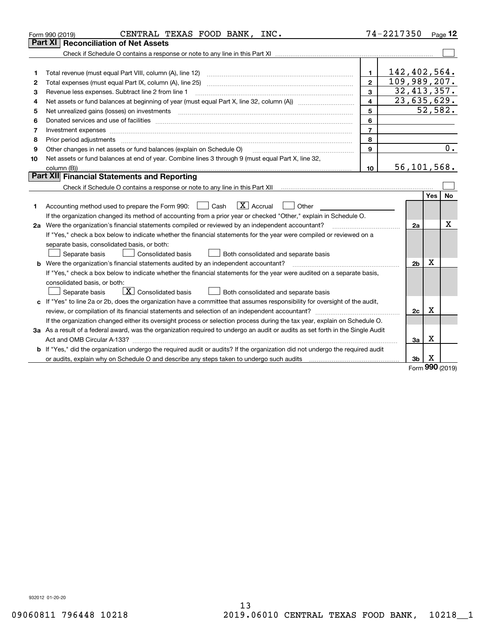|    | CENTRAL TEXAS FOOD BANK, INC.<br>Form 990 (2019)                                                                                                                                                                                                                                                                                                                                                                                                                                                    |                         | 74-2217350 |                |            | Page 12 |
|----|-----------------------------------------------------------------------------------------------------------------------------------------------------------------------------------------------------------------------------------------------------------------------------------------------------------------------------------------------------------------------------------------------------------------------------------------------------------------------------------------------------|-------------------------|------------|----------------|------------|---------|
|    | Part XI   Reconciliation of Net Assets                                                                                                                                                                                                                                                                                                                                                                                                                                                              |                         |            |                |            |         |
|    |                                                                                                                                                                                                                                                                                                                                                                                                                                                                                                     |                         |            |                |            |         |
|    |                                                                                                                                                                                                                                                                                                                                                                                                                                                                                                     |                         |            |                |            |         |
| 1  |                                                                                                                                                                                                                                                                                                                                                                                                                                                                                                     | 1.                      |            | 142,402,564.   |            |         |
| 2  |                                                                                                                                                                                                                                                                                                                                                                                                                                                                                                     | $\overline{2}$          |            | 109,989,207.   |            |         |
| з  | Revenue less expenses. Subtract line 2 from line 1                                                                                                                                                                                                                                                                                                                                                                                                                                                  | 3                       |            | 32,413,357.    |            |         |
| 4  |                                                                                                                                                                                                                                                                                                                                                                                                                                                                                                     | $\overline{\mathbf{4}}$ |            | 23,635,629.    |            |         |
| 5  | Net unrealized gains (losses) on investments<br>$\begin{minipage}{0.5\textwidth} \begin{tabular}{ l l l } \hline & \multicolumn{1}{ l l l } \hline & \multicolumn{1}{ l l } \hline \multicolumn{1}{ l } \hline \multicolumn{1}{ l } \hline \multicolumn{1}{ l } \hline \multicolumn{1}{ l } \hline \multicolumn{1}{ l } \hline \multicolumn{1}{ l } \hline \multicolumn{1}{ l } \hline \multicolumn{1}{ l } \hline \multicolumn{1}{ l } \hline \multicolumn{1}{ l } \hline \multicolumn{1}{ l } \h$ | 5                       |            |                | 52,582.    |         |
| 6  | Donated services and use of facilities [111] Donated and the service of facilities [11] Donated services and use of facilities [11] Donated and the service of the service of the service of the service of the service of the                                                                                                                                                                                                                                                                      | 6                       |            |                |            |         |
| 7  |                                                                                                                                                                                                                                                                                                                                                                                                                                                                                                     | $\overline{7}$          |            |                |            |         |
| 8  | Prior period adjustments www.communication.communication.com/news/communication.com/news/communication.com/new                                                                                                                                                                                                                                                                                                                                                                                      | 8                       |            |                |            |         |
| 9  | Other changes in net assets or fund balances (explain on Schedule O)                                                                                                                                                                                                                                                                                                                                                                                                                                | 9                       |            |                |            | 0.      |
| 10 | Net assets or fund balances at end of year. Combine lines 3 through 9 (must equal Part X, line 32,                                                                                                                                                                                                                                                                                                                                                                                                  |                         |            |                |            |         |
|    |                                                                                                                                                                                                                                                                                                                                                                                                                                                                                                     | 10                      |            | 56,101,568.    |            |         |
|    | Part XII Financial Statements and Reporting                                                                                                                                                                                                                                                                                                                                                                                                                                                         |                         |            |                |            |         |
|    |                                                                                                                                                                                                                                                                                                                                                                                                                                                                                                     |                         |            |                |            |         |
|    |                                                                                                                                                                                                                                                                                                                                                                                                                                                                                                     |                         |            |                | <b>Yes</b> | No      |
| 1  | $\boxed{\mathbf{X}}$ Accrual<br>Accounting method used to prepare the Form 990: <u>[16</u> ] Cash<br>Other                                                                                                                                                                                                                                                                                                                                                                                          |                         |            |                |            |         |
|    | If the organization changed its method of accounting from a prior year or checked "Other," explain in Schedule O.                                                                                                                                                                                                                                                                                                                                                                                   |                         |            |                |            |         |
|    | 2a Were the organization's financial statements compiled or reviewed by an independent accountant?                                                                                                                                                                                                                                                                                                                                                                                                  |                         |            | 2a             |            | х       |
|    | If "Yes," check a box below to indicate whether the financial statements for the year were compiled or reviewed on a                                                                                                                                                                                                                                                                                                                                                                                |                         |            |                |            |         |
|    | separate basis, consolidated basis, or both:                                                                                                                                                                                                                                                                                                                                                                                                                                                        |                         |            |                |            |         |
|    | Separate basis<br>Both consolidated and separate basis<br><b>Consolidated basis</b>                                                                                                                                                                                                                                                                                                                                                                                                                 |                         |            |                |            |         |
|    | <b>b</b> Were the organization's financial statements audited by an independent accountant?                                                                                                                                                                                                                                                                                                                                                                                                         |                         |            | 2 <sub>b</sub> | x          |         |
|    | If "Yes," check a box below to indicate whether the financial statements for the year were audited on a separate basis,                                                                                                                                                                                                                                                                                                                                                                             |                         |            |                |            |         |
|    | consolidated basis, or both:                                                                                                                                                                                                                                                                                                                                                                                                                                                                        |                         |            |                |            |         |
|    | $\boxed{\textbf{X}}$ Consolidated basis<br>Separate basis<br>Both consolidated and separate basis                                                                                                                                                                                                                                                                                                                                                                                                   |                         |            |                |            |         |
|    | c If "Yes" to line 2a or 2b, does the organization have a committee that assumes responsibility for oversight of the audit,                                                                                                                                                                                                                                                                                                                                                                         |                         |            |                |            |         |
|    |                                                                                                                                                                                                                                                                                                                                                                                                                                                                                                     |                         |            | 2c             | Х          |         |
|    | If the organization changed either its oversight process or selection process during the tax year, explain on Schedule O.                                                                                                                                                                                                                                                                                                                                                                           |                         |            |                |            |         |
|    | 3a As a result of a federal award, was the organization required to undergo an audit or audits as set forth in the Single Audit                                                                                                                                                                                                                                                                                                                                                                     |                         |            |                |            |         |
|    |                                                                                                                                                                                                                                                                                                                                                                                                                                                                                                     |                         |            | За             | х          |         |
|    | b If "Yes," did the organization undergo the required audit or audits? If the organization did not undergo the required audit                                                                                                                                                                                                                                                                                                                                                                       |                         |            |                |            |         |
|    |                                                                                                                                                                                                                                                                                                                                                                                                                                                                                                     |                         |            | 3b             | X<br>ററെ . |         |

Form (2019) **990**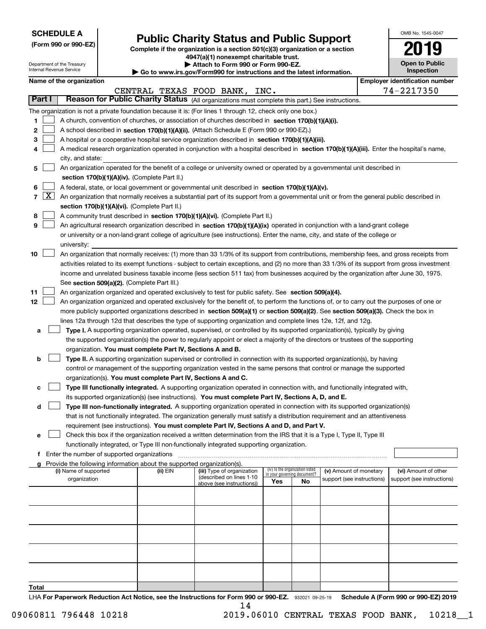| <b>SCHEDULE A</b> |
|-------------------|
|-------------------|

Department of the Treasury Internal Revenue Service

**(Form 990 or 990-EZ)**

# **Public Charity Status and Public Support**

**Complete if the organization is a section 501(c)(3) organization or a section 4947(a)(1) nonexempt charitable trust. | Attach to Form 990 or Form 990-EZ.** 

| <b>P</b> AUGUI IV I VIIII 330 VI I VIIII 330-LL.                         |  |
|--------------------------------------------------------------------------|--|
| ► Go to www.irs.gov/Form990 for instructions and the latest information. |  |
|                                                                          |  |

| OMB No. 1545-0047                   |
|-------------------------------------|
| 2019                                |
| <b>Open to Public</b><br>Inspection |

|        | Name of the organization<br><b>Employer identification number</b> |                                                                                                                                               |          |                                                       |                             |                                 |                            |  |                            |  |
|--------|-------------------------------------------------------------------|-----------------------------------------------------------------------------------------------------------------------------------------------|----------|-------------------------------------------------------|-----------------------------|---------------------------------|----------------------------|--|----------------------------|--|
|        |                                                                   |                                                                                                                                               |          | CENTRAL TEXAS FOOD BANK, INC.                         |                             |                                 |                            |  | 74-2217350                 |  |
| Part I |                                                                   | Reason for Public Charity Status (All organizations must complete this part.) See instructions.                                               |          |                                                       |                             |                                 |                            |  |                            |  |
|        |                                                                   | The organization is not a private foundation because it is: (For lines 1 through 12, check only one box.)                                     |          |                                                       |                             |                                 |                            |  |                            |  |
| 1      |                                                                   | A church, convention of churches, or association of churches described in section 170(b)(1)(A)(i).                                            |          |                                                       |                             |                                 |                            |  |                            |  |
| 2      |                                                                   | A school described in section 170(b)(1)(A)(ii). (Attach Schedule E (Form 990 or 990-EZ).)                                                     |          |                                                       |                             |                                 |                            |  |                            |  |
| з      |                                                                   | A hospital or a cooperative hospital service organization described in section 170(b)(1)(A)(iii).                                             |          |                                                       |                             |                                 |                            |  |                            |  |
|        |                                                                   | A medical research organization operated in conjunction with a hospital described in section 170(b)(1)(A)(iii). Enter the hospital's name,    |          |                                                       |                             |                                 |                            |  |                            |  |
|        |                                                                   | city, and state:                                                                                                                              |          |                                                       |                             |                                 |                            |  |                            |  |
| 5      |                                                                   | An organization operated for the benefit of a college or university owned or operated by a governmental unit described in                     |          |                                                       |                             |                                 |                            |  |                            |  |
|        |                                                                   | section 170(b)(1)(A)(iv). (Complete Part II.)                                                                                                 |          |                                                       |                             |                                 |                            |  |                            |  |
| 6      |                                                                   | A federal, state, or local government or governmental unit described in section 170(b)(1)(A)(v).                                              |          |                                                       |                             |                                 |                            |  |                            |  |
| 7      | $\boxed{\text{X}}$                                                | An organization that normally receives a substantial part of its support from a governmental unit or from the general public described in     |          |                                                       |                             |                                 |                            |  |                            |  |
|        |                                                                   | section 170(b)(1)(A)(vi). (Complete Part II.)                                                                                                 |          |                                                       |                             |                                 |                            |  |                            |  |
| 8      |                                                                   | A community trust described in section 170(b)(1)(A)(vi). (Complete Part II.)                                                                  |          |                                                       |                             |                                 |                            |  |                            |  |
| 9      |                                                                   | An agricultural research organization described in section 170(b)(1)(A)(ix) operated in conjunction with a land-grant college                 |          |                                                       |                             |                                 |                            |  |                            |  |
|        |                                                                   | or university or a non-land-grant college of agriculture (see instructions). Enter the name, city, and state of the college or                |          |                                                       |                             |                                 |                            |  |                            |  |
|        |                                                                   | university:                                                                                                                                   |          |                                                       |                             |                                 |                            |  |                            |  |
| 10     |                                                                   | An organization that normally receives: (1) more than 33 1/3% of its support from contributions, membership fees, and gross receipts from     |          |                                                       |                             |                                 |                            |  |                            |  |
|        |                                                                   | activities related to its exempt functions - subject to certain exceptions, and (2) no more than 33 1/3% of its support from gross investment |          |                                                       |                             |                                 |                            |  |                            |  |
|        |                                                                   | income and unrelated business taxable income (less section 511 tax) from businesses acquired by the organization after June 30, 1975.         |          |                                                       |                             |                                 |                            |  |                            |  |
|        |                                                                   | See section 509(a)(2). (Complete Part III.)                                                                                                   |          |                                                       |                             |                                 |                            |  |                            |  |
| 11     |                                                                   | An organization organized and operated exclusively to test for public safety. See section 509(a)(4).                                          |          |                                                       |                             |                                 |                            |  |                            |  |
| 12     |                                                                   | An organization organized and operated exclusively for the benefit of, to perform the functions of, or to carry out the purposes of one or    |          |                                                       |                             |                                 |                            |  |                            |  |
|        |                                                                   | more publicly supported organizations described in section 509(a)(1) or section 509(a)(2). See section 509(a)(3). Check the box in            |          |                                                       |                             |                                 |                            |  |                            |  |
|        |                                                                   | lines 12a through 12d that describes the type of supporting organization and complete lines 12e, 12f, and 12g.                                |          |                                                       |                             |                                 |                            |  |                            |  |
| а      |                                                                   | Type I. A supporting organization operated, supervised, or controlled by its supported organization(s), typically by giving                   |          |                                                       |                             |                                 |                            |  |                            |  |
|        |                                                                   | the supported organization(s) the power to regularly appoint or elect a majority of the directors or trustees of the supporting               |          |                                                       |                             |                                 |                            |  |                            |  |
|        |                                                                   | organization. You must complete Part IV, Sections A and B.                                                                                    |          |                                                       |                             |                                 |                            |  |                            |  |
| b      |                                                                   | Type II. A supporting organization supervised or controlled in connection with its supported organization(s), by having                       |          |                                                       |                             |                                 |                            |  |                            |  |
|        |                                                                   | control or management of the supporting organization vested in the same persons that control or manage the supported                          |          |                                                       |                             |                                 |                            |  |                            |  |
|        |                                                                   | organization(s). You must complete Part IV, Sections A and C.                                                                                 |          |                                                       |                             |                                 |                            |  |                            |  |
|        |                                                                   | Type III functionally integrated. A supporting organization operated in connection with, and functionally integrated with,                    |          |                                                       |                             |                                 |                            |  |                            |  |
|        |                                                                   | its supported organization(s) (see instructions). You must complete Part IV, Sections A, D, and E.                                            |          |                                                       |                             |                                 |                            |  |                            |  |
| d      |                                                                   | Type III non-functionally integrated. A supporting organization operated in connection with its supported organization(s)                     |          |                                                       |                             |                                 |                            |  |                            |  |
|        |                                                                   | that is not functionally integrated. The organization generally must satisfy a distribution requirement and an attentiveness                  |          |                                                       |                             |                                 |                            |  |                            |  |
|        |                                                                   | requirement (see instructions). You must complete Part IV, Sections A and D, and Part V.                                                      |          |                                                       |                             |                                 |                            |  |                            |  |
| е      |                                                                   | Check this box if the organization received a written determination from the IRS that it is a Type I, Type II, Type III                       |          |                                                       |                             |                                 |                            |  |                            |  |
|        |                                                                   | functionally integrated, or Type III non-functionally integrated supporting organization.                                                     |          |                                                       |                             |                                 |                            |  |                            |  |
|        |                                                                   | f Enter the number of supported organizations                                                                                                 |          |                                                       |                             |                                 |                            |  |                            |  |
|        |                                                                   | Provide the following information about the supported organization(s).                                                                        |          |                                                       |                             |                                 |                            |  |                            |  |
|        |                                                                   | (i) Name of supported                                                                                                                         | (ii) EIN | (iii) Type of organization                            | in your governing document? | (iv) Is the organization listed | (v) Amount of monetary     |  | (vi) Amount of other       |  |
|        |                                                                   | organization                                                                                                                                  |          | (described on lines 1-10<br>above (see instructions)) | Yes                         | <b>No</b>                       | support (see instructions) |  | support (see instructions) |  |
|        |                                                                   |                                                                                                                                               |          |                                                       |                             |                                 |                            |  |                            |  |
|        |                                                                   |                                                                                                                                               |          |                                                       |                             |                                 |                            |  |                            |  |
|        |                                                                   |                                                                                                                                               |          |                                                       |                             |                                 |                            |  |                            |  |
|        |                                                                   |                                                                                                                                               |          |                                                       |                             |                                 |                            |  |                            |  |
|        |                                                                   |                                                                                                                                               |          |                                                       |                             |                                 |                            |  |                            |  |
|        |                                                                   |                                                                                                                                               |          |                                                       |                             |                                 |                            |  |                            |  |
|        |                                                                   |                                                                                                                                               |          |                                                       |                             |                                 |                            |  |                            |  |
|        |                                                                   |                                                                                                                                               |          |                                                       |                             |                                 |                            |  |                            |  |
|        |                                                                   |                                                                                                                                               |          |                                                       |                             |                                 |                            |  |                            |  |
|        |                                                                   |                                                                                                                                               |          |                                                       |                             |                                 |                            |  |                            |  |
| Total  |                                                                   |                                                                                                                                               |          |                                                       |                             |                                 |                            |  |                            |  |

LHA For Paperwork Reduction Act Notice, see the Instructions for Form 990 or 990-EZ. 932021 09-25-19 Schedule A (Form 990 or 990-EZ) 2019 14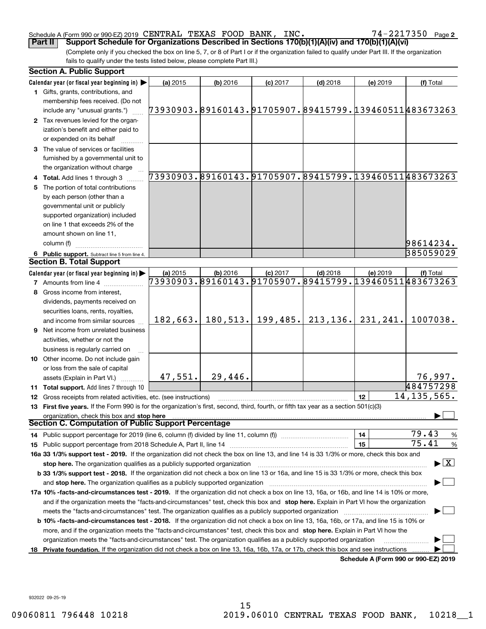#### Schedule A (Form 990 or 990-EZ) 2019 CENTRAL TEXAS FOOD BANK, INC。 74~2217350 Page CENTRAL TEXAS FOOD BANK, INC. 74-2217350

**2**

(Complete only if you checked the box on line 5, 7, or 8 of Part I or if the organization failed to qualify under Part III. If the organization fails to qualify under the tests listed below, please complete Part III.) **Part II Support Schedule for Organizations Described in Sections 170(b)(1)(A)(iv) and 170(b)(1)(A)(vi)**

|     | <b>Section A. Public Support</b>                                                                                                                                                                                               |          |            |            |            |          |                                                        |
|-----|--------------------------------------------------------------------------------------------------------------------------------------------------------------------------------------------------------------------------------|----------|------------|------------|------------|----------|--------------------------------------------------------|
|     | Calendar year (or fiscal year beginning in) $\blacktriangleright$                                                                                                                                                              | (a) 2015 | $(b)$ 2016 | $(c)$ 2017 | $(d)$ 2018 | (e) 2019 | (f) Total                                              |
|     | <b>1</b> Gifts, grants, contributions, and                                                                                                                                                                                     |          |            |            |            |          |                                                        |
|     | membership fees received. (Do not<br>include any "unusual grants.")                                                                                                                                                            |          |            |            |            |          | 73930903.89160143.91705907.89415799.139460511483673263 |
|     | 2 Tax revenues levied for the organ-                                                                                                                                                                                           |          |            |            |            |          |                                                        |
|     | ization's benefit and either paid to                                                                                                                                                                                           |          |            |            |            |          |                                                        |
|     | or expended on its behalf                                                                                                                                                                                                      |          |            |            |            |          |                                                        |
|     | 3 The value of services or facilities                                                                                                                                                                                          |          |            |            |            |          |                                                        |
|     | furnished by a governmental unit to                                                                                                                                                                                            |          |            |            |            |          |                                                        |
|     | the organization without charge                                                                                                                                                                                                |          |            |            |            |          |                                                        |
|     | 4 Total. Add lines 1 through 3                                                                                                                                                                                                 |          |            |            |            |          | 73930903.89160143.91705907.89415799.139460511483673263 |
|     | The portion of total contributions                                                                                                                                                                                             |          |            |            |            |          |                                                        |
|     | by each person (other than a                                                                                                                                                                                                   |          |            |            |            |          |                                                        |
|     | governmental unit or publicly                                                                                                                                                                                                  |          |            |            |            |          |                                                        |
|     | supported organization) included                                                                                                                                                                                               |          |            |            |            |          |                                                        |
|     | on line 1 that exceeds 2% of the                                                                                                                                                                                               |          |            |            |            |          |                                                        |
|     | amount shown on line 11,                                                                                                                                                                                                       |          |            |            |            |          |                                                        |
|     | column (f)                                                                                                                                                                                                                     |          |            |            |            |          | 98614234.                                              |
|     | 6 Public support. Subtract line 5 from line 4.                                                                                                                                                                                 |          |            |            |            |          | 385059029                                              |
|     | <b>Section B. Total Support</b>                                                                                                                                                                                                |          |            |            |            |          |                                                        |
|     | Calendar year (or fiscal year beginning in) $\blacktriangleright$                                                                                                                                                              | (a) 2015 | $(b)$ 2016 | $(c)$ 2017 | $(d)$ 2018 | (e) 2019 | (f) Total                                              |
|     | <b>7</b> Amounts from line 4                                                                                                                                                                                                   |          |            |            |            |          | 73930903.89160143.91705907.89415799.139460511483673263 |
|     | Gross income from interest,                                                                                                                                                                                                    |          |            |            |            |          |                                                        |
|     | dividends, payments received on                                                                                                                                                                                                |          |            |            |            |          |                                                        |
|     | securities loans, rents, royalties,                                                                                                                                                                                            |          |            |            |            |          |                                                        |
|     | and income from similar sources                                                                                                                                                                                                | 182,663. | 180, 513.  | 199,485.   | 213, 136.  | 231,241. | 1007038.                                               |
|     | 9 Net income from unrelated business                                                                                                                                                                                           |          |            |            |            |          |                                                        |
|     | activities, whether or not the                                                                                                                                                                                                 |          |            |            |            |          |                                                        |
|     | business is regularly carried on                                                                                                                                                                                               |          |            |            |            |          |                                                        |
|     | 10 Other income. Do not include gain                                                                                                                                                                                           |          |            |            |            |          |                                                        |
|     | or loss from the sale of capital                                                                                                                                                                                               |          |            |            |            |          |                                                        |
|     | assets (Explain in Part VI.)                                                                                                                                                                                                   | 47,551.  | 29,446.    |            |            |          | 76,997.                                                |
|     | 11 Total support. Add lines 7 through 10                                                                                                                                                                                       |          |            |            |            |          | 484757298                                              |
|     | 12 Gross receipts from related activities, etc. (see instructions)                                                                                                                                                             |          |            |            |            | 12       | 14, 135, 565.                                          |
|     | 13 First five years. If the Form 990 is for the organization's first, second, third, fourth, or fifth tax year as a section 501(c)(3)                                                                                          |          |            |            |            |          |                                                        |
|     | organization, check this box and stop here                                                                                                                                                                                     |          |            |            |            |          |                                                        |
|     | Section C. Computation of Public Support Percentage                                                                                                                                                                            |          |            |            |            |          |                                                        |
|     | 14 Public support percentage for 2019 (line 6, column (f) divided by line 11, column (f) <i>manumeronominimi</i> ng.                                                                                                           |          |            |            |            | 14       | 79.43<br>%                                             |
|     |                                                                                                                                                                                                                                |          |            |            |            | 15       | 75.41<br>%                                             |
|     | 16a 33 1/3% support test - 2019. If the organization did not check the box on line 13, and line 14 is 33 1/3% or more, check this box and                                                                                      |          |            |            |            |          |                                                        |
|     | stop here. The organization qualifies as a publicly supported organization                                                                                                                                                     |          |            |            |            |          | $\blacktriangleright$ $\mid$ X                         |
|     | b 33 1/3% support test - 2018. If the organization did not check a box on line 13 or 16a, and line 15 is 33 1/3% or more, check this box                                                                                       |          |            |            |            |          |                                                        |
|     | and stop here. The organization qualifies as a publicly supported organization [11] manuscription manuscription manuscription manuscription manuscription manuscription manuscription manuscription manuscription manuscriptio |          |            |            |            |          |                                                        |
|     | 17a 10% -facts-and-circumstances test - 2019. If the organization did not check a box on line 13, 16a, or 16b, and line 14 is 10% or more,                                                                                     |          |            |            |            |          |                                                        |
|     | and if the organization meets the "facts-and-circumstances" test, check this box and stop here. Explain in Part VI how the organization                                                                                        |          |            |            |            |          |                                                        |
|     | meets the "facts-and-circumstances" test. The organization qualifies as a publicly supported organization                                                                                                                      |          |            |            |            |          |                                                        |
|     | <b>b 10% -facts-and-circumstances test - 2018.</b> If the organization did not check a box on line 13, 16a, 16b, or 17a, and line 15 is 10% or                                                                                 |          |            |            |            |          |                                                        |
|     | more, and if the organization meets the "facts-and-circumstances" test, check this box and stop here. Explain in Part VI how the                                                                                               |          |            |            |            |          |                                                        |
|     | organization meets the "facts-and-circumstances" test. The organization qualifies as a publicly supported organization                                                                                                         |          |            |            |            |          |                                                        |
| 18. | Private foundation. If the organization did not check a box on line 13, 16a, 16b, 17a, or 17b, check this box and see instructions                                                                                             |          |            |            |            |          |                                                        |
|     |                                                                                                                                                                                                                                |          |            |            |            |          | Schedule A (Form 990 or 990-EZ) 2019                   |

932022 09-25-19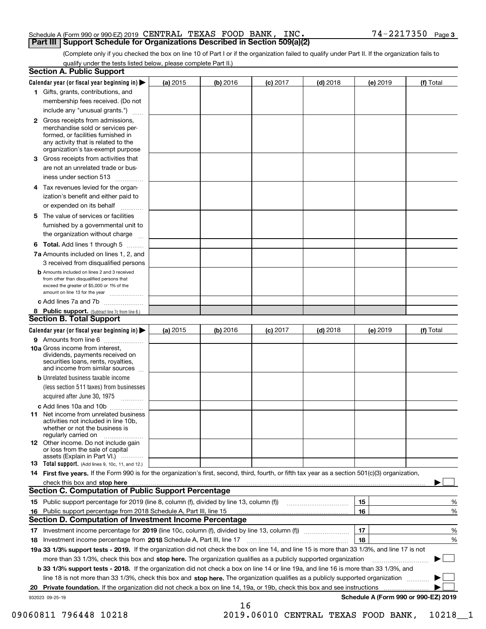#### Schedule A (Form 990 or 990-EZ) 2019 Page CENTRAL TEXAS FOOD BANK, INC. 74-2217350 **Part III Support Schedule for Organizations Described in Section 509(a)(2)**

(Complete only if you checked the box on line 10 of Part I or if the organization failed to qualify under Part II. If the organization fails to qualify under the tests listed below, please complete Part II.)

| <b>Section A. Public Support</b>                                                                                                                                                                                               |            |          |            |            |          |                                      |
|--------------------------------------------------------------------------------------------------------------------------------------------------------------------------------------------------------------------------------|------------|----------|------------|------------|----------|--------------------------------------|
| Calendar year (or fiscal year beginning in) $\blacktriangleright$                                                                                                                                                              | (a) 2015   | (b) 2016 | $(c)$ 2017 | $(d)$ 2018 | (e) 2019 | (f) Total                            |
| 1 Gifts, grants, contributions, and                                                                                                                                                                                            |            |          |            |            |          |                                      |
| membership fees received. (Do not                                                                                                                                                                                              |            |          |            |            |          |                                      |
| include any "unusual grants.")                                                                                                                                                                                                 |            |          |            |            |          |                                      |
| 2 Gross receipts from admissions,<br>merchandise sold or services per-<br>formed, or facilities furnished in<br>any activity that is related to the<br>organization's tax-exempt purpose                                       |            |          |            |            |          |                                      |
| 3 Gross receipts from activities that<br>are not an unrelated trade or bus-                                                                                                                                                    |            |          |            |            |          |                                      |
| iness under section 513                                                                                                                                                                                                        |            |          |            |            |          |                                      |
| 4 Tax revenues levied for the organ-<br>ization's benefit and either paid to<br>or expended on its behalf<br>.                                                                                                                 |            |          |            |            |          |                                      |
| 5 The value of services or facilities                                                                                                                                                                                          |            |          |            |            |          |                                      |
| furnished by a governmental unit to<br>the organization without charge                                                                                                                                                         |            |          |            |            |          |                                      |
| <b>6 Total.</b> Add lines 1 through 5                                                                                                                                                                                          |            |          |            |            |          |                                      |
| 7a Amounts included on lines 1, 2, and<br>3 received from disqualified persons                                                                                                                                                 |            |          |            |            |          |                                      |
| <b>b</b> Amounts included on lines 2 and 3 received<br>from other than disqualified persons that<br>exceed the greater of \$5,000 or 1% of the<br>amount on line 13 for the year                                               |            |          |            |            |          |                                      |
| c Add lines 7a and 7b                                                                                                                                                                                                          |            |          |            |            |          |                                      |
| 8 Public support. (Subtract line 7c from line 6.)                                                                                                                                                                              |            |          |            |            |          |                                      |
| <b>Section B. Total Support</b>                                                                                                                                                                                                |            |          |            |            |          |                                      |
| Calendar year (or fiscal year beginning in)                                                                                                                                                                                    | (a) $2015$ | (b) 2016 | $(c)$ 2017 | $(d)$ 2018 | (e) 2019 | (f) Total                            |
| 9 Amounts from line 6                                                                                                                                                                                                          |            |          |            |            |          |                                      |
| 10a Gross income from interest,<br>dividends, payments received on<br>securities loans, rents, royalties,<br>and income from similar sources                                                                                   |            |          |            |            |          |                                      |
| <b>b</b> Unrelated business taxable income<br>(less section 511 taxes) from businesses<br>acquired after June 30, 1975                                                                                                         |            |          |            |            |          |                                      |
| c Add lines 10a and 10b                                                                                                                                                                                                        |            |          |            |            |          |                                      |
| <b>11</b> Net income from unrelated business<br>activities not included in line 10b,<br>whether or not the business is<br>regularly carried on                                                                                 |            |          |            |            |          |                                      |
| <b>12</b> Other income. Do not include gain<br>or loss from the sale of capital<br>assets (Explain in Part VI.)                                                                                                                |            |          |            |            |          |                                      |
| <b>13 Total support.</b> (Add lines 9, 10c, 11, and 12.)                                                                                                                                                                       |            |          |            |            |          |                                      |
| 14 First five years. If the Form 990 is for the organization's first, second, third, fourth, or fifth tax year as a section 501(c)(3) organization,                                                                            |            |          |            |            |          |                                      |
| check this box and stop here with the continuum control to the control of the control of the control of the control of the control of the control of the control of the control of the control of the control of the control o |            |          |            |            |          |                                      |
| <b>Section C. Computation of Public Support Percentage</b>                                                                                                                                                                     |            |          |            |            |          |                                      |
| 15 Public support percentage for 2019 (line 8, column (f), divided by line 13, column (f))                                                                                                                                     |            |          |            |            | 15       | %                                    |
| 16 Public support percentage from 2018 Schedule A, Part III, line 15                                                                                                                                                           |            |          |            |            | 16       | %                                    |
| <b>Section D. Computation of Investment Income Percentage</b>                                                                                                                                                                  |            |          |            |            |          |                                      |
| 17 Investment income percentage for 2019 (line 10c, column (f), divided by line 13, column (f))                                                                                                                                |            |          |            |            | 17       | %                                    |
| 18 Investment income percentage from 2018 Schedule A, Part III, line 17                                                                                                                                                        |            |          |            |            | 18       | %                                    |
| 19a 33 1/3% support tests - 2019. If the organization did not check the box on line 14, and line 15 is more than 33 1/3%, and line 17 is not                                                                                   |            |          |            |            |          |                                      |
| more than 33 1/3%, check this box and stop here. The organization qualifies as a publicly supported organization                                                                                                               |            |          |            |            |          | ▶                                    |
| b 33 1/3% support tests - 2018. If the organization did not check a box on line 14 or line 19a, and line 16 is more than 33 1/3%, and                                                                                          |            |          |            |            |          |                                      |
| line 18 is not more than 33 1/3%, check this box and stop here. The organization qualifies as a publicly supported organization                                                                                                |            |          |            |            |          |                                      |
| 20 Private foundation. If the organization did not check a box on line 14, 19a, or 19b, check this box and see instructions                                                                                                    |            |          |            |            |          |                                      |
| 932023 09-25-19                                                                                                                                                                                                                |            | 16       |            |            |          | Schedule A (Form 990 or 990-EZ) 2019 |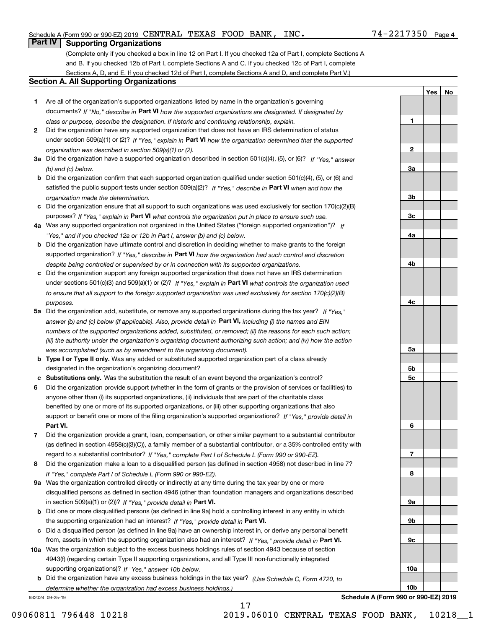#### Schedule A (Form 990 or 990-EZ) 2019 Page CENTRAL TEXAS FOOD BANK, INC. 74-2217350

## **Part IV Supporting Organizations**

(Complete only if you checked a box in line 12 on Part I. If you checked 12a of Part I, complete Sections A and B. If you checked 12b of Part I, complete Sections A and C. If you checked 12c of Part I, complete Sections A, D, and E. If you checked 12d of Part I, complete Sections A and D, and complete Part V.)

#### **Section A. All Supporting Organizations**

- **1** Are all of the organization's supported organizations listed by name in the organization's governing documents? If "No," describe in **Part VI** how the supported organizations are designated. If designated by *class or purpose, describe the designation. If historic and continuing relationship, explain.*
- **2** Did the organization have any supported organization that does not have an IRS determination of status under section 509(a)(1) or (2)? If "Yes," explain in Part VI how the organization determined that the supported *organization was described in section 509(a)(1) or (2).*
- **3a** Did the organization have a supported organization described in section 501(c)(4), (5), or (6)? If "Yes," answer *(b) and (c) below.*
- **b** Did the organization confirm that each supported organization qualified under section 501(c)(4), (5), or (6) and satisfied the public support tests under section 509(a)(2)? If "Yes," describe in **Part VI** when and how the *organization made the determination.*
- **c**Did the organization ensure that all support to such organizations was used exclusively for section 170(c)(2)(B) purposes? If "Yes," explain in **Part VI** what controls the organization put in place to ensure such use.
- **4a***If* Was any supported organization not organized in the United States ("foreign supported organization")? *"Yes," and if you checked 12a or 12b in Part I, answer (b) and (c) below.*
- **b** Did the organization have ultimate control and discretion in deciding whether to make grants to the foreign supported organization? If "Yes," describe in **Part VI** how the organization had such control and discretion *despite being controlled or supervised by or in connection with its supported organizations.*
- **c** Did the organization support any foreign supported organization that does not have an IRS determination under sections 501(c)(3) and 509(a)(1) or (2)? If "Yes," explain in **Part VI** what controls the organization used *to ensure that all support to the foreign supported organization was used exclusively for section 170(c)(2)(B) purposes.*
- **5a** Did the organization add, substitute, or remove any supported organizations during the tax year? If "Yes," answer (b) and (c) below (if applicable). Also, provide detail in **Part VI,** including (i) the names and EIN *numbers of the supported organizations added, substituted, or removed; (ii) the reasons for each such action; (iii) the authority under the organization's organizing document authorizing such action; and (iv) how the action was accomplished (such as by amendment to the organizing document).*
- **b** Type I or Type II only. Was any added or substituted supported organization part of a class already designated in the organization's organizing document?
- **cSubstitutions only.**  Was the substitution the result of an event beyond the organization's control?
- **6** Did the organization provide support (whether in the form of grants or the provision of services or facilities) to **Part VI.** *If "Yes," provide detail in* support or benefit one or more of the filing organization's supported organizations? anyone other than (i) its supported organizations, (ii) individuals that are part of the charitable class benefited by one or more of its supported organizations, or (iii) other supporting organizations that also
- **7**Did the organization provide a grant, loan, compensation, or other similar payment to a substantial contributor *If "Yes," complete Part I of Schedule L (Form 990 or 990-EZ).* regard to a substantial contributor? (as defined in section 4958(c)(3)(C)), a family member of a substantial contributor, or a 35% controlled entity with
- **8** Did the organization make a loan to a disqualified person (as defined in section 4958) not described in line 7? *If "Yes," complete Part I of Schedule L (Form 990 or 990-EZ).*
- **9a** Was the organization controlled directly or indirectly at any time during the tax year by one or more in section 509(a)(1) or (2))? If "Yes," *provide detail in* <code>Part VI.</code> disqualified persons as defined in section 4946 (other than foundation managers and organizations described
- **b** Did one or more disqualified persons (as defined in line 9a) hold a controlling interest in any entity in which the supporting organization had an interest? If "Yes," provide detail in P**art VI**.
- **c**Did a disqualified person (as defined in line 9a) have an ownership interest in, or derive any personal benefit from, assets in which the supporting organization also had an interest? If "Yes," provide detail in P**art VI.**
- **10a** Was the organization subject to the excess business holdings rules of section 4943 because of section supporting organizations)? If "Yes," answer 10b below. 4943(f) (regarding certain Type II supporting organizations, and all Type III non-functionally integrated
- **b** Did the organization have any excess business holdings in the tax year? (Use Schedule C, Form 4720, to *determine whether the organization had excess business holdings.)*

932024 09-25-19



**Schedule A (Form 990 or 990-EZ) 2019**

**1**

**YesNo**

17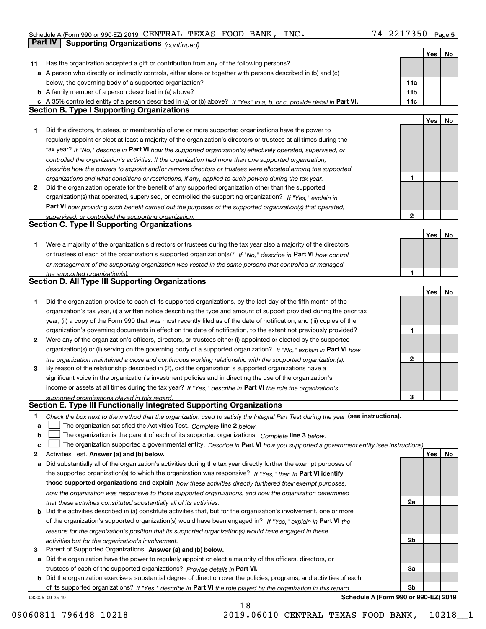#### Schedule A (Form 990 or 990-EZ) 2019 CENTRAL TEXAS FOOD BANK, INC。 74-2217350 Page 5 CENTRAL TEXAS FOOD BANK, INC. 74-2217350

|              | Part IV<br><b>Supporting Organizations (continued)</b>                                                                            |                 |     |    |
|--------------|-----------------------------------------------------------------------------------------------------------------------------------|-----------------|-----|----|
|              |                                                                                                                                   |                 | Yes | No |
| 11           | Has the organization accepted a gift or contribution from any of the following persons?                                           |                 |     |    |
|              | a A person who directly or indirectly controls, either alone or together with persons described in (b) and (c)                    |                 |     |    |
|              | below, the governing body of a supported organization?                                                                            | 11a             |     |    |
|              | <b>b</b> A family member of a person described in (a) above?                                                                      | 11 <sub>b</sub> |     |    |
|              | c A 35% controlled entity of a person described in (a) or (b) above? If "Yes" to a, b, or c, provide detail in Part VI.           | 11c             |     |    |
|              | <b>Section B. Type I Supporting Organizations</b>                                                                                 |                 |     |    |
|              |                                                                                                                                   |                 | Yes | No |
| 1            | Did the directors, trustees, or membership of one or more supported organizations have the power to                               |                 |     |    |
|              | regularly appoint or elect at least a majority of the organization's directors or trustees at all times during the                |                 |     |    |
|              | tax year? If "No," describe in Part VI how the supported organization(s) effectively operated, supervised, or                     |                 |     |    |
|              | controlled the organization's activities. If the organization had more than one supported organization,                           |                 |     |    |
|              | describe how the powers to appoint and/or remove directors or trustees were allocated among the supported                         |                 |     |    |
|              | organizations and what conditions or restrictions, if any, applied to such powers during the tax year.                            | 1               |     |    |
| $\mathbf{2}$ | Did the organization operate for the benefit of any supported organization other than the supported                               |                 |     |    |
|              | organization(s) that operated, supervised, or controlled the supporting organization? If "Yes," explain in                        |                 |     |    |
|              |                                                                                                                                   |                 |     |    |
|              | Part VI how providing such benefit carried out the purposes of the supported organization(s) that operated,                       | $\mathbf{2}$    |     |    |
|              | supervised, or controlled the supporting organization.<br><b>Section C. Type II Supporting Organizations</b>                      |                 |     |    |
|              |                                                                                                                                   |                 |     |    |
|              |                                                                                                                                   |                 | Yes | No |
| 1.           | Were a majority of the organization's directors or trustees during the tax year also a majority of the directors                  |                 |     |    |
|              | or trustees of each of the organization's supported organization(s)? If "No." describe in Part VI how control                     |                 |     |    |
|              | or management of the supporting organization was vested in the same persons that controlled or managed                            |                 |     |    |
|              | the supported organization(s).<br><b>Section D. All Type III Supporting Organizations</b>                                         | 1               |     |    |
|              |                                                                                                                                   |                 |     |    |
|              |                                                                                                                                   |                 | Yes | No |
| 1            | Did the organization provide to each of its supported organizations, by the last day of the fifth month of the                    |                 |     |    |
|              | organization's tax year, (i) a written notice describing the type and amount of support provided during the prior tax             |                 |     |    |
|              | year, (ii) a copy of the Form 990 that was most recently filed as of the date of notification, and (iii) copies of the            |                 |     |    |
|              | organization's governing documents in effect on the date of notification, to the extent not previously provided?                  | 1               |     |    |
| 2            | Were any of the organization's officers, directors, or trustees either (i) appointed or elected by the supported                  |                 |     |    |
|              | organization(s) or (ii) serving on the governing body of a supported organization? If "No," explain in Part VI how                |                 |     |    |
|              | the organization maintained a close and continuous working relationship with the supported organization(s).                       | $\mathbf{2}$    |     |    |
| 3            | By reason of the relationship described in (2), did the organization's supported organizations have a                             |                 |     |    |
|              | significant voice in the organization's investment policies and in directing the use of the organization's                        |                 |     |    |
|              | income or assets at all times during the tax year? If "Yes," describe in Part VI the role the organization's                      |                 |     |    |
|              | supported organizations played in this regard.                                                                                    | 3               |     |    |
|              | Section E. Type III Functionally Integrated Supporting Organizations                                                              |                 |     |    |
| 1            | Check the box next to the method that the organization used to satisfy the Integral Part Test during the year (see instructions). |                 |     |    |
| a            | The organization satisfied the Activities Test. Complete line 2 below.                                                            |                 |     |    |
| b            | The organization is the parent of each of its supported organizations. Complete line 3 below.                                     |                 |     |    |
| c            | The organization supported a governmental entity. Describe in Part VI how you supported a government entity (see instructions),   |                 |     |    |
| 2            | Activities Test. Answer (a) and (b) below.                                                                                        |                 | Yes | No |
| а            | Did substantially all of the organization's activities during the tax year directly further the exempt purposes of                |                 |     |    |
|              | the supported organization(s) to which the organization was responsive? If "Yes," then in Part VI identify                        |                 |     |    |
|              | those supported organizations and explain how these activities directly furthered their exempt purposes,                          |                 |     |    |
|              | how the organization was responsive to those supported organizations, and how the organization determined                         |                 |     |    |
|              | that these activities constituted substantially all of its activities.                                                            | 2a              |     |    |
| b            | Did the activities described in (a) constitute activities that, but for the organization's involvement, one or more               |                 |     |    |
|              | of the organization's supported organization(s) would have been engaged in? If "Yes," explain in Part VI the                      |                 |     |    |
|              | reasons for the organization's position that its supported organization(s) would have engaged in these                            |                 |     |    |
|              | activities but for the organization's involvement.                                                                                | 2b              |     |    |
| з            | Parent of Supported Organizations. Answer (a) and (b) below.                                                                      |                 |     |    |
| а            | Did the organization have the power to regularly appoint or elect a majority of the officers, directors, or                       |                 |     |    |
|              | trustees of each of the supported organizations? Provide details in Part VI.                                                      | За              |     |    |
|              | <b>b</b> Did the organization exercise a substantial degree of direction over the policies, programs, and activities of each      |                 |     |    |
|              | of its supported organizations? If "Yes." describe in Part VI the role played by the organization in this regard.                 | 3b              |     |    |

18

932025 09-25-19

**Schedule A (Form 990 or 990-EZ) 2019**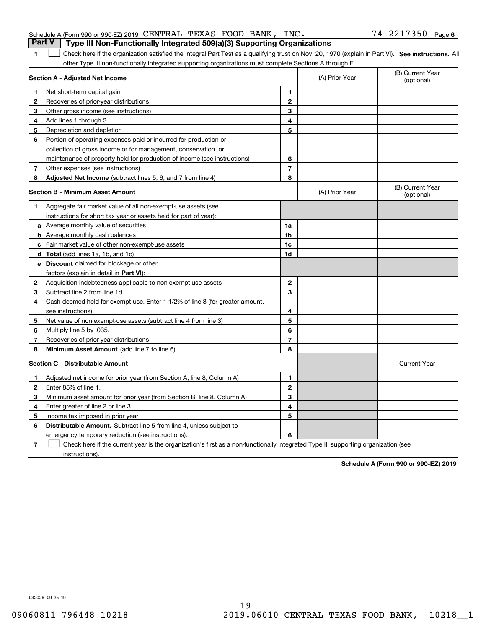| <b>Part V</b>   Type III Non-Functionally Integrated 509(a)(3) Supporting Organizations |  |  |
|-----------------------------------------------------------------------------------------|--|--|
|                                                                                         |  |  |

1 **1** Check here if the organization satisfied the Integral Part Test as a qualifying trust on Nov. 20, 1970 (explain in Part VI). See instructions. All other Type III non-functionally integrated supporting organizations must complete Sections A through E.

|              | Section A - Adjusted Net Income                                                                                                   | (A) Prior Year | (B) Current Year<br>(optional) |                                |
|--------------|-----------------------------------------------------------------------------------------------------------------------------------|----------------|--------------------------------|--------------------------------|
| 1.           | Net short-term capital gain                                                                                                       | 1              |                                |                                |
| $\mathbf{2}$ | Recoveries of prior-year distributions                                                                                            | $\overline{2}$ |                                |                                |
| 3            | Other gross income (see instructions)                                                                                             | 3              |                                |                                |
| 4            | Add lines 1 through 3.                                                                                                            | 4              |                                |                                |
| 5            | Depreciation and depletion                                                                                                        | 5              |                                |                                |
| 6            | Portion of operating expenses paid or incurred for production or                                                                  |                |                                |                                |
|              | collection of gross income or for management, conservation, or                                                                    |                |                                |                                |
|              | maintenance of property held for production of income (see instructions)                                                          | 6              |                                |                                |
| 7            | Other expenses (see instructions)                                                                                                 | 7              |                                |                                |
| 8            | <b>Adjusted Net Income</b> (subtract lines 5, 6, and 7 from line 4)                                                               | 8              |                                |                                |
|              | <b>Section B - Minimum Asset Amount</b>                                                                                           |                | (A) Prior Year                 | (B) Current Year<br>(optional) |
| 1            | Aggregate fair market value of all non-exempt-use assets (see                                                                     |                |                                |                                |
|              | instructions for short tax year or assets held for part of year):                                                                 |                |                                |                                |
|              | a Average monthly value of securities                                                                                             | 1a             |                                |                                |
|              | <b>b</b> Average monthly cash balances                                                                                            | 1b             |                                |                                |
|              | c Fair market value of other non-exempt-use assets                                                                                | 1c             |                                |                                |
|              | d Total (add lines 1a, 1b, and 1c)                                                                                                | 1d             |                                |                                |
|              | <b>e</b> Discount claimed for blockage or other                                                                                   |                |                                |                                |
|              | factors (explain in detail in Part VI):                                                                                           |                |                                |                                |
| 2            | Acquisition indebtedness applicable to non-exempt-use assets                                                                      | $\mathbf 2$    |                                |                                |
| 3            | Subtract line 2 from line 1d.                                                                                                     | 3              |                                |                                |
| 4            | Cash deemed held for exempt use. Enter 1-1/2% of line 3 (for greater amount,                                                      |                |                                |                                |
|              | see instructions)                                                                                                                 | 4              |                                |                                |
| 5            | Net value of non-exempt-use assets (subtract line 4 from line 3)                                                                  | 5              |                                |                                |
| 6            | Multiply line 5 by .035.                                                                                                          | 6              |                                |                                |
| 7            | Recoveries of prior-year distributions                                                                                            | $\overline{7}$ |                                |                                |
| 8            | Minimum Asset Amount (add line 7 to line 6)                                                                                       | 8              |                                |                                |
|              | <b>Section C - Distributable Amount</b>                                                                                           |                |                                | <b>Current Year</b>            |
| 1            | Adjusted net income for prior year (from Section A, line 8, Column A)                                                             | $\mathbf{1}$   |                                |                                |
| 2            | Enter 85% of line 1.                                                                                                              | $\overline{2}$ |                                |                                |
| 3            | Minimum asset amount for prior year (from Section B, line 8, Column A)                                                            | 3              |                                |                                |
| 4            | Enter greater of line 2 or line 3.                                                                                                | 4              |                                |                                |
| 5            | Income tax imposed in prior year                                                                                                  | 5              |                                |                                |
| 6            | <b>Distributable Amount.</b> Subtract line 5 from line 4, unless subject to                                                       |                |                                |                                |
|              | emergency temporary reduction (see instructions).                                                                                 | 6              |                                |                                |
| 7            | Check here if the current year is the organization's first as a non-functionally integrated Type III supporting organization (see |                |                                |                                |

instructions).

**Schedule A (Form 990 or 990-EZ) 2019**

932026 09-25-19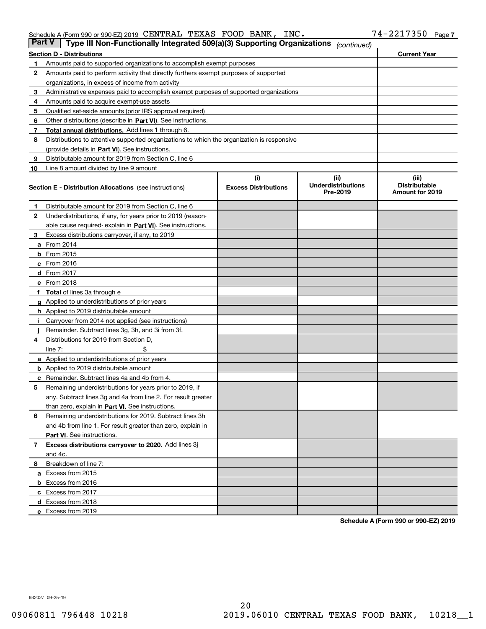| Schedule A (Form 990 or 990-EZ) 2019 CENTRAL TEXAS FOOD BANK, INC. |  |  | $74 - 2217350$ Page 7 |  |
|--------------------------------------------------------------------|--|--|-----------------------|--|
|                                                                    |  |  |                       |  |

| Part V | Type III Non-Functionally Integrated 509(a)(3) Supporting Organizations                    |                             | (continued)                           |                                         |
|--------|--------------------------------------------------------------------------------------------|-----------------------------|---------------------------------------|-----------------------------------------|
|        | <b>Section D - Distributions</b>                                                           |                             |                                       | <b>Current Year</b>                     |
| 1      | Amounts paid to supported organizations to accomplish exempt purposes                      |                             |                                       |                                         |
| 2      | Amounts paid to perform activity that directly furthers exempt purposes of supported       |                             |                                       |                                         |
|        | organizations, in excess of income from activity                                           |                             |                                       |                                         |
| з      | Administrative expenses paid to accomplish exempt purposes of supported organizations      |                             |                                       |                                         |
| 4      | Amounts paid to acquire exempt-use assets                                                  |                             |                                       |                                         |
| 5      | Qualified set-aside amounts (prior IRS approval required)                                  |                             |                                       |                                         |
| 6      | Other distributions (describe in Part VI). See instructions.                               |                             |                                       |                                         |
| 7      | <b>Total annual distributions.</b> Add lines 1 through 6.                                  |                             |                                       |                                         |
| 8      | Distributions to attentive supported organizations to which the organization is responsive |                             |                                       |                                         |
|        | (provide details in Part VI). See instructions.                                            |                             |                                       |                                         |
| 9      | Distributable amount for 2019 from Section C, line 6                                       |                             |                                       |                                         |
| 10     | Line 8 amount divided by line 9 amount                                                     |                             |                                       |                                         |
|        |                                                                                            | (i)                         | (iii)                                 | (iii)                                   |
|        | <b>Section E - Distribution Allocations</b> (see instructions)                             | <b>Excess Distributions</b> | <b>Underdistributions</b><br>Pre-2019 | <b>Distributable</b><br>Amount for 2019 |
| 1      | Distributable amount for 2019 from Section C, line 6                                       |                             |                                       |                                         |
| 2      | Underdistributions, if any, for years prior to 2019 (reason-                               |                             |                                       |                                         |
|        | able cause required- explain in Part VI). See instructions.                                |                             |                                       |                                         |
| з      | Excess distributions carryover, if any, to 2019                                            |                             |                                       |                                         |
|        | <b>a</b> From 2014                                                                         |                             |                                       |                                         |
|        | <b>b</b> From 2015                                                                         |                             |                                       |                                         |
|        | $c$ From 2016                                                                              |                             |                                       |                                         |
|        | d From 2017                                                                                |                             |                                       |                                         |
|        | e From 2018                                                                                |                             |                                       |                                         |
|        | Total of lines 3a through e                                                                |                             |                                       |                                         |
|        | <b>g</b> Applied to underdistributions of prior years                                      |                             |                                       |                                         |
|        | <b>h</b> Applied to 2019 distributable amount                                              |                             |                                       |                                         |
|        | Carryover from 2014 not applied (see instructions)                                         |                             |                                       |                                         |
|        | Remainder. Subtract lines 3g, 3h, and 3i from 3f.                                          |                             |                                       |                                         |
| 4      | Distributions for 2019 from Section D,                                                     |                             |                                       |                                         |
|        | line $7:$                                                                                  |                             |                                       |                                         |
|        | <b>a</b> Applied to underdistributions of prior years                                      |                             |                                       |                                         |
|        | <b>b</b> Applied to 2019 distributable amount                                              |                             |                                       |                                         |
| c      | Remainder. Subtract lines 4a and 4b from 4.                                                |                             |                                       |                                         |
| 5      | Remaining underdistributions for years prior to 2019, if                                   |                             |                                       |                                         |
|        | any. Subtract lines 3g and 4a from line 2. For result greater                              |                             |                                       |                                         |
|        | than zero, explain in Part VI. See instructions.                                           |                             |                                       |                                         |
| 6      | Remaining underdistributions for 2019. Subtract lines 3h                                   |                             |                                       |                                         |
|        | and 4b from line 1. For result greater than zero, explain in                               |                             |                                       |                                         |
|        | Part VI. See instructions.                                                                 |                             |                                       |                                         |
| 7      | Excess distributions carryover to 2020. Add lines 3j                                       |                             |                                       |                                         |
|        |                                                                                            |                             |                                       |                                         |
| 8      | and 4c.<br>Breakdown of line 7:                                                            |                             |                                       |                                         |
|        |                                                                                            |                             |                                       |                                         |
|        | a Excess from 2015                                                                         |                             |                                       |                                         |
|        | <b>b</b> Excess from 2016                                                                  |                             |                                       |                                         |
|        | c Excess from 2017                                                                         |                             |                                       |                                         |
|        | d Excess from 2018                                                                         |                             |                                       |                                         |
|        | e Excess from 2019                                                                         |                             |                                       |                                         |

**Schedule A (Form 990 or 990-EZ) 2019**

932027 09-25-19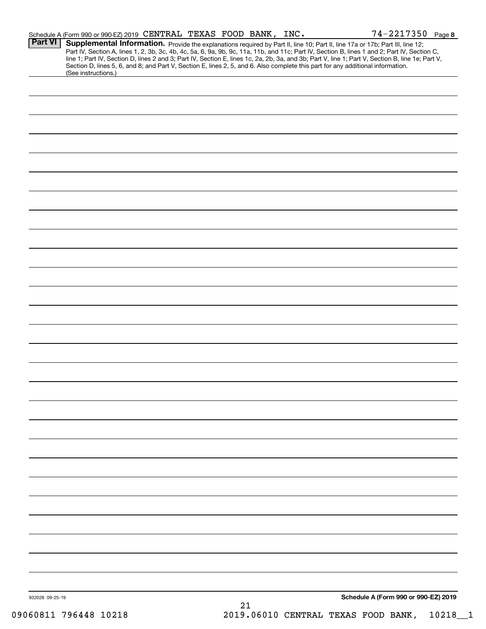|                 | Schedule A (Form 990 or 990-EZ) 2019 CENTRAL TEXAS FOOD BANK, INC.                                                                                     |    |  | $74 - 2217350$ Page 8                                                                                                                                                                                                                  |
|-----------------|--------------------------------------------------------------------------------------------------------------------------------------------------------|----|--|----------------------------------------------------------------------------------------------------------------------------------------------------------------------------------------------------------------------------------------|
| Part VI         | Section D, lines 5, 6, and 8; and Part V, Section E, lines 2, 5, and 6. Also complete this part for any additional information.<br>(See instructions.) |    |  | <b>Supplemental Information.</b> Provide the explanations required by Part II, line 10; Part II, line 17a or 17b; Part III, line 12;<br>Part IV, Section A, lines 1, 2, 3b, 3c, 4b, 4c, 5a, 6, 9a, 9b, 9c, 11a, 11b, and 11c; Part IV, |
|                 |                                                                                                                                                        |    |  |                                                                                                                                                                                                                                        |
|                 |                                                                                                                                                        |    |  |                                                                                                                                                                                                                                        |
|                 |                                                                                                                                                        |    |  |                                                                                                                                                                                                                                        |
|                 |                                                                                                                                                        |    |  |                                                                                                                                                                                                                                        |
|                 |                                                                                                                                                        |    |  |                                                                                                                                                                                                                                        |
|                 |                                                                                                                                                        |    |  |                                                                                                                                                                                                                                        |
|                 |                                                                                                                                                        |    |  |                                                                                                                                                                                                                                        |
|                 |                                                                                                                                                        |    |  |                                                                                                                                                                                                                                        |
|                 |                                                                                                                                                        |    |  |                                                                                                                                                                                                                                        |
|                 |                                                                                                                                                        |    |  |                                                                                                                                                                                                                                        |
|                 |                                                                                                                                                        |    |  |                                                                                                                                                                                                                                        |
|                 |                                                                                                                                                        |    |  |                                                                                                                                                                                                                                        |
|                 |                                                                                                                                                        |    |  |                                                                                                                                                                                                                                        |
|                 |                                                                                                                                                        |    |  |                                                                                                                                                                                                                                        |
|                 |                                                                                                                                                        |    |  |                                                                                                                                                                                                                                        |
|                 |                                                                                                                                                        |    |  |                                                                                                                                                                                                                                        |
|                 |                                                                                                                                                        |    |  |                                                                                                                                                                                                                                        |
|                 |                                                                                                                                                        |    |  |                                                                                                                                                                                                                                        |
|                 |                                                                                                                                                        |    |  |                                                                                                                                                                                                                                        |
|                 |                                                                                                                                                        |    |  |                                                                                                                                                                                                                                        |
|                 |                                                                                                                                                        |    |  |                                                                                                                                                                                                                                        |
|                 |                                                                                                                                                        |    |  |                                                                                                                                                                                                                                        |
|                 |                                                                                                                                                        |    |  |                                                                                                                                                                                                                                        |
|                 |                                                                                                                                                        |    |  |                                                                                                                                                                                                                                        |
|                 |                                                                                                                                                        |    |  |                                                                                                                                                                                                                                        |
|                 |                                                                                                                                                        |    |  |                                                                                                                                                                                                                                        |
|                 |                                                                                                                                                        |    |  |                                                                                                                                                                                                                                        |
|                 |                                                                                                                                                        |    |  |                                                                                                                                                                                                                                        |
|                 |                                                                                                                                                        |    |  |                                                                                                                                                                                                                                        |
|                 |                                                                                                                                                        |    |  |                                                                                                                                                                                                                                        |
| 932028 09-25-19 |                                                                                                                                                        | 21 |  | Schedule A (Form 990 or 990-EZ) 2019                                                                                                                                                                                                   |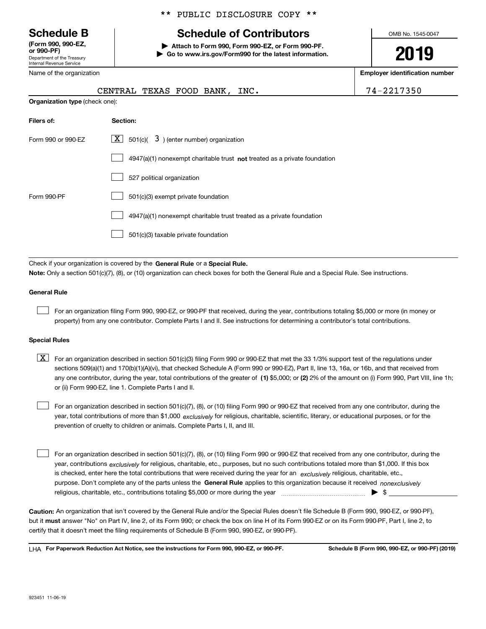Department of the Treasury Internal Revenue Service **(Form 990, 990-EZ, or 990-PF)**

Name of the organization

\*\* PUBLIC DISCLOSURE COPY \*\*

## **Schedule B Schedule of Contributors**

**| Attach to Form 990, Form 990-EZ, or Form 990-PF. | Go to www.irs.gov/Form990 for the latest information.** OMB No. 1545-0047

**2019**

**Employer identification number**

|                                | CENTRAL TEXAS FOOD BANK, INC.                                                      | 74-2217350 |
|--------------------------------|------------------------------------------------------------------------------------|------------|
| Organization type (check one): |                                                                                    |            |
| Filers of:                     | Section:                                                                           |            |
| Form 990 or 990-EZ             | $\boxed{\mathbf{X}}$ 501(c)( 3) (enter number) organization                        |            |
|                                | $4947(a)(1)$ nonexempt charitable trust <b>not</b> treated as a private foundation |            |
|                                | 527 political organization                                                         |            |

|             | 527 political organization                                            |
|-------------|-----------------------------------------------------------------------|
| Form 990-PF | 501(c)(3) exempt private foundation                                   |
|             | 4947(a)(1) nonexempt charitable trust treated as a private foundation |
|             | 501(c)(3) taxable private foundation                                  |
|             |                                                                       |

Check if your organization is covered by the **General Rule** or a **Special Rule. Note:**  Only a section 501(c)(7), (8), or (10) organization can check boxes for both the General Rule and a Special Rule. See instructions.

#### **General Rule**

 $\mathcal{L}^{\text{max}}$ 

For an organization filing Form 990, 990-EZ, or 990-PF that received, during the year, contributions totaling \$5,000 or more (in money or property) from any one contributor. Complete Parts I and II. See instructions for determining a contributor's total contributions.

#### **Special Rules**

any one contributor, during the year, total contributions of the greater of  $\,$  (1) \$5,000; or **(2)** 2% of the amount on (i) Form 990, Part VIII, line 1h;  $\boxed{\textbf{X}}$  For an organization described in section 501(c)(3) filing Form 990 or 990-EZ that met the 33 1/3% support test of the regulations under sections 509(a)(1) and 170(b)(1)(A)(vi), that checked Schedule A (Form 990 or 990-EZ), Part II, line 13, 16a, or 16b, and that received from or (ii) Form 990-EZ, line 1. Complete Parts I and II.

year, total contributions of more than \$1,000 *exclusively* for religious, charitable, scientific, literary, or educational purposes, or for the For an organization described in section 501(c)(7), (8), or (10) filing Form 990 or 990-EZ that received from any one contributor, during the prevention of cruelty to children or animals. Complete Parts I, II, and III.  $\mathcal{L}^{\text{max}}$ 

purpose. Don't complete any of the parts unless the **General Rule** applies to this organization because it received *nonexclusively* year, contributions <sub>exclusively</sub> for religious, charitable, etc., purposes, but no such contributions totaled more than \$1,000. If this box is checked, enter here the total contributions that were received during the year for an  $\;$ exclusively religious, charitable, etc., For an organization described in section 501(c)(7), (8), or (10) filing Form 990 or 990-EZ that received from any one contributor, during the religious, charitable, etc., contributions totaling \$5,000 or more during the year  $\Box$ — $\Box$   $\Box$  $\mathcal{L}^{\text{max}}$ 

**Caution:**  An organization that isn't covered by the General Rule and/or the Special Rules doesn't file Schedule B (Form 990, 990-EZ, or 990-PF),  **must** but it answer "No" on Part IV, line 2, of its Form 990; or check the box on line H of its Form 990-EZ or on its Form 990-PF, Part I, line 2, to certify that it doesn't meet the filing requirements of Schedule B (Form 990, 990-EZ, or 990-PF).

**For Paperwork Reduction Act Notice, see the instructions for Form 990, 990-EZ, or 990-PF. Schedule B (Form 990, 990-EZ, or 990-PF) (2019)** LHA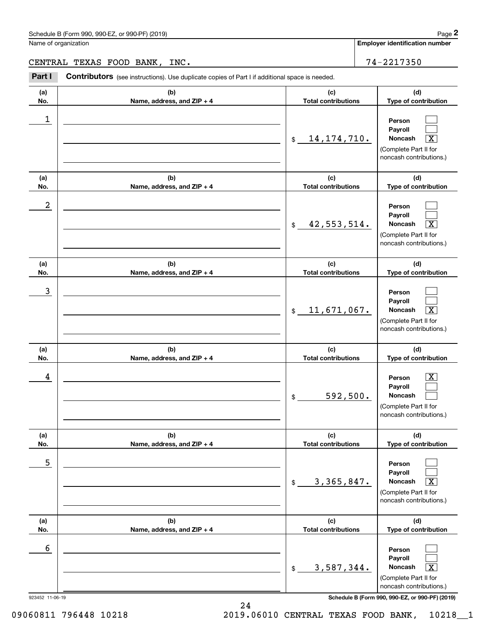**Employer identification number**

## CENTRAL TEXAS FOOD BANK, INC. 2012 12:22 17350

Chedule B (Form 990, 990-EZ, or 990-PF) (2019)<br>
lame of organization<br> **2PART LI CONTIBUTORS** (see instructions). Use duplicate copies of Part I if additional space is needed.<br> **2PART I 2217350**<br> **2PART I Contributors**

| (a)        | (b)                               | (c)                               | (d)                                                                                                         |
|------------|-----------------------------------|-----------------------------------|-------------------------------------------------------------------------------------------------------------|
| No.        | Name, address, and ZIP + 4        | <b>Total contributions</b>        | Type of contribution                                                                                        |
| 1          |                                   | 14, 174, 710.<br>$$\mathbb{S}$$   | Person<br>Pavroll<br>Noncash<br>$\overline{\texttt{X}}$<br>(Complete Part II for<br>noncash contributions.) |
| (a)<br>No. | (b)<br>Name, address, and ZIP + 4 | (c)<br><b>Total contributions</b> | (d)<br>Type of contribution                                                                                 |
| 2          |                                   | 42,553,514.<br>$\mathfrak{S}$     | Person<br>Payroll<br>Noncash<br>$\overline{\text{X}}$<br>(Complete Part II for<br>noncash contributions.)   |
| (a)        | (b)                               | (c)                               | (d)                                                                                                         |
| No.        | Name, address, and ZIP + 4        | <b>Total contributions</b>        | Type of contribution                                                                                        |
| 3          |                                   | 11,671,067.<br>$$\mathbb{S}$$     | Person<br>Payroll<br>Noncash<br>$\overline{\textbf{X}}$<br>(Complete Part II for<br>noncash contributions.) |
| (a)        | (b)                               | (c)                               | (d)                                                                                                         |
| No.        | Name, address, and ZIP + 4        | <b>Total contributions</b>        | Type of contribution                                                                                        |
| 4          |                                   | 592,500.<br>$\$$                  | Person<br>x<br>Payroll<br>Noncash<br>(Complete Part II for<br>noncash contributions.)                       |
| (a)        | (b)                               | (c)                               | (d)                                                                                                         |
| No.        |                                   |                                   |                                                                                                             |
|            | Name, address, and ZIP + 4        | <b>Total contributions</b>        | Type of contribution                                                                                        |
| 5          |                                   | 3, 365, 847.<br>\$                | Person<br>Payroll<br>Noncash<br>$\overline{\text{X}}$<br>(Complete Part II for<br>noncash contributions.)   |
| (a)<br>No. | (b)<br>Name, address, and ZIP + 4 | (c)<br><b>Total contributions</b> | (d)<br>Type of contribution                                                                                 |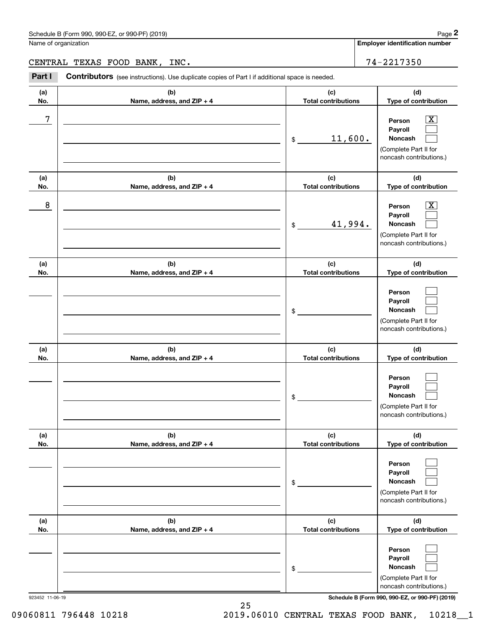**Employer identification number**

CENTRAL TEXAS FOOD BANK, INC. THE RESERVE RESERVE THAN 1999 1994-2217350

**(a)No.(b)Name, address, and ZIP + 4 (c)Total contributions (d)Type of contribution PersonPayrollNoncash (a)No.(b)Name, address, and ZIP + 4 (c)Total contributions (d)Type of contribution PersonPayrollNoncash (a)No.(b)Name, address, and ZIP + 4 (c)Total contributions (d)Type of contribution PersonPayrollNoncash (a) No.(b) Name, address, and ZIP + 4 (c) Total contributions (d) Type of contribution PersonPayrollNoncash(a) No.(b) Name, address, and ZIP + 4 (c) Total contributions (d) Type of contribution PersonPayrollNoncash (a) No.(b)Name, address, and ZIP + 4 (c) Total contributions (d)Type of contribution PersonPayrollNoncash** Contributors (see instructions). Use duplicate copies of Part I if additional space is needed. \$(Complete Part II for noncash contributions.) \$(Complete Part II for noncash contributions.) \$(Complete Part II for noncash contributions.) \$(Complete Part II for noncash contributions.) \$(Complete Part II for noncash contributions.) \$(Complete Part II for noncash contributions.) Chedule B (Form 990, 990-EZ, or 990-PF) (2019)<br>Iame of organization<br>**2PART TEXAS FOOD BANK, INC.**<br>**2PART I** Contributors (see instructions). Use duplicate copies of Part I if additional space is needed.  $|X|$  $\mathcal{L}^{\text{max}}$  $\mathcal{L}^{\text{max}}$  $\boxed{\text{X}}$  $\mathcal{L}^{\text{max}}$  $\mathcal{L}^{\text{max}}$  $\mathcal{L}^{\text{max}}$  $\mathcal{L}^{\text{max}}$  $\mathcal{L}^{\text{max}}$  $\mathcal{L}^{\text{max}}$  $\mathcal{L}^{\text{max}}$  $\mathcal{L}^{\text{max}}$  $\mathcal{L}^{\text{max}}$  $\mathcal{L}^{\text{max}}$  $\mathcal{L}^{\text{max}}$  $\mathcal{L}^{\text{max}}$  $\mathcal{L}^{\text{max}}$  $\mathcal{L}^{\text{max}}$ 7 X 11,600. 8 X 41,994.

923452 11-06-19 **Schedule B (Form 990, 990-EZ, or 990-PF) (2019)**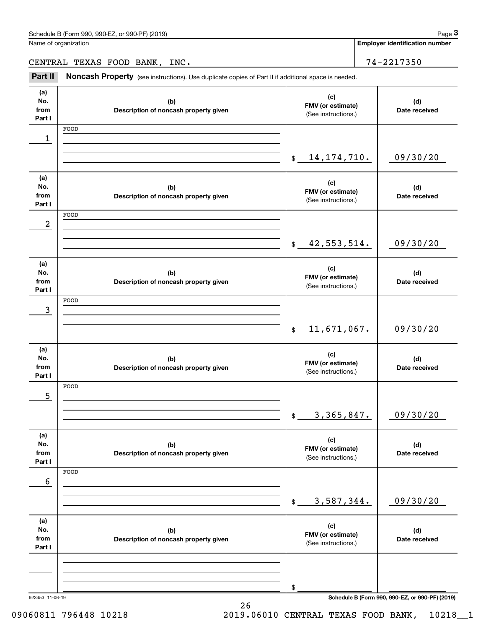| Schedule B (Form 990, 990-EZ, or 990-PF) (2019) | Page |
|-------------------------------------------------|------|
|-------------------------------------------------|------|

Name of organization

**Employer identification number**

CENTRAL TEXAS FOOD BANK, INC. 2012 12:22 17350

Chedule B (Form 990, 990-EZ, or 990-PF) (2019)<br> **2019** alame of organization<br> **2PART III Noncash Property** (see instructions). Use duplicate copies of Part II if additional space is needed.<br> **2Part II Noncash Property** 

| (a)<br>No.<br>from<br>Part I | (b)<br>Description of noncash property given | (c)<br>FMV (or estimate)<br>(See instructions.) | (d)<br>Date received                            |
|------------------------------|----------------------------------------------|-------------------------------------------------|-------------------------------------------------|
|                              | FOOD                                         |                                                 |                                                 |
| 1                            |                                              |                                                 |                                                 |
|                              |                                              | 14, 174, 710.<br>\$                             | 09/30/20                                        |
| (a)                          |                                              | (c)                                             |                                                 |
| No.<br>from                  | (b)<br>Description of noncash property given | FMV (or estimate)                               | (d)<br>Date received                            |
| Part I                       |                                              | (See instructions.)                             |                                                 |
|                              | FOOD                                         |                                                 |                                                 |
| 2                            |                                              |                                                 |                                                 |
|                              |                                              | 42,553,514.<br>$\frac{1}{2}$                    | 09/30/20                                        |
| (a)                          |                                              | (c)                                             |                                                 |
| No.<br>from                  | (b)                                          | FMV (or estimate)                               | (d)<br>Date received                            |
| Part I                       | Description of noncash property given        | (See instructions.)                             |                                                 |
|                              | FOOD                                         |                                                 |                                                 |
| 3                            |                                              |                                                 |                                                 |
|                              |                                              | 11,671,067.<br>\$                               | 09/30/20                                        |
|                              |                                              |                                                 |                                                 |
| (a)                          |                                              | (c)                                             |                                                 |
| No.<br>from                  | (b)<br>Description of noncash property given | FMV (or estimate)                               | (d)<br>Date received                            |
| Part I                       |                                              | (See instructions.)                             |                                                 |
|                              | FOOD                                         |                                                 |                                                 |
| 5                            |                                              |                                                 |                                                 |
|                              |                                              | 3, 365, 847.<br>\$                              | 09/30/20                                        |
|                              |                                              |                                                 |                                                 |
| (a)<br>No.                   | (b)                                          | (c)                                             | (d)                                             |
| from                         | Description of noncash property given        | FMV (or estimate)<br>(See instructions.)        | Date received                                   |
| Part I                       |                                              |                                                 |                                                 |
| 6                            | FOOD                                         |                                                 |                                                 |
|                              |                                              |                                                 |                                                 |
|                              |                                              | 3,587,344.<br>$\$$                              | 09/30/20                                        |
| (a)                          |                                              | (c)                                             |                                                 |
| No.<br>from                  | (b)<br>Description of noncash property given | FMV (or estimate)                               | (d)<br>Date received                            |
| Part I                       |                                              | (See instructions.)                             |                                                 |
|                              |                                              |                                                 |                                                 |
|                              |                                              |                                                 |                                                 |
|                              |                                              | \$                                              |                                                 |
| 923453 11-06-19              |                                              |                                                 | Schedule B (Form 990, 990-EZ, or 990-PF) (2019) |

26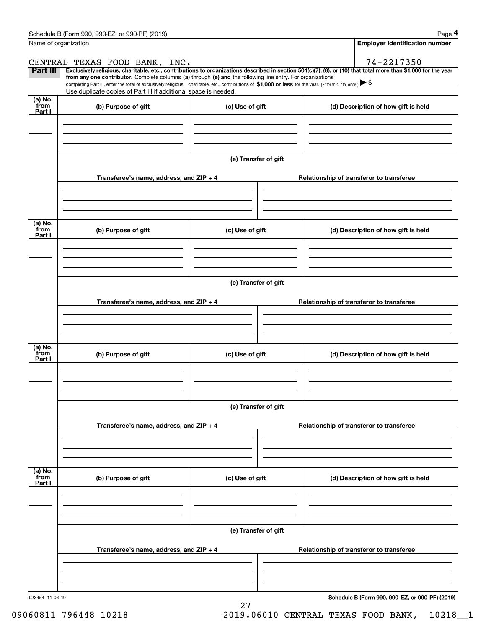|                           | Schedule B (Form 990, 990-EZ, or 990-PF) (2019)                                                                                                                                                                                                                                                                                                                                                                                                                                                                                      |                      |  | Page 4                                   |
|---------------------------|--------------------------------------------------------------------------------------------------------------------------------------------------------------------------------------------------------------------------------------------------------------------------------------------------------------------------------------------------------------------------------------------------------------------------------------------------------------------------------------------------------------------------------------|----------------------|--|------------------------------------------|
| Name of organization      |                                                                                                                                                                                                                                                                                                                                                                                                                                                                                                                                      |                      |  | <b>Employer identification number</b>    |
|                           | CENTRAL TEXAS FOOD BANK, INC.                                                                                                                                                                                                                                                                                                                                                                                                                                                                                                        |                      |  | 74-2217350                               |
| <b>Part III</b>           | Exclusively religious, charitable, etc., contributions to organizations described in section 501(c)(7), (8), or (10) that total more than \$1,000 for the year<br>from any one contributor. Complete columns (a) through (e) and the following line entry. For organizations<br>completing Part III, enter the total of exclusively religious, charitable, etc., contributions of \$1,000 or less for the year. (Enter this info. once.) $\blacktriangleright$ \$<br>Use duplicate copies of Part III if additional space is needed. |                      |  |                                          |
| (a) No.<br>from<br>Part I | (b) Purpose of gift                                                                                                                                                                                                                                                                                                                                                                                                                                                                                                                  | (c) Use of gift      |  | (d) Description of how gift is held      |
|                           |                                                                                                                                                                                                                                                                                                                                                                                                                                                                                                                                      |                      |  |                                          |
|                           |                                                                                                                                                                                                                                                                                                                                                                                                                                                                                                                                      |                      |  |                                          |
|                           | Transferee's name, address, and ZIP + 4                                                                                                                                                                                                                                                                                                                                                                                                                                                                                              | (e) Transfer of gift |  |                                          |
|                           |                                                                                                                                                                                                                                                                                                                                                                                                                                                                                                                                      |                      |  | Relationship of transferor to transferee |
| (a) No.                   |                                                                                                                                                                                                                                                                                                                                                                                                                                                                                                                                      |                      |  |                                          |
| from<br>Part I            | (b) Purpose of gift                                                                                                                                                                                                                                                                                                                                                                                                                                                                                                                  | (c) Use of gift      |  | (d) Description of how gift is held      |
|                           |                                                                                                                                                                                                                                                                                                                                                                                                                                                                                                                                      |                      |  |                                          |
|                           |                                                                                                                                                                                                                                                                                                                                                                                                                                                                                                                                      | (e) Transfer of gift |  |                                          |
|                           | Transferee's name, address, and ZIP + 4                                                                                                                                                                                                                                                                                                                                                                                                                                                                                              |                      |  | Relationship of transferor to transferee |
| (a) No.<br>from<br>Part I | (b) Purpose of gift                                                                                                                                                                                                                                                                                                                                                                                                                                                                                                                  | (c) Use of gift      |  | (d) Description of how gift is held      |
|                           |                                                                                                                                                                                                                                                                                                                                                                                                                                                                                                                                      | (e) Transfer of gift |  |                                          |
|                           | Transferee's name, address, and ZIP + 4                                                                                                                                                                                                                                                                                                                                                                                                                                                                                              |                      |  | Relationship of transferor to transferee |
|                           |                                                                                                                                                                                                                                                                                                                                                                                                                                                                                                                                      |                      |  |                                          |
| (a) No.<br>from<br>Part I | (b) Purpose of gift                                                                                                                                                                                                                                                                                                                                                                                                                                                                                                                  | (c) Use of gift      |  | (d) Description of how gift is held      |
|                           |                                                                                                                                                                                                                                                                                                                                                                                                                                                                                                                                      |                      |  |                                          |
|                           |                                                                                                                                                                                                                                                                                                                                                                                                                                                                                                                                      | (e) Transfer of gift |  |                                          |
|                           | Transferee's name, address, and ZIP + 4                                                                                                                                                                                                                                                                                                                                                                                                                                                                                              |                      |  | Relationship of transferor to transferee |
|                           |                                                                                                                                                                                                                                                                                                                                                                                                                                                                                                                                      |                      |  |                                          |
|                           |                                                                                                                                                                                                                                                                                                                                                                                                                                                                                                                                      |                      |  |                                          |

27

**Schedule B (Form 990, 990-EZ, or 990-PF) (2019)**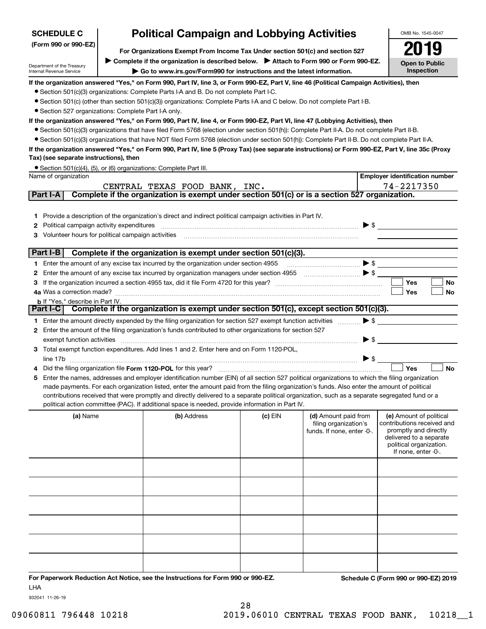| <b>SCHEDULE C</b>                                      |                                                                                                                                                                 | <b>Political Campaign and Lobbying Activities</b>                                                                                                                                                                                                                                              |         |                                                                             |                          | OMB No. 1545-0047                                                                                                                                           |  |  |  |
|--------------------------------------------------------|-----------------------------------------------------------------------------------------------------------------------------------------------------------------|------------------------------------------------------------------------------------------------------------------------------------------------------------------------------------------------------------------------------------------------------------------------------------------------|---------|-----------------------------------------------------------------------------|--------------------------|-------------------------------------------------------------------------------------------------------------------------------------------------------------|--|--|--|
| (Form 990 or 990-EZ)                                   | For Organizations Exempt From Income Tax Under section 501(c) and section 527                                                                                   |                                                                                                                                                                                                                                                                                                |         |                                                                             |                          |                                                                                                                                                             |  |  |  |
|                                                        |                                                                                                                                                                 |                                                                                                                                                                                                                                                                                                |         |                                                                             |                          | Open to Public                                                                                                                                              |  |  |  |
| Department of the Treasury<br>Internal Revenue Service | Complete if the organization is described below. > Attach to Form 990 or Form 990-EZ.<br>Go to www.irs.gov/Form990 for instructions and the latest information. |                                                                                                                                                                                                                                                                                                |         |                                                                             |                          |                                                                                                                                                             |  |  |  |
|                                                        |                                                                                                                                                                 | If the organization answered "Yes," on Form 990, Part IV, line 3, or Form 990-EZ, Part V, line 46 (Political Campaign Activities), then                                                                                                                                                        |         |                                                                             |                          |                                                                                                                                                             |  |  |  |
|                                                        |                                                                                                                                                                 | • Section 501(c)(3) organizations: Complete Parts I-A and B. Do not complete Part I-C.                                                                                                                                                                                                         |         |                                                                             |                          |                                                                                                                                                             |  |  |  |
|                                                        |                                                                                                                                                                 | • Section 501(c) (other than section 501(c)(3)) organizations: Complete Parts I-A and C below. Do not complete Part I-B.                                                                                                                                                                       |         |                                                                             |                          |                                                                                                                                                             |  |  |  |
| • Section 527 organizations: Complete Part I-A only.   |                                                                                                                                                                 |                                                                                                                                                                                                                                                                                                |         |                                                                             |                          |                                                                                                                                                             |  |  |  |
|                                                        |                                                                                                                                                                 | If the organization answered "Yes," on Form 990, Part IV, line 4, or Form 990-EZ, Part VI, line 47 (Lobbying Activities), then                                                                                                                                                                 |         |                                                                             |                          |                                                                                                                                                             |  |  |  |
|                                                        |                                                                                                                                                                 | • Section 501(c)(3) organizations that have filed Form 5768 (election under section 501(h)): Complete Part II-A. Do not complete Part II-B.<br>• Section 501(c)(3) organizations that have NOT filed Form 5768 (election under section 501(h)): Complete Part II-B. Do not complete Part II-A. |         |                                                                             |                          |                                                                                                                                                             |  |  |  |
|                                                        |                                                                                                                                                                 | If the organization answered "Yes," on Form 990, Part IV, line 5 (Proxy Tax) (see separate instructions) or Form 990-EZ, Part V, line 35c (Proxy                                                                                                                                               |         |                                                                             |                          |                                                                                                                                                             |  |  |  |
| Tax) (see separate instructions), then                 |                                                                                                                                                                 |                                                                                                                                                                                                                                                                                                |         |                                                                             |                          |                                                                                                                                                             |  |  |  |
|                                                        |                                                                                                                                                                 | • Section 501(c)(4), (5), or (6) organizations: Complete Part III.                                                                                                                                                                                                                             |         |                                                                             |                          |                                                                                                                                                             |  |  |  |
| Name of organization                                   |                                                                                                                                                                 |                                                                                                                                                                                                                                                                                                |         |                                                                             |                          | <b>Employer identification number</b>                                                                                                                       |  |  |  |
|                                                        |                                                                                                                                                                 | CENTRAL TEXAS FOOD BANK, INC.                                                                                                                                                                                                                                                                  |         |                                                                             |                          | 74-2217350                                                                                                                                                  |  |  |  |
| Part I-A                                               |                                                                                                                                                                 | Complete if the organization is exempt under section 501(c) or is a section 527 organization.                                                                                                                                                                                                  |         |                                                                             |                          |                                                                                                                                                             |  |  |  |
|                                                        |                                                                                                                                                                 |                                                                                                                                                                                                                                                                                                |         |                                                                             |                          |                                                                                                                                                             |  |  |  |
| 1.                                                     |                                                                                                                                                                 | Provide a description of the organization's direct and indirect political campaign activities in Part IV.                                                                                                                                                                                      |         |                                                                             |                          |                                                                                                                                                             |  |  |  |
| Political campaign activity expenditures<br>2          |                                                                                                                                                                 |                                                                                                                                                                                                                                                                                                |         |                                                                             | $\blacktriangleright$ \$ |                                                                                                                                                             |  |  |  |
| Volunteer hours for political campaign activities      |                                                                                                                                                                 |                                                                                                                                                                                                                                                                                                |         |                                                                             |                          |                                                                                                                                                             |  |  |  |
| Part I-B                                               |                                                                                                                                                                 | Complete if the organization is exempt under section 501(c)(3).                                                                                                                                                                                                                                |         |                                                                             |                          |                                                                                                                                                             |  |  |  |
|                                                        |                                                                                                                                                                 | 1 Enter the amount of any excise tax incurred by the organization under section 4955                                                                                                                                                                                                           |         |                                                                             | $\blacktriangleright$ \$ |                                                                                                                                                             |  |  |  |
| 2                                                      |                                                                                                                                                                 | Enter the amount of any excise tax incurred by organization managers under section 4955 [1001] [1001] \$                                                                                                                                                                                       |         |                                                                             |                          |                                                                                                                                                             |  |  |  |
|                                                        |                                                                                                                                                                 |                                                                                                                                                                                                                                                                                                |         |                                                                             |                          | Yes<br>No                                                                                                                                                   |  |  |  |
| 4a Was a correction made?                              |                                                                                                                                                                 |                                                                                                                                                                                                                                                                                                |         |                                                                             |                          | Yes<br>No                                                                                                                                                   |  |  |  |
| <b>b</b> If "Yes," describe in Part IV.                |                                                                                                                                                                 |                                                                                                                                                                                                                                                                                                |         |                                                                             |                          |                                                                                                                                                             |  |  |  |
| Part I-C                                               |                                                                                                                                                                 | Complete if the organization is exempt under section 501(c), except section 501(c)(3).                                                                                                                                                                                                         |         |                                                                             |                          |                                                                                                                                                             |  |  |  |
|                                                        |                                                                                                                                                                 | 1 Enter the amount directly expended by the filing organization for section 527 exempt function activities                                                                                                                                                                                     |         |                                                                             | $\blacktriangleright$ \$ |                                                                                                                                                             |  |  |  |
|                                                        |                                                                                                                                                                 | 2 Enter the amount of the filing organization's funds contributed to other organizations for section 527                                                                                                                                                                                       |         |                                                                             |                          |                                                                                                                                                             |  |  |  |
| exempt function activities                             |                                                                                                                                                                 | 3 Total exempt function expenditures. Add lines 1 and 2. Enter here and on Form 1120-POL,                                                                                                                                                                                                      |         |                                                                             | $\blacktriangleright$ \$ |                                                                                                                                                             |  |  |  |
|                                                        |                                                                                                                                                                 |                                                                                                                                                                                                                                                                                                |         |                                                                             | $\triangleright$ \$      |                                                                                                                                                             |  |  |  |
|                                                        |                                                                                                                                                                 | Did the filing organization file Form 1120-POL for this year?                                                                                                                                                                                                                                  |         |                                                                             |                          | Yes<br><b>No</b>                                                                                                                                            |  |  |  |
| 5                                                      |                                                                                                                                                                 | Enter the names, addresses and employer identification number (EIN) of all section 527 political organizations to which the filing organization                                                                                                                                                |         |                                                                             |                          |                                                                                                                                                             |  |  |  |
|                                                        |                                                                                                                                                                 | made payments. For each organization listed, enter the amount paid from the filing organization's funds. Also enter the amount of political                                                                                                                                                    |         |                                                                             |                          |                                                                                                                                                             |  |  |  |
|                                                        |                                                                                                                                                                 | contributions received that were promptly and directly delivered to a separate political organization, such as a separate segregated fund or a                                                                                                                                                 |         |                                                                             |                          |                                                                                                                                                             |  |  |  |
|                                                        |                                                                                                                                                                 | political action committee (PAC). If additional space is needed, provide information in Part IV.                                                                                                                                                                                               |         |                                                                             |                          |                                                                                                                                                             |  |  |  |
| (a) Name                                               |                                                                                                                                                                 | (b) Address                                                                                                                                                                                                                                                                                    | (c) EIN | (d) Amount paid from<br>filing organization's<br>funds. If none, enter -0-. |                          | (e) Amount of political<br>contributions received and<br>promptly and directly<br>delivered to a separate<br>political organization.<br>If none, enter -0-. |  |  |  |
|                                                        |                                                                                                                                                                 |                                                                                                                                                                                                                                                                                                |         |                                                                             |                          |                                                                                                                                                             |  |  |  |
|                                                        |                                                                                                                                                                 |                                                                                                                                                                                                                                                                                                |         |                                                                             |                          |                                                                                                                                                             |  |  |  |
|                                                        |                                                                                                                                                                 |                                                                                                                                                                                                                                                                                                |         |                                                                             |                          |                                                                                                                                                             |  |  |  |
|                                                        |                                                                                                                                                                 |                                                                                                                                                                                                                                                                                                |         |                                                                             |                          |                                                                                                                                                             |  |  |  |
|                                                        |                                                                                                                                                                 |                                                                                                                                                                                                                                                                                                |         |                                                                             |                          |                                                                                                                                                             |  |  |  |
|                                                        |                                                                                                                                                                 |                                                                                                                                                                                                                                                                                                |         |                                                                             |                          |                                                                                                                                                             |  |  |  |
|                                                        |                                                                                                                                                                 |                                                                                                                                                                                                                                                                                                |         |                                                                             |                          |                                                                                                                                                             |  |  |  |

**For Paperwork Reduction Act Notice, see the Instructions for Form 990 or 990-EZ. Schedule C (Form 990 or 990-EZ) 2019** LHA

932041 11-26-19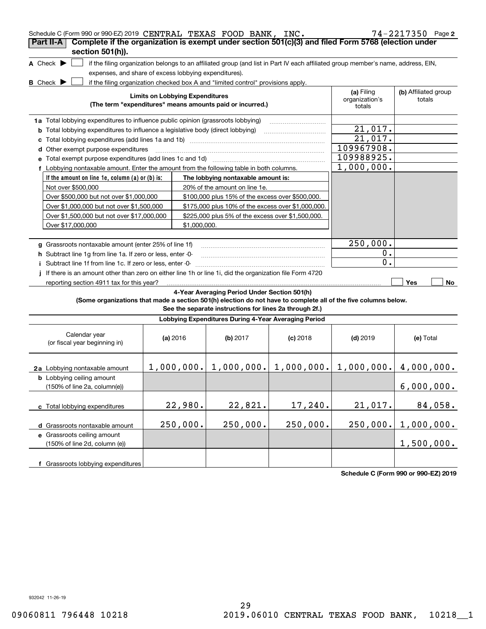| Schedule C (Form 990 or 990-EZ) 2019 CENTRAL TEXAS FOOD BANK, INC.                                              |                                        |                                                                                                                                   |            |                              | $74 - 2217350$ Page 2          |
|-----------------------------------------------------------------------------------------------------------------|----------------------------------------|-----------------------------------------------------------------------------------------------------------------------------------|------------|------------------------------|--------------------------------|
| Complete if the organization is exempt under section 501(c)(3) and filed Form 5768 (election under<br>Part II-A |                                        |                                                                                                                                   |            |                              |                                |
| section 501(h)).                                                                                                |                                        |                                                                                                                                   |            |                              |                                |
| A Check $\blacktriangleright$                                                                                   |                                        | if the filing organization belongs to an affiliated group (and list in Part IV each affiliated group member's name, address, EIN, |            |                              |                                |
| expenses, and share of excess lobbying expenditures).                                                           |                                        |                                                                                                                                   |            |                              |                                |
| <b>B</b> Check <b>D</b>                                                                                         |                                        | if the filing organization checked box A and "limited control" provisions apply.                                                  |            |                              |                                |
|                                                                                                                 | <b>Limits on Lobbying Expenditures</b> |                                                                                                                                   |            | (a) Filing<br>organization's | (b) Affiliated group<br>totals |
|                                                                                                                 |                                        | (The term "expenditures" means amounts paid or incurred.)                                                                         |            | totals                       |                                |
| 1a Total lobbying expenditures to influence public opinion (grassroots lobbying)                                |                                        |                                                                                                                                   |            |                              |                                |
| <b>b</b> Total lobbying expenditures to influence a legislative body (direct lobbying)                          |                                        |                                                                                                                                   |            | 21,017.                      |                                |
| c                                                                                                               |                                        |                                                                                                                                   |            | 21,017.                      |                                |
| d Other exempt purpose expenditures                                                                             |                                        |                                                                                                                                   |            | 109967908.                   |                                |
|                                                                                                                 |                                        |                                                                                                                                   |            | 109988925.                   |                                |
| f Lobbying nontaxable amount. Enter the amount from the following table in both columns.                        |                                        |                                                                                                                                   |            | 1,000,000.                   |                                |
| If the amount on line 1e, column (a) or (b) is:                                                                 |                                        | The lobbying nontaxable amount is:                                                                                                |            |                              |                                |
| Not over \$500,000                                                                                              |                                        | 20% of the amount on line 1e.                                                                                                     |            |                              |                                |
| Over \$500,000 but not over \$1,000,000                                                                         |                                        | \$100,000 plus 15% of the excess over \$500,000.                                                                                  |            |                              |                                |
| Over \$1,000,000 but not over \$1,500,000                                                                       |                                        | \$175,000 plus 10% of the excess over \$1,000,000.                                                                                |            |                              |                                |
| Over \$1,500,000 but not over \$17,000,000                                                                      |                                        | \$225,000 plus 5% of the excess over \$1,500,000.                                                                                 |            |                              |                                |
| Over \$17,000,000                                                                                               | \$1,000,000.                           |                                                                                                                                   |            |                              |                                |
|                                                                                                                 |                                        |                                                                                                                                   |            |                              |                                |
| g Grassroots nontaxable amount (enter 25% of line 1f)                                                           |                                        |                                                                                                                                   |            | 250,000.                     |                                |
| h Subtract line 1g from line 1a. If zero or less, enter -0-                                                     |                                        |                                                                                                                                   |            | $0$ .                        |                                |
| Subtract line 1f from line 1c. If zero or less, enter -0-                                                       |                                        |                                                                                                                                   |            | 0.                           |                                |
| If there is an amount other than zero on either line 1h or line 1i, did the organization file Form 4720         |                                        |                                                                                                                                   |            |                              |                                |
| reporting section 4911 tax for this year?                                                                       |                                        |                                                                                                                                   |            |                              | Yes<br>No                      |
|                                                                                                                 |                                        | 4-Year Averaging Period Under Section 501(h)                                                                                      |            |                              |                                |
| (Some organizations that made a section 501(h) election do not have to complete all of the five columns below.  |                                        | See the separate instructions for lines 2a through 2f.)                                                                           |            |                              |                                |
|                                                                                                                 |                                        | Lobbying Expenditures During 4-Year Averaging Period                                                                              |            |                              |                                |
|                                                                                                                 |                                        |                                                                                                                                   |            |                              |                                |
| Calendar year<br>(or fiscal year beginning in)                                                                  | (a) $2016$                             | (b) 2017                                                                                                                          | $(c)$ 2018 | $(d)$ 2019                   | (e) Total                      |
|                                                                                                                 |                                        |                                                                                                                                   |            |                              |                                |
|                                                                                                                 |                                        | $1,000,000.$ $1,000,000.$ $1,000,000.$ $1,000,000.$ $4,000,000.$                                                                  |            |                              |                                |
| 2a Lobbying nontaxable amount                                                                                   |                                        |                                                                                                                                   |            |                              |                                |
| <b>b</b> Lobbying ceiling amount<br>(150% of line 2a, column(e))                                                |                                        |                                                                                                                                   |            |                              | 6,000,000.                     |
|                                                                                                                 |                                        |                                                                                                                                   |            |                              |                                |
| c Total lobbying expenditures                                                                                   | 22,980.                                | 22,821.                                                                                                                           | 17,240.    | 21,017.                      | 84,058.                        |
|                                                                                                                 |                                        |                                                                                                                                   |            |                              |                                |
| d Grassroots nontaxable amount                                                                                  | 250,000.                               | 250,000.                                                                                                                          | 250,000.   | 250,000.                     | 1,000,000.                     |
| e Grassroots ceiling amount                                                                                     |                                        |                                                                                                                                   |            |                              |                                |
| (150% of line 2d, column (e))                                                                                   |                                        |                                                                                                                                   |            |                              | 1,500,000.                     |
|                                                                                                                 |                                        |                                                                                                                                   |            |                              |                                |
| f Grassroots lobbying expenditures                                                                              |                                        |                                                                                                                                   |            |                              |                                |

**Schedule C (Form 990 or 990-EZ) 2019**

932042 11-26-19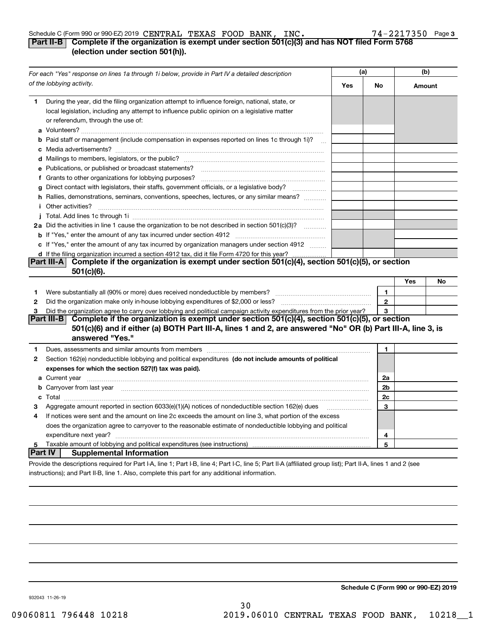#### Schedule C (Form 990 or 990-EZ) 2019 Page CENTRAL TEXAS FOOD BANK, INC. 74-2217350

#### **3**

### **Part II-B Complete if the organization is exempt under section 501(c)(3) and has NOT filed Form 5768 (election under section 501(h)).**

| For each "Yes" response on lines 1a through 1i below, provide in Part IV a detailed description |                                                                                                                                                                                                                                      | (a) |                         | (b)    |    |
|-------------------------------------------------------------------------------------------------|--------------------------------------------------------------------------------------------------------------------------------------------------------------------------------------------------------------------------------------|-----|-------------------------|--------|----|
|                                                                                                 | of the lobbying activity.                                                                                                                                                                                                            | Yes | No                      | Amount |    |
| 1.                                                                                              | During the year, did the filing organization attempt to influence foreign, national, state, or<br>local legislation, including any attempt to influence public opinion on a legislative matter<br>or referendum, through the use of: |     |                         |        |    |
|                                                                                                 | <b>b</b> Paid staff or management (include compensation in expenses reported on lines 1c through 1i)?<br>$\sim$ 100 $\mu$                                                                                                            |     |                         |        |    |
|                                                                                                 |                                                                                                                                                                                                                                      |     |                         |        |    |
|                                                                                                 | e Publications, or published or broadcast statements?                                                                                                                                                                                |     |                         |        |    |
|                                                                                                 | f Grants to other organizations for lobbying purposes?                                                                                                                                                                               |     |                         |        |    |
| q                                                                                               | Direct contact with legislators, their staffs, government officials, or a legislative body?                                                                                                                                          |     |                         |        |    |
|                                                                                                 | h Rallies, demonstrations, seminars, conventions, speeches, lectures, or any similar means?<br><i>i</i> Other activities?                                                                                                            |     |                         |        |    |
|                                                                                                 |                                                                                                                                                                                                                                      |     |                         |        |    |
|                                                                                                 | 2a Did the activities in line 1 cause the organization to be not described in section 501(c)(3)?                                                                                                                                     |     |                         |        |    |
|                                                                                                 |                                                                                                                                                                                                                                      |     |                         |        |    |
|                                                                                                 | c If "Yes," enter the amount of any tax incurred by organization managers under section 4912                                                                                                                                         |     |                         |        |    |
|                                                                                                 | d If the filing organization incurred a section 4912 tax, did it file Form 4720 for this year?                                                                                                                                       |     |                         |        |    |
|                                                                                                 | Complete if the organization is exempt under section 501(c)(4), section 501(c)(5), or section<br>Part III-A<br>$501(c)(6)$ .                                                                                                         |     |                         |        |    |
|                                                                                                 |                                                                                                                                                                                                                                      |     |                         | Yes    | No |
| 1.                                                                                              |                                                                                                                                                                                                                                      |     | 1.                      |        |    |
| 2                                                                                               |                                                                                                                                                                                                                                      |     | $\overline{\mathbf{c}}$ |        |    |
| 3                                                                                               | Did the organization agree to carry over lobbying and political campaign activity expenditures from the prior year?                                                                                                                  |     | 3                       |        |    |
|                                                                                                 | Part III-B Complete if the organization is exempt under section $501(c)(4)$ , section $501(c)(5)$ , or section                                                                                                                       |     |                         |        |    |
|                                                                                                 | 501(c)(6) and if either (a) BOTH Part III-A, lines 1 and 2, are answered "No" OR (b) Part III-A, line 3, is                                                                                                                          |     |                         |        |    |
|                                                                                                 | answered "Yes."                                                                                                                                                                                                                      |     |                         |        |    |
| 1                                                                                               | Dues, assessments and similar amounts from members [11] matter continuum matter assessments and similar amounts from members [11] matter continuum matter assessments and similar amounts from members [11] matter and the sta       |     | 1.                      |        |    |
| $\mathbf{2}$                                                                                    | Section 162(e) nondeductible lobbying and political expenditures (do not include amounts of political                                                                                                                                |     |                         |        |    |
|                                                                                                 | expenses for which the section 527(f) tax was paid).                                                                                                                                                                                 |     |                         |        |    |
|                                                                                                 |                                                                                                                                                                                                                                      |     | 2a                      |        |    |
|                                                                                                 | b Carryover from last year manufactured and contain an account of the contract of the contract of the contract of the contract of the contract of the contract of the contract of the contract of the contract of the contract       |     | 2 <sub>b</sub>          |        |    |
|                                                                                                 |                                                                                                                                                                                                                                      |     | 2c                      |        |    |
| з                                                                                               | Aggregate amount reported in section 6033(e)(1)(A) notices of nondeductible section 162(e) dues                                                                                                                                      |     | 3                       |        |    |
| 4                                                                                               | If notices were sent and the amount on line 2c exceeds the amount on line 3, what portion of the excess                                                                                                                              |     |                         |        |    |
|                                                                                                 | does the organization agree to carryover to the reasonable estimate of nondeductible lobbying and political                                                                                                                          |     |                         |        |    |
|                                                                                                 | expenditure next year?                                                                                                                                                                                                               |     | 4                       |        |    |
| 5                                                                                               |                                                                                                                                                                                                                                      |     | 5                       |        |    |
| <b>Part IV</b>                                                                                  | <b>Supplemental Information</b>                                                                                                                                                                                                      |     |                         |        |    |
|                                                                                                 | Provide the descriptions required for Part I-A, line 1; Part I-B, line 4; Part I-C, line 5; Part II-A (affiliated group list); Part II-A, lines 1 and 2 (see                                                                         |     |                         |        |    |
|                                                                                                 | instructions); and Part II-B, line 1. Also, complete this part for any additional information.                                                                                                                                       |     |                         |        |    |

**Schedule C (Form 990 or 990-EZ) 2019**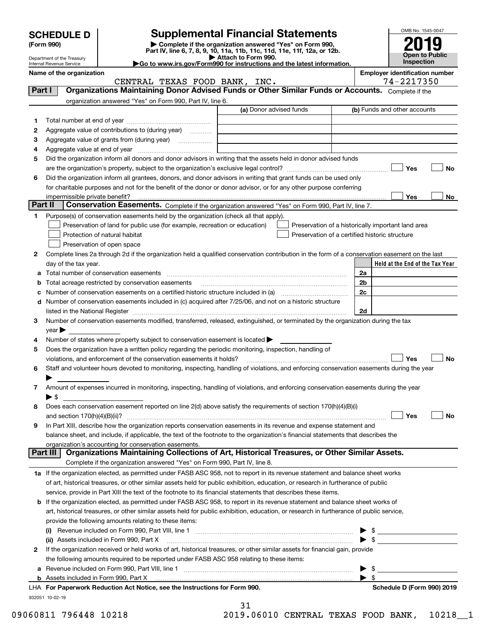|         | <b>SCHEDULE D</b>                                      |                                                                                                                                                                                                                               | <b>Supplemental Financial Statements</b>                                                                                                       |                | OMB No. 1545-0047                     |     |
|---------|--------------------------------------------------------|-------------------------------------------------------------------------------------------------------------------------------------------------------------------------------------------------------------------------------|------------------------------------------------------------------------------------------------------------------------------------------------|----------------|---------------------------------------|-----|
|         | (Form 990)                                             |                                                                                                                                                                                                                               | Complete if the organization answered "Yes" on Form 990,<br>Part IV, line 6, 7, 8, 9, 10, 11a, 11b, 11c, 11d, 11e, 11f, 12a, or 12b.           |                |                                       |     |
|         | Department of the Treasury<br>Internal Revenue Service |                                                                                                                                                                                                                               | Attach to Form 990.<br>► Go to www.irs.gov/Form990 for instructions and the latest information.                                                |                | <b>Open to Public</b><br>Inspection   |     |
|         | Name of the organization                               |                                                                                                                                                                                                                               |                                                                                                                                                |                | <b>Employer identification number</b> |     |
|         |                                                        | CENTRAL TEXAS FOOD BANK, INC.                                                                                                                                                                                                 |                                                                                                                                                | 74-2217350     |                                       |     |
| Part I  |                                                        |                                                                                                                                                                                                                               | Organizations Maintaining Donor Advised Funds or Other Similar Funds or Accounts. Complete if the                                              |                |                                       |     |
|         |                                                        | organization answered "Yes" on Form 990, Part IV, line 6.                                                                                                                                                                     |                                                                                                                                                |                |                                       |     |
|         |                                                        |                                                                                                                                                                                                                               | (a) Donor advised funds                                                                                                                        |                | (b) Funds and other accounts          |     |
| 1       |                                                        |                                                                                                                                                                                                                               |                                                                                                                                                |                |                                       |     |
| 2       |                                                        | Aggregate value of contributions to (during year)                                                                                                                                                                             |                                                                                                                                                |                |                                       |     |
| з       |                                                        |                                                                                                                                                                                                                               | the contract of the contract of the contract of the contract of the contract of                                                                |                |                                       |     |
| 4       |                                                        |                                                                                                                                                                                                                               |                                                                                                                                                |                |                                       |     |
| 5       |                                                        |                                                                                                                                                                                                                               | Did the organization inform all donors and donor advisors in writing that the assets held in donor advised funds                               |                |                                       |     |
|         |                                                        |                                                                                                                                                                                                                               |                                                                                                                                                |                | Yes                                   | No  |
| 6       |                                                        |                                                                                                                                                                                                                               | Did the organization inform all grantees, donors, and donor advisors in writing that grant funds can be used only                              |                |                                       |     |
|         |                                                        |                                                                                                                                                                                                                               | for charitable purposes and not for the benefit of the donor or donor advisor, or for any other purpose conferring                             |                |                                       |     |
| Part II | impermissible private benefit?                         |                                                                                                                                                                                                                               |                                                                                                                                                |                | Yes                                   | No. |
|         |                                                        |                                                                                                                                                                                                                               | Conservation Easements. Complete if the organization answered "Yes" on Form 990, Part IV, line 7.                                              |                |                                       |     |
| 1.      |                                                        | Purpose(s) of conservation easements held by the organization (check all that apply).                                                                                                                                         |                                                                                                                                                |                |                                       |     |
|         |                                                        | Preservation of land for public use (for example, recreation or education)<br>Protection of natural habitat                                                                                                                   | Preservation of a historically important land area                                                                                             |                |                                       |     |
|         |                                                        | Preservation of open space                                                                                                                                                                                                    | Preservation of a certified historic structure                                                                                                 |                |                                       |     |
| 2       |                                                        |                                                                                                                                                                                                                               | Complete lines 2a through 2d if the organization held a qualified conservation contribution in the form of a conservation easement on the last |                |                                       |     |
|         | day of the tax year.                                   |                                                                                                                                                                                                                               |                                                                                                                                                |                | Held at the End of the Tax Year       |     |
|         |                                                        |                                                                                                                                                                                                                               |                                                                                                                                                | 2a             |                                       |     |
|         |                                                        | Total acreage restricted by conservation easements                                                                                                                                                                            |                                                                                                                                                | 2 <sub>b</sub> |                                       |     |
|         |                                                        |                                                                                                                                                                                                                               |                                                                                                                                                | 2c             |                                       |     |
| d       |                                                        |                                                                                                                                                                                                                               | Number of conservation easements included in (c) acquired after 7/25/06, and not on a historic structure                                       |                |                                       |     |
|         |                                                        | listed in the National Register [111] Marshall Register [11] Marshall Register [11] Marshall Register [11] Marshall Register [11] Marshall Register [11] Marshall Register [11] Marshall Register [11] Marshall Register [11] |                                                                                                                                                | 2d             |                                       |     |
| 3       |                                                        |                                                                                                                                                                                                                               | Number of conservation easements modified, transferred, released, extinguished, or terminated by the organization during the tax               |                |                                       |     |
|         | $\vee$ ear                                             |                                                                                                                                                                                                                               |                                                                                                                                                |                |                                       |     |
| 4       |                                                        | Number of states where property subject to conservation easement is located $\blacktriangleright$                                                                                                                             |                                                                                                                                                |                |                                       |     |
| 5       |                                                        | Does the organization have a written policy regarding the periodic monitoring, inspection, handling of                                                                                                                        |                                                                                                                                                |                |                                       |     |
|         |                                                        |                                                                                                                                                                                                                               |                                                                                                                                                |                | Yes                                   | No  |
|         |                                                        |                                                                                                                                                                                                                               | Staff and volunteer hours devoted to monitoring, inspecting, handling of violations, and enforcing conservation easements during the year      |                |                                       |     |
|         |                                                        |                                                                                                                                                                                                                               |                                                                                                                                                |                |                                       |     |
| 7       |                                                        |                                                                                                                                                                                                                               | Amount of expenses incurred in monitoring, inspecting, handling of violations, and enforcing conservation easements during the year            |                |                                       |     |
|         | ▶ \$                                                   |                                                                                                                                                                                                                               |                                                                                                                                                |                |                                       |     |
| 8       |                                                        |                                                                                                                                                                                                                               | Does each conservation easement reported on line 2(d) above satisfy the requirements of section 170(h)(4)(B)(i)                                |                |                                       |     |
|         |                                                        |                                                                                                                                                                                                                               |                                                                                                                                                |                | Yes                                   | No  |
| 9       |                                                        |                                                                                                                                                                                                                               | In Part XIII, describe how the organization reports conservation easements in its revenue and expense statement and                            |                |                                       |     |
|         |                                                        |                                                                                                                                                                                                                               | balance sheet, and include, if applicable, the text of the footnote to the organization's financial statements that describes the              |                |                                       |     |
|         | Part III                                               | organization's accounting for conservation easements.                                                                                                                                                                         | Organizations Maintaining Collections of Art, Historical Treasures, or Other Similar Assets.                                                   |                |                                       |     |
|         |                                                        | Complete if the organization answered "Yes" on Form 990, Part IV, line 8.                                                                                                                                                     |                                                                                                                                                |                |                                       |     |
|         |                                                        |                                                                                                                                                                                                                               | 1a If the organization elected, as permitted under FASB ASC 958, not to report in its revenue statement and balance sheet works                |                |                                       |     |
|         |                                                        |                                                                                                                                                                                                                               | of art, historical treasures, or other similar assets held for public exhibition, education, or research in furtherance of public              |                |                                       |     |
|         |                                                        |                                                                                                                                                                                                                               | service, provide in Part XIII the text of the footnote to its financial statements that describes these items.                                 |                |                                       |     |
|         |                                                        |                                                                                                                                                                                                                               | <b>b</b> If the organization elected, as permitted under FASB ASC 958, to report in its revenue statement and balance sheet works of           |                |                                       |     |
|         |                                                        |                                                                                                                                                                                                                               | art, historical treasures, or other similar assets held for public exhibition, education, or research in furtherance of public service,        |                |                                       |     |
|         |                                                        | provide the following amounts relating to these items:                                                                                                                                                                        |                                                                                                                                                |                |                                       |     |
|         |                                                        |                                                                                                                                                                                                                               |                                                                                                                                                |                |                                       |     |
|         |                                                        | (ii) Assets included in Form 990, Part X                                                                                                                                                                                      |                                                                                                                                                |                |                                       |     |
| 2       |                                                        |                                                                                                                                                                                                                               | If the organization received or held works of art, historical treasures, or other similar assets for financial gain, provide                   |                |                                       |     |
|         |                                                        | the following amounts required to be reported under FASB ASC 958 relating to these items:                                                                                                                                     |                                                                                                                                                |                |                                       |     |

| <b>b</b> Assets included in Form 990. Part X |                                                                            |
|----------------------------------------------|----------------------------------------------------------------------------|
|                                              | LHA For Paperwork Reduction Act Notice, see the Instructions for Form 990. |

**a** Revenue included on Form 990, Part VIII, line 1

**For Paperwork Reduction Act Notice, Schedule D (Form 990) 2019** 

 $\blacktriangleright$  \$

 $\blacktriangleright$  \$

932051 10-02-19

| 31 |           |  |
|----|-----------|--|
|    | 110 NEN1N |  |

~~~~~~~~~~~~~~~~~~~~~~~~~~~~~~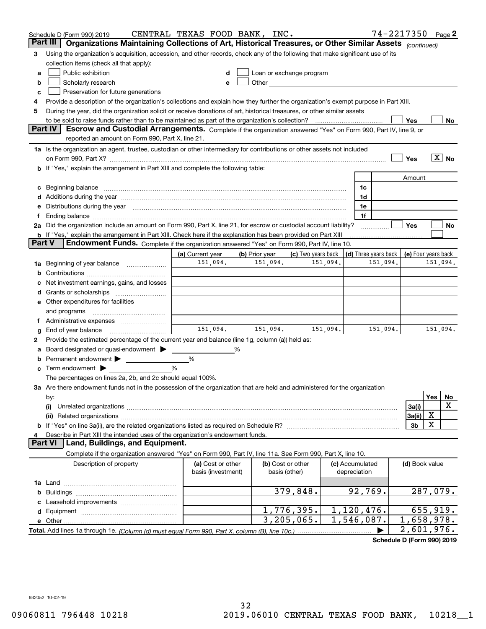|        | Schedule D (Form 990) 2019<br>Part III<br>Organizations Maintaining Collections of Art, Historical Treasures, or Other Similar Assets (continued)                                                                              | CENTRAL TEXAS FOOD BANK, INC.           |                |                                    |              |                                 |                      | 74-2217350 Page 2        |                       |    |
|--------|--------------------------------------------------------------------------------------------------------------------------------------------------------------------------------------------------------------------------------|-----------------------------------------|----------------|------------------------------------|--------------|---------------------------------|----------------------|--------------------------|-----------------------|----|
| 3      | Using the organization's acquisition, accession, and other records, check any of the following that make significant use of its                                                                                                |                                         |                |                                    |              |                                 |                      |                          |                       |    |
|        | collection items (check all that apply):                                                                                                                                                                                       |                                         |                |                                    |              |                                 |                      |                          |                       |    |
| а      | Public exhibition                                                                                                                                                                                                              |                                         |                | Loan or exchange program           |              |                                 |                      |                          |                       |    |
| b      | Scholarly research                                                                                                                                                                                                             | е                                       |                |                                    |              |                                 |                      |                          |                       |    |
| с      | Preservation for future generations                                                                                                                                                                                            |                                         |                |                                    |              |                                 |                      |                          |                       |    |
| 4      | Provide a description of the organization's collections and explain how they further the organization's exempt purpose in Part XIII.                                                                                           |                                         |                |                                    |              |                                 |                      |                          |                       |    |
| 5      | During the year, did the organization solicit or receive donations of art, historical treasures, or other similar assets                                                                                                       |                                         |                |                                    |              |                                 |                      |                          |                       |    |
|        | to be sold to raise funds rather than to be maintained as part of the organization's collection?                                                                                                                               |                                         |                |                                    | . <u>.</u> . |                                 |                      | Yes                      |                       | No |
|        | <b>Part IV</b><br>Escrow and Custodial Arrangements. Complete if the organization answered "Yes" on Form 990, Part IV, line 9, or                                                                                              |                                         |                |                                    |              |                                 |                      |                          |                       |    |
|        | reported an amount on Form 990, Part X, line 21.                                                                                                                                                                               |                                         |                |                                    |              |                                 |                      |                          |                       |    |
|        | 1a Is the organization an agent, trustee, custodian or other intermediary for contributions or other assets not included                                                                                                       |                                         |                |                                    |              |                                 |                      |                          | $\boxed{\text{X}}$ No |    |
|        | on Form 990, Part X? [11] matter contracts and contracts and contracts are contracted as a form 990, Part X?                                                                                                                   |                                         |                |                                    |              |                                 |                      | Yes                      |                       |    |
|        | <b>b</b> If "Yes," explain the arrangement in Part XIII and complete the following table:                                                                                                                                      |                                         |                |                                    |              |                                 |                      | Amount                   |                       |    |
|        | c Beginning balance measurements and the contract of the contract of the contract of the contract of the contract of the contract of the contract of the contract of the contract of the contract of the contract of the contr |                                         |                |                                    |              | 1c                              |                      |                          |                       |    |
|        |                                                                                                                                                                                                                                |                                         |                |                                    |              | 1d                              |                      |                          |                       |    |
|        | e Distributions during the year manufactured and an according to the distributions during the year manufactured and the state of the state of the state of the state of the state of the state of the state of the state of th |                                         |                |                                    |              | 1e                              |                      |                          |                       |    |
|        |                                                                                                                                                                                                                                |                                         |                |                                    |              | 1f                              |                      |                          |                       |    |
|        | 2a Did the organization include an amount on Form 990, Part X, line 21, for escrow or custodial account liability?                                                                                                             |                                         |                |                                    |              |                                 |                      | Yes                      |                       | No |
|        | <b>b</b> If "Yes," explain the arrangement in Part XIII. Check here if the explanation has been provided on Part XIII                                                                                                          |                                         |                |                                    |              |                                 |                      |                          |                       |    |
| Part V | Endowment Funds. Complete if the organization answered "Yes" on Form 990, Part IV, line 10.                                                                                                                                    |                                         |                |                                    |              |                                 |                      |                          |                       |    |
|        |                                                                                                                                                                                                                                | (a) Current year                        | (b) Prior year | (c) Two years back                 |              |                                 | (d) Three years back | (e) Four years back      |                       |    |
|        | 1a Beginning of year balance                                                                                                                                                                                                   | 151,094.                                | 151,094.       |                                    | 151,094.     |                                 | 151,094.             |                          | 151,094.              |    |
| b      |                                                                                                                                                                                                                                |                                         |                |                                    |              |                                 |                      |                          |                       |    |
| c      | Net investment earnings, gains, and losses                                                                                                                                                                                     |                                         |                |                                    |              |                                 |                      |                          |                       |    |
|        |                                                                                                                                                                                                                                |                                         |                |                                    |              |                                 |                      |                          |                       |    |
|        | e Other expenditures for facilities                                                                                                                                                                                            |                                         |                |                                    |              |                                 |                      |                          |                       |    |
|        | and programs                                                                                                                                                                                                                   |                                         |                |                                    |              |                                 |                      |                          |                       |    |
| g      |                                                                                                                                                                                                                                | 151.094.                                | 151,094.       |                                    | 151,094.     |                                 | 151,094.             |                          | 151,094.              |    |
| 2      | Provide the estimated percentage of the current year end balance (line 1g, column (a)) held as:                                                                                                                                |                                         |                |                                    |              |                                 |                      |                          |                       |    |
| а      | Board designated or quasi-endowment                                                                                                                                                                                            |                                         | %              |                                    |              |                                 |                      |                          |                       |    |
| b      | Permanent endowment >                                                                                                                                                                                                          | %                                       |                |                                    |              |                                 |                      |                          |                       |    |
|        | <b>c</b> Term endowment $\blacktriangleright$                                                                                                                                                                                  | %                                       |                |                                    |              |                                 |                      |                          |                       |    |
|        | The percentages on lines 2a, 2b, and 2c should equal 100%.                                                                                                                                                                     |                                         |                |                                    |              |                                 |                      |                          |                       |    |
|        | 3a Are there endowment funds not in the possession of the organization that are held and administered for the organization                                                                                                     |                                         |                |                                    |              |                                 |                      |                          |                       |    |
|        | by:                                                                                                                                                                                                                            |                                         |                |                                    |              |                                 |                      |                          | Yes                   | No |
|        | (i)                                                                                                                                                                                                                            |                                         |                |                                    |              |                                 |                      | 3a(i)                    |                       | х  |
|        |                                                                                                                                                                                                                                |                                         |                |                                    |              |                                 |                      | 3a(ii)                   | х                     |    |
|        |                                                                                                                                                                                                                                |                                         |                |                                    |              |                                 |                      | 3b                       | X                     |    |
| 4      | Describe in Part XIII the intended uses of the organization's endowment funds.<br>Land, Buildings, and Equipment.<br><b>Part VI</b>                                                                                            |                                         |                |                                    |              |                                 |                      |                          |                       |    |
|        |                                                                                                                                                                                                                                |                                         |                |                                    |              |                                 |                      |                          |                       |    |
|        | Complete if the organization answered "Yes" on Form 990, Part IV, line 11a. See Form 990, Part X, line 10.                                                                                                                     |                                         |                |                                    |              |                                 |                      |                          |                       |    |
|        | Description of property                                                                                                                                                                                                        | (a) Cost or other<br>basis (investment) |                | (b) Cost or other<br>basis (other) |              | (c) Accumulated<br>depreciation |                      | (d) Book value           |                       |    |
|        |                                                                                                                                                                                                                                |                                         |                |                                    |              |                                 |                      |                          |                       |    |
| b      |                                                                                                                                                                                                                                |                                         |                | 379,848.                           |              | 92,769.                         |                      | 287,079.                 |                       |    |
|        |                                                                                                                                                                                                                                |                                         |                |                                    |              |                                 |                      |                          |                       |    |
|        |                                                                                                                                                                                                                                |                                         |                | 1,776,395.                         |              | 1,120,476.                      |                      | 655,919.                 |                       |    |
|        |                                                                                                                                                                                                                                |                                         |                | 3, 205, 065.                       |              | 1,546,087.                      |                      | $\overline{1,658,978}$ . |                       |    |
|        |                                                                                                                                                                                                                                |                                         |                |                                    |              |                                 |                      | 2,601,976.               |                       |    |

**Schedule D (Form 990) 2019**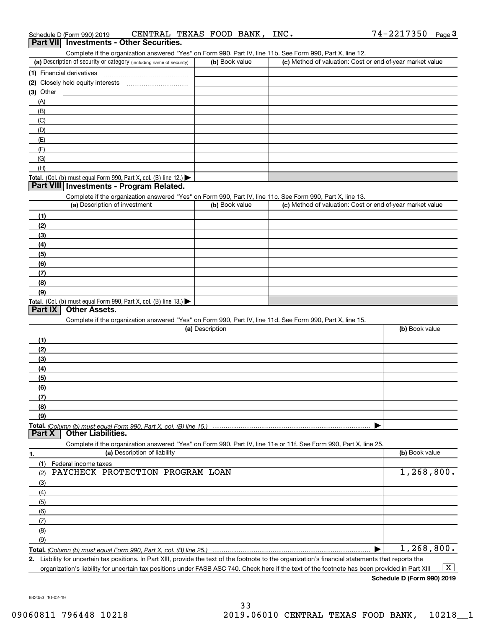| (3) Other                                                                                                                                            |                 |                                                           |                |
|------------------------------------------------------------------------------------------------------------------------------------------------------|-----------------|-----------------------------------------------------------|----------------|
| (A)                                                                                                                                                  |                 |                                                           |                |
| (B)                                                                                                                                                  |                 |                                                           |                |
| (C)                                                                                                                                                  |                 |                                                           |                |
| (D)                                                                                                                                                  |                 |                                                           |                |
| (E)                                                                                                                                                  |                 |                                                           |                |
| (F)                                                                                                                                                  |                 |                                                           |                |
| (G)                                                                                                                                                  |                 |                                                           |                |
| (H)                                                                                                                                                  |                 |                                                           |                |
| Total. (Col. (b) must equal Form 990, Part X, col. (B) line 12.) $\blacktriangleright$                                                               |                 |                                                           |                |
| Part VIII Investments - Program Related.                                                                                                             |                 |                                                           |                |
|                                                                                                                                                      |                 |                                                           |                |
| Complete if the organization answered "Yes" on Form 990, Part IV, line 11c. See Form 990, Part X, line 13.<br>(a) Description of investment          | (b) Book value  | (c) Method of valuation: Cost or end-of-year market value |                |
|                                                                                                                                                      |                 |                                                           |                |
| (1)                                                                                                                                                  |                 |                                                           |                |
| (2)                                                                                                                                                  |                 |                                                           |                |
| (3)                                                                                                                                                  |                 |                                                           |                |
| (4)                                                                                                                                                  |                 |                                                           |                |
| (5)                                                                                                                                                  |                 |                                                           |                |
| (6)                                                                                                                                                  |                 |                                                           |                |
| (7)                                                                                                                                                  |                 |                                                           |                |
| (8)                                                                                                                                                  |                 |                                                           |                |
| (9)                                                                                                                                                  |                 |                                                           |                |
| Total. (Col. (b) must equal Form 990, Part X, col. (B) line 13.)                                                                                     |                 |                                                           |                |
| Part IX<br><b>Other Assets.</b>                                                                                                                      |                 |                                                           |                |
| Complete if the organization answered "Yes" on Form 990, Part IV, line 11d. See Form 990, Part X, line 15.                                           |                 |                                                           |                |
|                                                                                                                                                      | (a) Description |                                                           | (b) Book value |
| (1)                                                                                                                                                  |                 |                                                           |                |
| (2)                                                                                                                                                  |                 |                                                           |                |
| (3)                                                                                                                                                  |                 |                                                           |                |
| (4)                                                                                                                                                  |                 |                                                           |                |
| (5)                                                                                                                                                  |                 |                                                           |                |
| (6)                                                                                                                                                  |                 |                                                           |                |
| (7)                                                                                                                                                  |                 |                                                           |                |
|                                                                                                                                                      |                 |                                                           |                |
| (8)                                                                                                                                                  |                 |                                                           |                |
| (9)                                                                                                                                                  |                 |                                                           |                |
| <b>Part X   Other Liabilities.</b>                                                                                                                   |                 |                                                           |                |
| Complete if the organization answered "Yes" on Form 990, Part IV, line 11e or 11f. See Form 990, Part X, line 25.                                    |                 |                                                           |                |
| (a) Description of liability<br>1.                                                                                                                   |                 |                                                           | (b) Book value |
| (1)<br>Federal income taxes                                                                                                                          |                 |                                                           |                |
| PAYCHECK PROTECTION PROGRAM LOAN<br>(2)                                                                                                              |                 |                                                           | 1,268,800.     |
| (3)                                                                                                                                                  |                 |                                                           |                |
| (4)                                                                                                                                                  |                 |                                                           |                |
| (5)                                                                                                                                                  |                 |                                                           |                |
|                                                                                                                                                      |                 |                                                           |                |
| (6)                                                                                                                                                  |                 |                                                           |                |
| (7)                                                                                                                                                  |                 |                                                           |                |
| (8)                                                                                                                                                  |                 |                                                           |                |
| (9)                                                                                                                                                  |                 |                                                           |                |
|                                                                                                                                                      |                 |                                                           | 1, 268, 800.   |
| 2. Liability for uncertain tax positions. In Part XIII, provide the text of the footnote to the organization's financial statements that reports the |                 |                                                           |                |
| organization's liability for uncertain tax positions under FASB ASC 740. Check here if the text of the footnote has been provided in Part XIII       |                 |                                                           | $\mathbf{X}$   |

(a) Description of security or category (including name of security)  $\vert$  (b) Book value  $\vert$  (c)

(b) Book value (c) Method of valuation: Cost or end-of-year market value

**(1)** Financial derivatives ~~~~~~~~~~~~~~~

Complete if the organization answered "Yes" on Form 990, Part IV, line 11b. See Form 990, Part X, line 12.

**Schedule D (Form 990) 2019**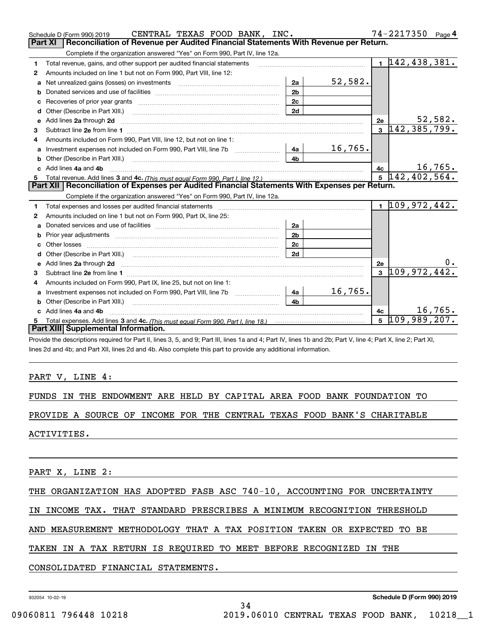|   | CENTRAL TEXAS FOOD BANK, INC.<br>Schedule D (Form 990) 2019                                                    |                |         |    | 74-2217350                  | Page 4  |
|---|----------------------------------------------------------------------------------------------------------------|----------------|---------|----|-----------------------------|---------|
|   | Reconciliation of Revenue per Audited Financial Statements With Revenue per Return.<br><b>Part XI</b>          |                |         |    |                             |         |
|   | Complete if the organization answered "Yes" on Form 990, Part IV, line 12a.                                    |                |         |    |                             |         |
| 1 | Total revenue, gains, and other support per audited financial statements                                       |                |         |    | $1 \vert 142, 438, 381.$    |         |
| 2 | Amounts included on line 1 but not on Form 990, Part VIII, line 12:                                            |                |         |    |                             |         |
|   | a Net unrealized gains (losses) on investments [11] [11] [12] Net unrealized gains (losses) on investments [11 | 2a             | 52,582. |    |                             |         |
| b |                                                                                                                | 2 <sub>b</sub> |         |    |                             |         |
| c |                                                                                                                | 2c             |         |    |                             |         |
|   |                                                                                                                | 2d             |         |    |                             |         |
|   | e Add lines 2a through 2d                                                                                      |                |         | 2e |                             | 52,582. |
| 3 |                                                                                                                |                |         |    | $3\; 142,385,799.$          |         |
| 4 | Amounts included on Form 990, Part VIII, line 12, but not on line 1:                                           |                |         |    |                             |         |
| a |                                                                                                                | 4a l           | 16,765. |    |                             |         |
| b |                                                                                                                | 4h             |         |    |                             |         |
|   | c Add lines 4a and 4b                                                                                          |                |         | 4c |                             | 16,765. |
|   |                                                                                                                |                |         |    | $5\sqrt{142,402,564.}$      |         |
|   | Part XII   Reconciliation of Expenses per Audited Financial Statements With Expenses per Return.               |                |         |    |                             |         |
|   |                                                                                                                |                |         |    |                             |         |
|   | Complete if the organization answered "Yes" on Form 990, Part IV, line 12a.                                    |                |         |    |                             |         |
| 1 |                                                                                                                |                |         |    | $1\overline{109,972,442}$ . |         |
| 2 | Amounts included on line 1 but not on Form 990, Part IX, line 25:                                              |                |         |    |                             |         |
| a |                                                                                                                | 2a             |         |    |                             |         |
| b |                                                                                                                | 2 <sub>b</sub> |         |    |                             |         |
|   | Other losses                                                                                                   | 2c             |         |    |                             |         |
| d |                                                                                                                | 2d             |         |    |                             |         |
|   |                                                                                                                |                |         | 2e |                             |         |
| 3 |                                                                                                                |                |         |    | $3\vert 109, 972, 442.$     |         |
| 4 | Amounts included on Form 990, Part IX, line 25, but not on line 1:                                             |                |         |    |                             |         |
| a |                                                                                                                | 4a             | 16,765. |    |                             |         |
| b |                                                                                                                | 4h             |         |    |                             |         |
|   | Add lines 4a and 4b                                                                                            |                |         | 4c |                             | 16,765. |
| 5 |                                                                                                                |                |         |    | $5\overline{109,989,207}$ . |         |
|   | Part XIII Supplemental Information.                                                                            |                |         |    |                             |         |

lines 2d and 4b; and Part XII, lines 2d and 4b. Also complete this part to provide any additional information.

#### PART V, LINE 4:

|  |  |  |  |  |  |  |  |  |  |  | FUNDS IN THE ENDOWMENT ARE HELD BY CAPITAL AREA FOOD BANK FOUNDATION TO |  |
|--|--|--|--|--|--|--|--|--|--|--|-------------------------------------------------------------------------|--|
|--|--|--|--|--|--|--|--|--|--|--|-------------------------------------------------------------------------|--|

PROVIDE A SOURCE OF INCOME FOR THE CENTRAL TEXAS FOOD BANK'S CHARITABLE

ACTIVITIES.

PART X, LINE 2:

THE ORGANIZATION HAS ADOPTED FASB ASC 740-10, ACCOUNTING FOR UNCERTAINTY

## IN INCOME TAX. THAT STANDARD PRESCRIBES A MINIMUM RECOGNITION THRESHOLD

AND MEASUREMENT METHODOLOGY THAT A TAX POSITION TAKEN OR EXPECTED TO BE

34

#### TAKEN IN A TAX RETURN IS REQUIRED TO MEET BEFORE RECOGNIZED IN THE

CONSOLIDATED FINANCIAL STATEMENTS.

932054 10-02-19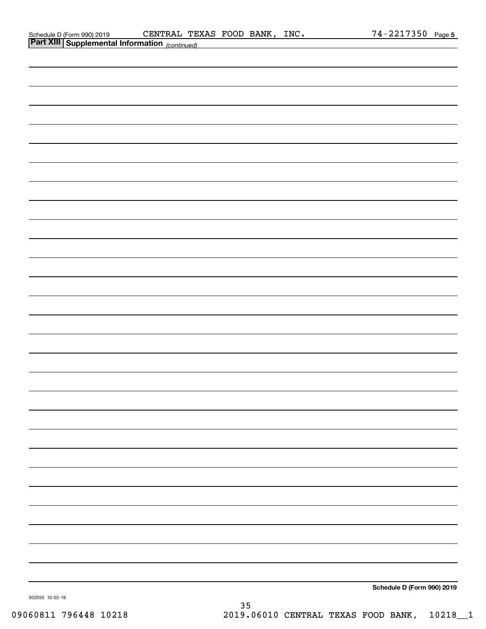| Schedule D (Form 990) 2019 |
|----------------------------|
| Dart VIII Cunnlamen        |

| <b>Part AIII</b> Supplemental Information (continued) |                            |
|-------------------------------------------------------|----------------------------|
|                                                       |                            |
|                                                       |                            |
|                                                       |                            |
|                                                       |                            |
|                                                       |                            |
|                                                       |                            |
|                                                       |                            |
|                                                       |                            |
|                                                       |                            |
|                                                       |                            |
|                                                       |                            |
|                                                       |                            |
|                                                       |                            |
|                                                       |                            |
|                                                       |                            |
|                                                       |                            |
|                                                       |                            |
|                                                       |                            |
|                                                       |                            |
|                                                       |                            |
|                                                       |                            |
|                                                       |                            |
|                                                       |                            |
|                                                       |                            |
|                                                       |                            |
|                                                       |                            |
|                                                       |                            |
|                                                       |                            |
|                                                       |                            |
|                                                       |                            |
|                                                       |                            |
|                                                       |                            |
|                                                       | Schedule D (Form 990) 2019 |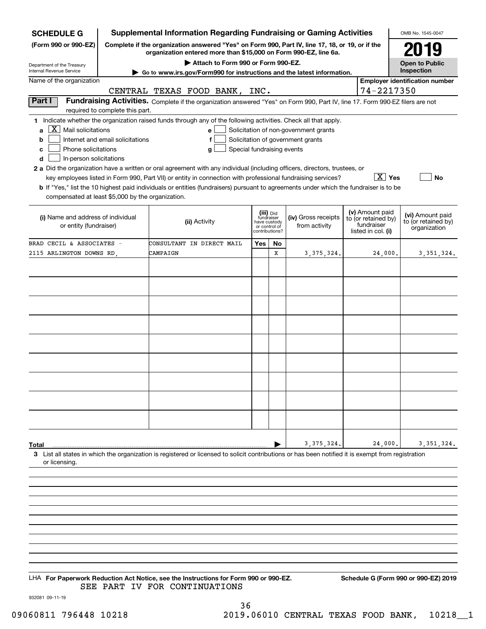| <b>SCHEDULE G</b>                                                                                                                                                                                                                                                                                                                                                                                                                                                                                                                                   |                                  |                               |                                      |     |    | <b>Supplemental Information Regarding Fundraising or Gaming Activities</b>                                                                                                                |  |                        | OMB No. 1545-0047                                       |
|-----------------------------------------------------------------------------------------------------------------------------------------------------------------------------------------------------------------------------------------------------------------------------------------------------------------------------------------------------------------------------------------------------------------------------------------------------------------------------------------------------------------------------------------------------|----------------------------------|-------------------------------|--------------------------------------|-----|----|-------------------------------------------------------------------------------------------------------------------------------------------------------------------------------------------|--|------------------------|---------------------------------------------------------|
| (Form 990 or 990-EZ)                                                                                                                                                                                                                                                                                                                                                                                                                                                                                                                                |                                  |                               |                                      |     |    | Complete if the organization answered "Yes" on Form 990, Part IV, line 17, 18, or 19, or if the                                                                                           |  |                        | 2019                                                    |
|                                                                                                                                                                                                                                                                                                                                                                                                                                                                                                                                                     |                                  |                               | Attach to Form 990 or Form 990-EZ.   |     |    | organization entered more than \$15,000 on Form 990-EZ, line 6a.                                                                                                                          |  |                        | <b>Open to Public</b>                                   |
| Department of the Treasury<br><b>Internal Revenue Service</b>                                                                                                                                                                                                                                                                                                                                                                                                                                                                                       |                                  |                               |                                      |     |    | Go to www.irs.gov/Form990 for instructions and the latest information.                                                                                                                    |  |                        | Inspection                                              |
| Name of the organization                                                                                                                                                                                                                                                                                                                                                                                                                                                                                                                            |                                  |                               |                                      |     |    |                                                                                                                                                                                           |  |                        | <b>Employer identification number</b>                   |
|                                                                                                                                                                                                                                                                                                                                                                                                                                                                                                                                                     |                                  | CENTRAL TEXAS FOOD BANK, INC. |                                      |     |    |                                                                                                                                                                                           |  | 74-2217350             |                                                         |
| Part I                                                                                                                                                                                                                                                                                                                                                                                                                                                                                                                                              | required to complete this part.  |                               |                                      |     |    | Fundraising Activities. Complete if the organization answered "Yes" on Form 990, Part IV, line 17. Form 990-EZ filers are not                                                             |  |                        |                                                         |
| 1 Indicate whether the organization raised funds through any of the following activities. Check all that apply.<br>X<br>Mail solicitations<br>a<br>b<br>Phone solicitations<br>с<br>In-person solicitations<br>d<br>2 a Did the organization have a written or oral agreement with any individual (including officers, directors, trustees, or<br><b>b</b> If "Yes," list the 10 highest paid individuals or entities (fundraisers) pursuant to agreements under which the fundraiser is to be<br>compensated at least \$5,000 by the organization. | Internet and email solicitations |                               | е<br>Special fundraising events<br>g |     |    | Solicitation of non-government grants<br>Solicitation of government grants<br>key employees listed in Form 990, Part VII) or entity in connection with professional fundraising services? |  | $\boxed{\text{X}}$ Yes | <b>No</b>                                               |
| (v) Amount paid<br>(iii) Did<br>fundraiser<br>(iv) Gross receipts<br>(i) Name and address of individual<br>to (or retained by)<br>(ii) Activity<br>have custody<br>fundraiser<br>or entity (fundraiser)<br>from activity<br>or control of<br>listed in col. (i)<br>contributions?                                                                                                                                                                                                                                                                   |                                  |                               |                                      |     |    |                                                                                                                                                                                           |  |                        | (vi) Amount paid<br>to (or retained by)<br>organization |
| BRAD CECIL & ASSOCIATES -                                                                                                                                                                                                                                                                                                                                                                                                                                                                                                                           |                                  | CONSULTANT IN DIRECT MAIL     |                                      | Yes | No |                                                                                                                                                                                           |  |                        |                                                         |
| 2115 ARLINGTON DOWNS RD.                                                                                                                                                                                                                                                                                                                                                                                                                                                                                                                            |                                  | CAMPAIGN                      |                                      |     | X  | 3, 375, 324.                                                                                                                                                                              |  | 24,000.                | 3, 351, 324.                                            |
|                                                                                                                                                                                                                                                                                                                                                                                                                                                                                                                                                     |                                  |                               |                                      |     |    |                                                                                                                                                                                           |  |                        |                                                         |
|                                                                                                                                                                                                                                                                                                                                                                                                                                                                                                                                                     |                                  |                               |                                      |     |    |                                                                                                                                                                                           |  |                        |                                                         |
|                                                                                                                                                                                                                                                                                                                                                                                                                                                                                                                                                     |                                  |                               |                                      |     |    |                                                                                                                                                                                           |  |                        |                                                         |
|                                                                                                                                                                                                                                                                                                                                                                                                                                                                                                                                                     |                                  |                               |                                      |     |    |                                                                                                                                                                                           |  |                        |                                                         |
|                                                                                                                                                                                                                                                                                                                                                                                                                                                                                                                                                     |                                  |                               |                                      |     |    |                                                                                                                                                                                           |  |                        |                                                         |
|                                                                                                                                                                                                                                                                                                                                                                                                                                                                                                                                                     |                                  |                               |                                      |     |    |                                                                                                                                                                                           |  |                        |                                                         |
|                                                                                                                                                                                                                                                                                                                                                                                                                                                                                                                                                     |                                  |                               |                                      |     |    |                                                                                                                                                                                           |  |                        |                                                         |
|                                                                                                                                                                                                                                                                                                                                                                                                                                                                                                                                                     |                                  |                               |                                      |     |    |                                                                                                                                                                                           |  |                        |                                                         |
|                                                                                                                                                                                                                                                                                                                                                                                                                                                                                                                                                     |                                  |                               |                                      |     |    |                                                                                                                                                                                           |  |                        |                                                         |
|                                                                                                                                                                                                                                                                                                                                                                                                                                                                                                                                                     |                                  |                               |                                      |     |    |                                                                                                                                                                                           |  |                        |                                                         |
|                                                                                                                                                                                                                                                                                                                                                                                                                                                                                                                                                     |                                  |                               |                                      |     |    |                                                                                                                                                                                           |  |                        |                                                         |
|                                                                                                                                                                                                                                                                                                                                                                                                                                                                                                                                                     |                                  |                               |                                      |     |    |                                                                                                                                                                                           |  |                        |                                                         |
|                                                                                                                                                                                                                                                                                                                                                                                                                                                                                                                                                     |                                  |                               |                                      |     |    |                                                                                                                                                                                           |  |                        |                                                         |
|                                                                                                                                                                                                                                                                                                                                                                                                                                                                                                                                                     |                                  |                               |                                      |     |    |                                                                                                                                                                                           |  |                        |                                                         |
| Total                                                                                                                                                                                                                                                                                                                                                                                                                                                                                                                                               |                                  |                               |                                      |     |    | 3, 375, 324                                                                                                                                                                               |  | 24,000.                | 3, 351, 324.                                            |
| 3 List all states in which the organization is registered or licensed to solicit contributions or has been notified it is exempt from registration<br>or licensing.                                                                                                                                                                                                                                                                                                                                                                                 |                                  |                               |                                      |     |    |                                                                                                                                                                                           |  |                        |                                                         |
|                                                                                                                                                                                                                                                                                                                                                                                                                                                                                                                                                     |                                  |                               |                                      |     |    |                                                                                                                                                                                           |  |                        |                                                         |
|                                                                                                                                                                                                                                                                                                                                                                                                                                                                                                                                                     |                                  |                               |                                      |     |    |                                                                                                                                                                                           |  |                        |                                                         |
|                                                                                                                                                                                                                                                                                                                                                                                                                                                                                                                                                     |                                  |                               |                                      |     |    |                                                                                                                                                                                           |  |                        |                                                         |
|                                                                                                                                                                                                                                                                                                                                                                                                                                                                                                                                                     |                                  |                               |                                      |     |    |                                                                                                                                                                                           |  |                        |                                                         |
|                                                                                                                                                                                                                                                                                                                                                                                                                                                                                                                                                     |                                  |                               |                                      |     |    |                                                                                                                                                                                           |  |                        |                                                         |
|                                                                                                                                                                                                                                                                                                                                                                                                                                                                                                                                                     |                                  |                               |                                      |     |    |                                                                                                                                                                                           |  |                        |                                                         |
|                                                                                                                                                                                                                                                                                                                                                                                                                                                                                                                                                     |                                  |                               |                                      |     |    |                                                                                                                                                                                           |  |                        |                                                         |

LHA For Paperwork Reduction Act Notice, see the Instructions for Form 990 or 990-EZ. Schedule G (Form 990 or 990-EZ) 2019 SEE PART IV FOR CONTINUATIONS

932081 09-11-19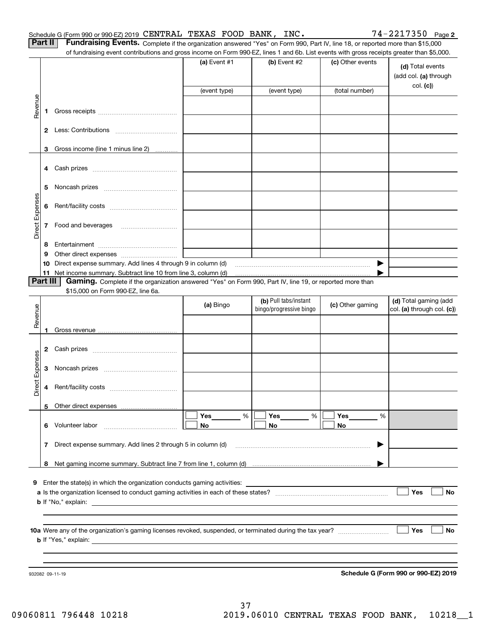| <b>Part II</b> | Fundraising Events. Complete if the organization answered "Yes" on Form 990, Part IV, line 18, or reported more than \$15,000             |  |
|----------------|-------------------------------------------------------------------------------------------------------------------------------------------|--|
|                | of fundraising event contributions and gross income on Form 990-EZ, lines 1 and 6b. List events with gross receipts greater than \$5,000. |  |

|                 |          | ה ומחמומוסותן כעטות וסטומוסוס מחט קוסטט וווטטווט טודו טווח טטט בב, ווווטט דמות טט. בוטג כעטונט אומו קוסטט וטטטועט קוסמטר מומח קט,טטט. |                |                                                  |                  |                                                        |
|-----------------|----------|---------------------------------------------------------------------------------------------------------------------------------------|----------------|--------------------------------------------------|------------------|--------------------------------------------------------|
|                 |          |                                                                                                                                       | (a) Event $#1$ | (b) Event $#2$                                   | (c) Other events | (d) Total events<br>(add col. (a) through<br>col. (c)) |
|                 |          |                                                                                                                                       | (event type)   | (event type)                                     | (total number)   |                                                        |
| Revenue         | 1        |                                                                                                                                       |                |                                                  |                  |                                                        |
|                 |          |                                                                                                                                       |                |                                                  |                  |                                                        |
|                 | 3.       | Gross income (line 1 minus line 2)                                                                                                    |                |                                                  |                  |                                                        |
|                 |          |                                                                                                                                       |                |                                                  |                  |                                                        |
|                 | 5        |                                                                                                                                       |                |                                                  |                  |                                                        |
| Direct Expenses | 6        |                                                                                                                                       |                |                                                  |                  |                                                        |
|                 | 7        |                                                                                                                                       |                |                                                  |                  |                                                        |
|                 | 8        |                                                                                                                                       |                |                                                  |                  |                                                        |
|                 | 9        |                                                                                                                                       |                |                                                  |                  |                                                        |
|                 | 10       | Direct expense summary. Add lines 4 through 9 in column (d)                                                                           |                |                                                  | ▶                |                                                        |
|                 | Part III | Gaming. Complete if the organization answered "Yes" on Form 990, Part IV, line 19, or reported more than                              |                |                                                  |                  |                                                        |
|                 |          | \$15,000 on Form 990-EZ, line 6a.                                                                                                     |                |                                                  |                  |                                                        |
| Revenue         |          |                                                                                                                                       | (a) Bingo      | (b) Pull tabs/instant<br>bingo/progressive bingo | (c) Other gaming | (d) Total gaming (add<br>col. (a) through col. (c))    |
|                 | 1        |                                                                                                                                       |                |                                                  |                  |                                                        |
|                 | 2        |                                                                                                                                       |                |                                                  |                  |                                                        |
|                 | 3        |                                                                                                                                       |                |                                                  |                  |                                                        |
| Direct Expenses | 4        |                                                                                                                                       |                |                                                  |                  |                                                        |
|                 |          |                                                                                                                                       |                |                                                  |                  |                                                        |
|                 | 6        | Volunteer labor                                                                                                                       | Yes<br>%<br>No | Yes<br>%<br>No                                   | Yes<br>%<br>No   |                                                        |
|                 | 7        | Direct expense summary. Add lines 2 through 5 in column (d)                                                                           |                |                                                  |                  |                                                        |
|                 |          |                                                                                                                                       |                |                                                  |                  |                                                        |
|                 | 8        |                                                                                                                                       |                |                                                  |                  |                                                        |
| 9               |          | Enter the state(s) in which the organization conducts gaming activities:                                                              |                |                                                  |                  |                                                        |
|                 |          |                                                                                                                                       |                |                                                  |                  | Yes<br>No                                              |
|                 |          | <b>b</b> If "No," explain:                                                                                                            |                |                                                  |                  |                                                        |
|                 |          |                                                                                                                                       |                |                                                  |                  |                                                        |
|                 |          | <b>b</b> If "Yes," explain: <b>b</b> If "Yes," explain:                                                                               |                |                                                  |                  | <b>Yes</b><br>No                                       |
|                 |          |                                                                                                                                       |                |                                                  |                  |                                                        |
|                 |          |                                                                                                                                       |                |                                                  |                  |                                                        |
|                 |          | 932082 09-11-19                                                                                                                       |                |                                                  |                  | Schedule G (Form 990 or 990-EZ) 2019                   |

**Schedule G (Form 990 or 990-EZ) 2019**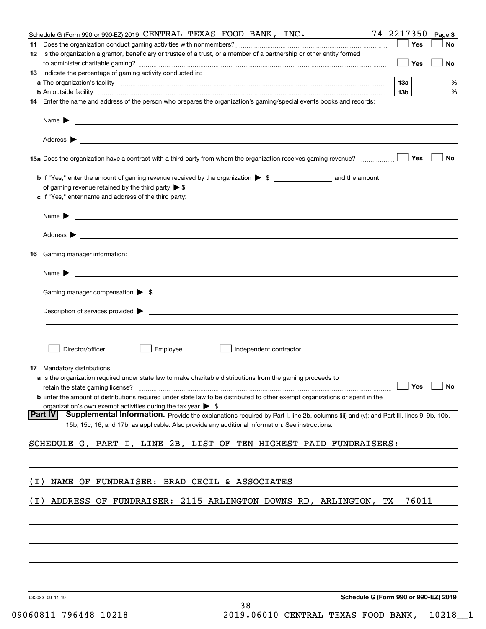|       | Schedule G (Form 990 or 990-EZ) 2019 CENTRAL TEXAS FOOD BANK, INC.                                                                                                                                                                        | 74-2217350      | Page 3    |
|-------|-------------------------------------------------------------------------------------------------------------------------------------------------------------------------------------------------------------------------------------------|-----------------|-----------|
|       |                                                                                                                                                                                                                                           | Yes             | No        |
|       | 12 Is the organization a grantor, beneficiary or trustee of a trust, or a member of a partnership or other entity formed                                                                                                                  |                 |           |
|       |                                                                                                                                                                                                                                           | Yes             | No        |
|       | 13 Indicate the percentage of gaming activity conducted in:                                                                                                                                                                               |                 |           |
|       |                                                                                                                                                                                                                                           | 13а             | %         |
|       |                                                                                                                                                                                                                                           | 13 <sub>b</sub> | %         |
|       | <b>b</b> An outside facility <i>www.communicality communicality communicality communicality communicality communicality communicality communicality communicality communicality communicality communicality communicality communicali</i> |                 |           |
|       | 14 Enter the name and address of the person who prepares the organization's gaming/special events books and records:                                                                                                                      |                 |           |
|       |                                                                                                                                                                                                                                           |                 |           |
|       |                                                                                                                                                                                                                                           |                 |           |
|       |                                                                                                                                                                                                                                           |                 |           |
|       |                                                                                                                                                                                                                                           |                 |           |
|       |                                                                                                                                                                                                                                           |                 |           |
|       |                                                                                                                                                                                                                                           | Yes             | No        |
|       |                                                                                                                                                                                                                                           |                 |           |
|       |                                                                                                                                                                                                                                           |                 |           |
|       | of gaming revenue retained by the third party $\triangleright$ \$                                                                                                                                                                         |                 |           |
|       | c If "Yes," enter name and address of the third party:                                                                                                                                                                                    |                 |           |
|       |                                                                                                                                                                                                                                           |                 |           |
|       | Name $\blacktriangleright$                                                                                                                                                                                                                |                 |           |
|       |                                                                                                                                                                                                                                           |                 |           |
|       |                                                                                                                                                                                                                                           |                 |           |
|       |                                                                                                                                                                                                                                           |                 |           |
| 16    | Gaming manager information:                                                                                                                                                                                                               |                 |           |
|       |                                                                                                                                                                                                                                           |                 |           |
|       | Name $\blacktriangleright$ $\lrcorner$                                                                                                                                                                                                    |                 |           |
|       |                                                                                                                                                                                                                                           |                 |           |
|       | Gaming manager compensation > \$                                                                                                                                                                                                          |                 |           |
|       |                                                                                                                                                                                                                                           |                 |           |
|       |                                                                                                                                                                                                                                           |                 |           |
|       | Description of services provided $\blacktriangleright$ $\bot$                                                                                                                                                                             |                 |           |
|       |                                                                                                                                                                                                                                           |                 |           |
|       |                                                                                                                                                                                                                                           |                 |           |
|       |                                                                                                                                                                                                                                           |                 |           |
|       | Director/officer<br>Employee<br>Independent contractor                                                                                                                                                                                    |                 |           |
|       |                                                                                                                                                                                                                                           |                 |           |
|       | <b>17</b> Mandatory distributions:                                                                                                                                                                                                        |                 |           |
|       | a Is the organization required under state law to make charitable distributions from the gaming proceeds to                                                                                                                               |                 |           |
|       |                                                                                                                                                                                                                                           |                 | <b>No</b> |
|       | <b>b</b> Enter the amount of distributions required under state law to be distributed to other exempt organizations or spent in the                                                                                                       |                 |           |
|       | organization's own exempt activities during the tax year $\triangleright$ \$                                                                                                                                                              |                 |           |
|       | Part IV<br>Supplemental Information. Provide the explanations required by Part I, line 2b, columns (iii) and (v); and Part III, lines 9, 9b, 10b,                                                                                         |                 |           |
|       | 15b, 15c, 16, and 17b, as applicable. Also provide any additional information. See instructions.                                                                                                                                          |                 |           |
|       |                                                                                                                                                                                                                                           |                 |           |
|       | SCHEDULE G, PART I, LINE 2B, LIST OF TEN HIGHEST PAID FUNDRAISERS:                                                                                                                                                                        |                 |           |
|       |                                                                                                                                                                                                                                           |                 |           |
|       |                                                                                                                                                                                                                                           |                 |           |
|       |                                                                                                                                                                                                                                           |                 |           |
| ( L ) | NAME OF FUNDRAISER: BRAD CECIL & ASSOCIATES                                                                                                                                                                                               |                 |           |
|       |                                                                                                                                                                                                                                           |                 |           |
| ( I ) | ADDRESS OF FUNDRAISER: 2115 ARLINGTON DOWNS RD, ARLINGTON, TX                                                                                                                                                                             | 76011           |           |
|       |                                                                                                                                                                                                                                           |                 |           |
|       |                                                                                                                                                                                                                                           |                 |           |
|       |                                                                                                                                                                                                                                           |                 |           |
|       |                                                                                                                                                                                                                                           |                 |           |
|       |                                                                                                                                                                                                                                           |                 |           |
|       |                                                                                                                                                                                                                                           |                 |           |
|       |                                                                                                                                                                                                                                           |                 |           |
|       |                                                                                                                                                                                                                                           |                 |           |
|       |                                                                                                                                                                                                                                           |                 |           |
|       |                                                                                                                                                                                                                                           |                 |           |
|       |                                                                                                                                                                                                                                           |                 |           |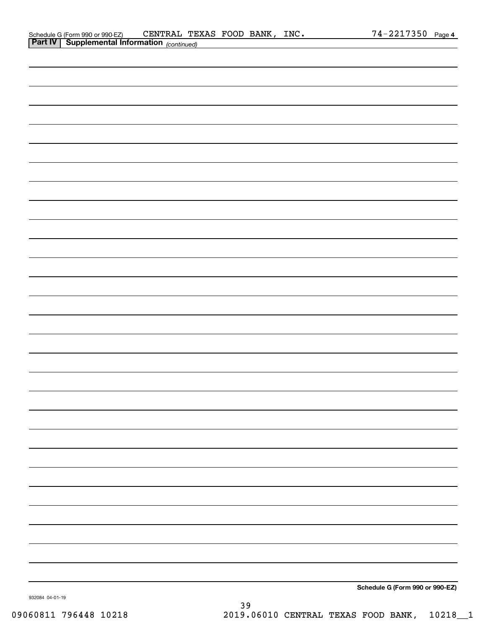| Schedule G (Form 990 or 990-EZ)                       | CENTRAL TEXAS FOOD BANK, |  | $\_INC$ . | $74 - 2217350$ Page 4 |  |
|-------------------------------------------------------|--------------------------|--|-----------|-----------------------|--|
| <b>Part IV   Supplemental Information</b> (continued) |                          |  |           |                       |  |

| <b>Part IV</b> Supplemental Information (continued) |                                 |
|-----------------------------------------------------|---------------------------------|
|                                                     |                                 |
|                                                     |                                 |
|                                                     |                                 |
|                                                     |                                 |
|                                                     |                                 |
|                                                     |                                 |
|                                                     |                                 |
|                                                     |                                 |
|                                                     |                                 |
|                                                     |                                 |
|                                                     |                                 |
|                                                     |                                 |
|                                                     |                                 |
|                                                     |                                 |
|                                                     |                                 |
|                                                     |                                 |
|                                                     |                                 |
|                                                     |                                 |
|                                                     |                                 |
|                                                     |                                 |
|                                                     |                                 |
|                                                     |                                 |
|                                                     |                                 |
|                                                     |                                 |
|                                                     |                                 |
|                                                     |                                 |
|                                                     |                                 |
|                                                     |                                 |
|                                                     |                                 |
|                                                     |                                 |
|                                                     |                                 |
|                                                     |                                 |
|                                                     | Schedule G (Form 990 or 990-EZ) |

932084 04-01-19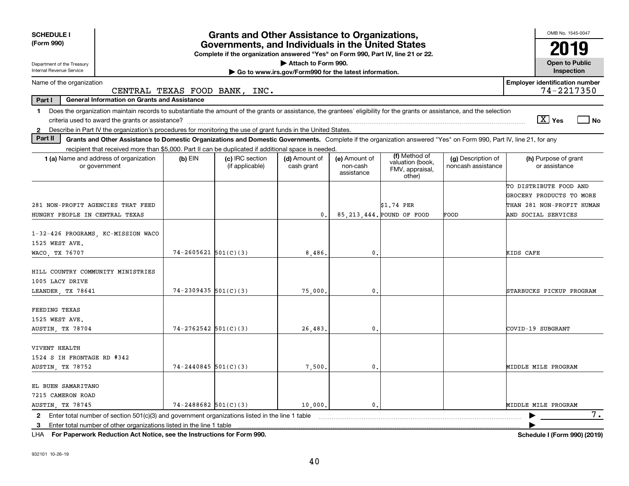| <b>SCHEDULE I</b><br>(Form 990)                                                                                                                                                                                                                                                                                 | <b>Grants and Other Assistance to Organizations,</b><br>Governments, and Individuals in the United States<br>Complete if the organization answered "Yes" on Form 990, Part IV, line 21 or 22. |                                    |                                                                              |                                         |                                                                |                                          |                                                       |  |  |  |
|-----------------------------------------------------------------------------------------------------------------------------------------------------------------------------------------------------------------------------------------------------------------------------------------------------------------|-----------------------------------------------------------------------------------------------------------------------------------------------------------------------------------------------|------------------------------------|------------------------------------------------------------------------------|-----------------------------------------|----------------------------------------------------------------|------------------------------------------|-------------------------------------------------------|--|--|--|
| Department of the Treasury<br>Internal Revenue Service                                                                                                                                                                                                                                                          |                                                                                                                                                                                               |                                    | Attach to Form 990.<br>Go to www.irs.gov/Form990 for the latest information. |                                         |                                                                |                                          | <b>Open to Public</b><br>Inspection                   |  |  |  |
| Name of the organization                                                                                                                                                                                                                                                                                        |                                                                                                                                                                                               | CENTRAL TEXAS FOOD BANK, INC.      |                                                                              |                                         |                                                                |                                          | <b>Employer identification number</b><br>74-2217350   |  |  |  |
| Part I<br><b>General Information on Grants and Assistance</b>                                                                                                                                                                                                                                                   |                                                                                                                                                                                               |                                    |                                                                              |                                         |                                                                |                                          |                                                       |  |  |  |
| Does the organization maintain records to substantiate the amount of the grants or assistance, the grantees' eligibility for the grants or assistance, and the selection<br>1.<br>Describe in Part IV the organization's procedures for monitoring the use of grant funds in the United States.<br>$\mathbf{2}$ |                                                                                                                                                                                               |                                    |                                                                              |                                         |                                                                |                                          | $\boxed{\text{X}}$ Yes<br>l No                        |  |  |  |
| Part II<br>Grants and Other Assistance to Domestic Organizations and Domestic Governments. Complete if the organization answered "Yes" on Form 990, Part IV, line 21, for any                                                                                                                                   |                                                                                                                                                                                               |                                    |                                                                              |                                         |                                                                |                                          |                                                       |  |  |  |
| recipient that received more than \$5,000. Part II can be duplicated if additional space is needed.<br><b>1 (a)</b> Name and address of organization<br>or government                                                                                                                                           | $(b)$ EIN                                                                                                                                                                                     | (c) IRC section<br>(if applicable) | (d) Amount of<br>cash grant                                                  | (e) Amount of<br>non-cash<br>assistance | (f) Method of<br>valuation (book,<br>FMV, appraisal,<br>other) | (g) Description of<br>noncash assistance | (h) Purpose of grant<br>or assistance                 |  |  |  |
|                                                                                                                                                                                                                                                                                                                 |                                                                                                                                                                                               |                                    |                                                                              |                                         |                                                                |                                          | TO DISTRIBUTE FOOD AND                                |  |  |  |
| 281 NON-PROFIT AGENCIES THAT FEED                                                                                                                                                                                                                                                                               |                                                                                                                                                                                               |                                    |                                                                              |                                         | \$1.74 PER                                                     |                                          | GROCERY PRODUCTS TO MORE<br>THAN 281 NON-PROFIT HUMAN |  |  |  |
| HUNGRY PEOPLE IN CENTRAL TEXAS                                                                                                                                                                                                                                                                                  |                                                                                                                                                                                               |                                    | $\mathbf{0}$ .                                                               |                                         | 85.213.444. POUND OF FOOD                                      | FOOD                                     | AND SOCIAL SERVICES                                   |  |  |  |
| 1-32-426 PROGRAMS, KC-MISSION WACO<br>1525 WEST AVE.<br>WACO, TX 76707                                                                                                                                                                                                                                          | $74 - 2605621$ 501(C)(3)                                                                                                                                                                      |                                    | 8,486,                                                                       | $\mathfrak{o}$ .                        |                                                                |                                          | KIDS CAFE                                             |  |  |  |
| HILL COUNTRY COMMUNITY MINISTRIES<br>1005 LACY DRIVE<br>LEANDER, TX 78641                                                                                                                                                                                                                                       | $74 - 2309435$ 501(C)(3)                                                                                                                                                                      |                                    | 75,000,                                                                      | 0.                                      |                                                                |                                          | STARBUCKS PICKUP PROGRAM                              |  |  |  |
| FEEDING TEXAS<br>1525 WEST AVE.<br>AUSTIN, TX 78704                                                                                                                                                                                                                                                             | $74 - 2762542$ 501(C)(3)                                                                                                                                                                      |                                    | 26,483.                                                                      | 0.                                      |                                                                |                                          | COVID-19 SUBGRANT                                     |  |  |  |
| VIVENT HEALTH<br>1524 S IH FRONTAGE RD #342<br>AUSTIN, TX 78752                                                                                                                                                                                                                                                 | $74 - 2440845$ 501(C)(3)                                                                                                                                                                      |                                    | 7,500                                                                        | $\mathbf{0}$                            |                                                                |                                          | MIDDLE MILE PROGRAM                                   |  |  |  |
| EL BUEN SAMARITANO<br>7215 CAMERON ROAD<br>AUSTIN, TX 78745                                                                                                                                                                                                                                                     | $74 - 2488682$ 501(C)(3)                                                                                                                                                                      |                                    | 10,000.                                                                      | $\mathbf{0}$ .                          |                                                                |                                          | MIDDLE MILE PROGRAM                                   |  |  |  |
| Enter total number of section 501(c)(3) and government organizations listed in the line 1 table<br>$\mathbf{2}$<br>Enter total number of other organizations listed in the line 1 table<br>3                                                                                                                    |                                                                                                                                                                                               |                                    |                                                                              |                                         |                                                                |                                          | $\overline{7}$ .                                      |  |  |  |

**For Paperwork Reduction Act Notice, see the Instructions for Form 990. Schedule I (Form 990) (2019)** LHA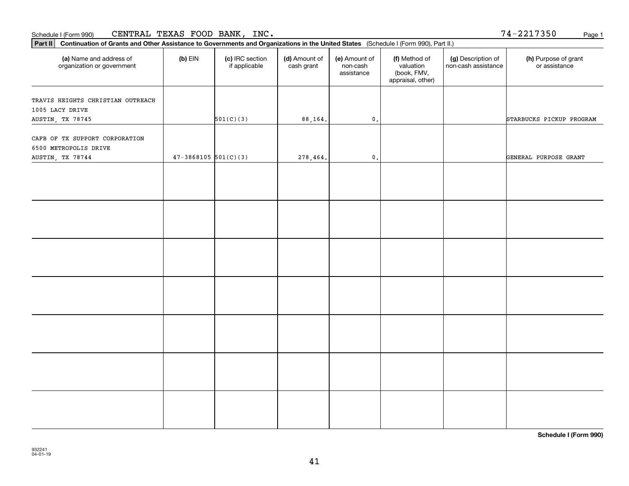| CENTRAL<br>TEXAS FOOD BANK<br>INC.<br>74 –<br><u>າ217350</u><br>Schedule I (Form 990)<br>-441 | Page |
|-----------------------------------------------------------------------------------------------|------|
|-----------------------------------------------------------------------------------------------|------|

| 74-2217350 | Page 1 |
|------------|--------|
|            |        |

| Part II   Continuation of Grants and Other Assistance to Governments and Organizations in the United States (Schedule I (Form 990), Part II.) |                          |                                  |                             |                                         |                                                                |                                           |                                       |
|-----------------------------------------------------------------------------------------------------------------------------------------------|--------------------------|----------------------------------|-----------------------------|-----------------------------------------|----------------------------------------------------------------|-------------------------------------------|---------------------------------------|
| (a) Name and address of<br>organization or government                                                                                         | $(b)$ EIN                | (c) IRC section<br>if applicable | (d) Amount of<br>cash grant | (e) Amount of<br>non-cash<br>assistance | (f) Method of<br>valuation<br>(book, FMV,<br>appraisal, other) | (g) Description of<br>non-cash assistance | (h) Purpose of grant<br>or assistance |
| TRAVIS HEIGHTS CHRISTIAN OUTREACH                                                                                                             |                          |                                  |                             |                                         |                                                                |                                           |                                       |
| 1005 LACY DRIVE                                                                                                                               |                          |                                  |                             |                                         |                                                                |                                           |                                       |
| AUSTIN, TX 78745                                                                                                                              |                          | 501(C)(3)                        | 88,164.                     | $\mathfrak o$ .                         |                                                                |                                           | STARBUCKS PICKUP PROGRAM              |
| CAFB OF TX SUPPORT CORPORATION<br>6500 METROPOLIS DRIVE                                                                                       |                          |                                  |                             |                                         |                                                                |                                           |                                       |
| AUSTIN, TX 78744                                                                                                                              | $47 - 3868105$ 501(C)(3) |                                  | 278,464.                    | $\mathfrak o$ .                         |                                                                |                                           | GENERAL PURPOSE GRANT                 |
|                                                                                                                                               |                          |                                  |                             |                                         |                                                                |                                           |                                       |
|                                                                                                                                               |                          |                                  |                             |                                         |                                                                |                                           |                                       |
|                                                                                                                                               |                          |                                  |                             |                                         |                                                                |                                           |                                       |
|                                                                                                                                               |                          |                                  |                             |                                         |                                                                |                                           |                                       |
|                                                                                                                                               |                          |                                  |                             |                                         |                                                                |                                           |                                       |
|                                                                                                                                               |                          |                                  |                             |                                         |                                                                |                                           |                                       |
|                                                                                                                                               |                          |                                  |                             |                                         |                                                                |                                           |                                       |
|                                                                                                                                               |                          |                                  |                             |                                         |                                                                |                                           |                                       |
|                                                                                                                                               |                          |                                  |                             |                                         |                                                                |                                           |                                       |
|                                                                                                                                               |                          |                                  |                             |                                         |                                                                |                                           |                                       |
|                                                                                                                                               |                          |                                  |                             |                                         |                                                                |                                           |                                       |
|                                                                                                                                               |                          |                                  |                             |                                         |                                                                |                                           |                                       |
|                                                                                                                                               |                          |                                  |                             |                                         |                                                                |                                           |                                       |
|                                                                                                                                               |                          |                                  |                             |                                         |                                                                |                                           |                                       |
|                                                                                                                                               |                          |                                  |                             |                                         |                                                                |                                           |                                       |
|                                                                                                                                               |                          |                                  |                             |                                         |                                                                |                                           |                                       |
|                                                                                                                                               |                          |                                  |                             |                                         |                                                                |                                           |                                       |
|                                                                                                                                               |                          |                                  |                             |                                         |                                                                |                                           |                                       |
|                                                                                                                                               |                          |                                  |                             |                                         |                                                                |                                           |                                       |

**Schedule I (Form 990)**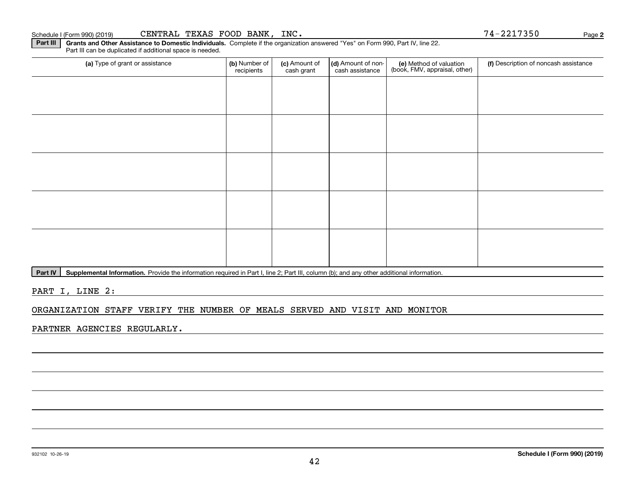#### Schedule I (Form 990) (2019)  ${\tt CENTRAL}$   ${\tt TEXAS}$   ${\tt FOOD}$   ${\tt BANK}$  ,  ${\tt INC}$  .  ${\tt NCC}$   ${\tt NCC}$   ${\tt NCC}$   ${\tt NCC}$   ${\tt NCC}$   ${\tt NCC}$   ${\tt NCC}$   ${\tt NCC}$   ${\tt NCC}$   ${\tt NCC}$   ${\tt NCC}$   ${\tt NCC}$   ${\tt NCC}$   ${\tt NCC}$   ${\tt NCC}$   ${\tt NCC}$   ${\tt NCC}$   ${\tt NCC}$

**Part III | Grants and Other Assistance to Domestic Individuals. Complete if the organization answered "Yes" on Form 990, Part IV, line 22.** Part III can be duplicated if additional space is needed.

| (a) Type of grant or assistance | (b) Number of<br>recipients | (c) Amount of<br>cash grant | (d) Amount of non-<br>cash assistance | (e) Method of valuation<br>(book, FMV, appraisal, other) | (f) Description of noncash assistance |
|---------------------------------|-----------------------------|-----------------------------|---------------------------------------|----------------------------------------------------------|---------------------------------------|
|                                 |                             |                             |                                       |                                                          |                                       |
|                                 |                             |                             |                                       |                                                          |                                       |
|                                 |                             |                             |                                       |                                                          |                                       |
|                                 |                             |                             |                                       |                                                          |                                       |
|                                 |                             |                             |                                       |                                                          |                                       |
|                                 |                             |                             |                                       |                                                          |                                       |
|                                 |                             |                             |                                       |                                                          |                                       |
|                                 |                             |                             |                                       |                                                          |                                       |
|                                 |                             |                             |                                       |                                                          |                                       |
|                                 |                             |                             |                                       |                                                          |                                       |

Part IV | Supplemental Information. Provide the information required in Part I, line 2; Part III, column (b); and any other additional information.

PART I, LINE 2:

#### ORGANIZATION STAFF VERIFY THE NUMBER OF MEALS SERVED AND VISIT AND MONITOR

PARTNER AGENCIES REGULARLY.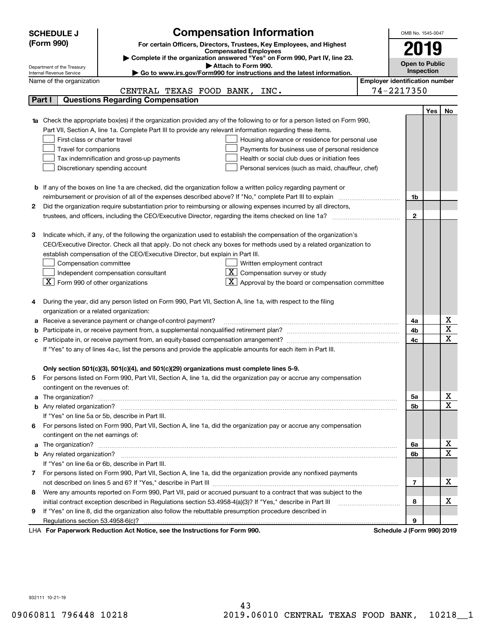|   | <b>SCHEDULE J</b>                                      | <b>Compensation Information</b>                                                                                                  |                                       | OMB No. 1545-0047               |     |                         |
|---|--------------------------------------------------------|----------------------------------------------------------------------------------------------------------------------------------|---------------------------------------|---------------------------------|-----|-------------------------|
|   | (Form 990)                                             | For certain Officers, Directors, Trustees, Key Employees, and Highest                                                            |                                       |                                 |     |                         |
|   |                                                        | <b>Compensated Employees</b>                                                                                                     |                                       | 2019                            |     |                         |
|   |                                                        | Complete if the organization answered "Yes" on Form 990, Part IV, line 23.                                                       |                                       | <b>Open to Public</b>           |     |                         |
|   | Department of the Treasury<br>Internal Revenue Service | Attach to Form 990.<br>Go to www.irs.gov/Form990 for instructions and the latest information.                                    |                                       | Inspection                      |     |                         |
|   | Name of the organization                               |                                                                                                                                  | <b>Employer identification number</b> |                                 |     |                         |
|   |                                                        | CENTRAL TEXAS FOOD BANK, INC.                                                                                                    |                                       | 74-2217350                      |     |                         |
|   | Part I                                                 | <b>Questions Regarding Compensation</b>                                                                                          |                                       |                                 |     |                         |
|   |                                                        |                                                                                                                                  |                                       |                                 | Yes | No                      |
|   |                                                        | <b>1a</b> Check the appropriate box(es) if the organization provided any of the following to or for a person listed on Form 990, |                                       |                                 |     |                         |
|   |                                                        | Part VII, Section A, line 1a. Complete Part III to provide any relevant information regarding these items.                       |                                       |                                 |     |                         |
|   | First-class or charter travel                          | Housing allowance or residence for personal use                                                                                  |                                       |                                 |     |                         |
|   | Travel for companions                                  | Payments for business use of personal residence                                                                                  |                                       |                                 |     |                         |
|   |                                                        | Tax indemnification and gross-up payments<br>Health or social club dues or initiation fees                                       |                                       |                                 |     |                         |
|   |                                                        | Discretionary spending account<br>Personal services (such as maid, chauffeur, chef)                                              |                                       |                                 |     |                         |
|   |                                                        |                                                                                                                                  |                                       |                                 |     |                         |
|   |                                                        | <b>b</b> If any of the boxes on line 1a are checked, did the organization follow a written policy regarding payment or           |                                       |                                 |     |                         |
|   |                                                        |                                                                                                                                  |                                       | 1b                              |     |                         |
| 2 |                                                        | Did the organization require substantiation prior to reimbursing or allowing expenses incurred by all directors,                 |                                       |                                 |     |                         |
|   |                                                        |                                                                                                                                  |                                       | $\overline{2}$                  |     |                         |
|   |                                                        |                                                                                                                                  |                                       |                                 |     |                         |
| З |                                                        | Indicate which, if any, of the following the organization used to establish the compensation of the organization's               |                                       |                                 |     |                         |
|   |                                                        | CEO/Executive Director. Check all that apply. Do not check any boxes for methods used by a related organization to               |                                       |                                 |     |                         |
|   |                                                        | establish compensation of the CEO/Executive Director, but explain in Part III.                                                   |                                       |                                 |     |                         |
|   | Compensation committee                                 | Written employment contract                                                                                                      |                                       |                                 |     |                         |
|   |                                                        | Compensation survey or study<br>Independent compensation consultant                                                              |                                       |                                 |     |                         |
|   | $ \mathbf{X} $ Form 990 of other organizations         | Approval by the board or compensation committee                                                                                  |                                       |                                 |     |                         |
|   |                                                        | During the year, did any person listed on Form 990, Part VII, Section A, line 1a, with respect to the filing                     |                                       |                                 |     |                         |
|   | organization or a related organization:                |                                                                                                                                  |                                       |                                 |     |                         |
| а |                                                        | Receive a severance payment or change-of-control payment?                                                                        |                                       | 4a                              |     | x                       |
|   |                                                        |                                                                                                                                  |                                       | 4b                              |     | $\overline{\textbf{X}}$ |
|   |                                                        |                                                                                                                                  |                                       | 4c                              |     | $\overline{\mathbf{x}}$ |
|   |                                                        | If "Yes" to any of lines 4a-c, list the persons and provide the applicable amounts for each item in Part III.                    |                                       |                                 |     |                         |
|   |                                                        |                                                                                                                                  |                                       |                                 |     |                         |
|   |                                                        | Only section 501(c)(3), 501(c)(4), and 501(c)(29) organizations must complete lines 5-9.                                         |                                       |                                 |     |                         |
| 5 |                                                        | For persons listed on Form 990, Part VII, Section A, line 1a, did the organization pay or accrue any compensation                |                                       |                                 |     |                         |
|   | contingent on the revenues of:                         |                                                                                                                                  |                                       |                                 |     |                         |
|   |                                                        |                                                                                                                                  |                                       | 5a                              |     | x                       |
|   |                                                        |                                                                                                                                  |                                       | 5b                              |     | $\overline{\mathbf{x}}$ |
|   |                                                        | If "Yes" on line 5a or 5b, describe in Part III.                                                                                 |                                       |                                 |     |                         |
|   |                                                        | 6 For persons listed on Form 990, Part VII, Section A, line 1a, did the organization pay or accrue any compensation              |                                       |                                 |     |                         |
|   | contingent on the net earnings of:                     |                                                                                                                                  |                                       |                                 |     |                         |
|   |                                                        |                                                                                                                                  |                                       | 6a                              |     | х                       |
|   |                                                        |                                                                                                                                  |                                       | 6b                              |     | $\overline{\mathbf{x}}$ |
|   |                                                        | If "Yes" on line 6a or 6b, describe in Part III.                                                                                 |                                       |                                 |     |                         |
|   |                                                        | 7 For persons listed on Form 990, Part VII, Section A, line 1a, did the organization provide any nonfixed payments               |                                       |                                 |     |                         |
|   |                                                        |                                                                                                                                  |                                       | 7                               |     | х                       |
| 8 |                                                        | Were any amounts reported on Form 990, Part VII, paid or accrued pursuant to a contract that was subject to the                  |                                       |                                 |     |                         |
|   |                                                        |                                                                                                                                  |                                       | 8                               |     | х                       |
| 9 |                                                        | If "Yes" on line 8, did the organization also follow the rebuttable presumption procedure described in                           |                                       |                                 |     |                         |
|   |                                                        | expects Reduction Act Notice, see the Instructions for Ferm 000                                                                  |                                       | 9<br>Pohodulo I (Form 000) 2010 |     |                         |

LHA For Paperwork Reduction Act Notice, see the Instructions for Form 990. Schedule J (Form 990) 2019

932111 10-21-19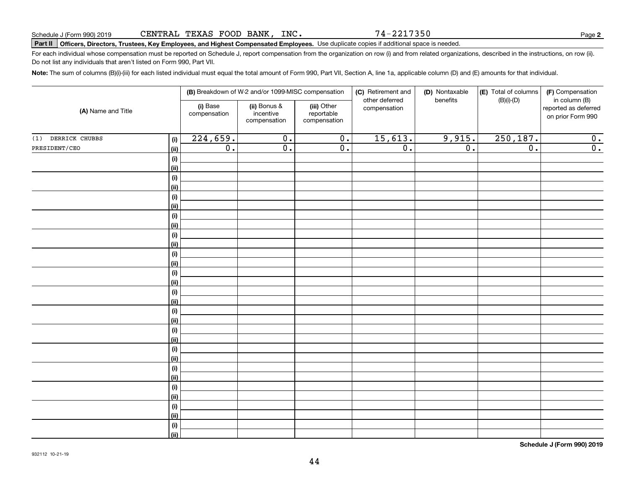74-2217350

**2**

# **Part II Officers, Directors, Trustees, Key Employees, and Highest Compensated Employees.**  Schedule J (Form 990) 2019 Page Use duplicate copies if additional space is needed.

For each individual whose compensation must be reported on Schedule J, report compensation from the organization on row (i) and from related organizations, described in the instructions, on row (ii). Do not list any individuals that aren't listed on Form 990, Part VII.

**Note:**  The sum of columns (B)(i)-(iii) for each listed individual must equal the total amount of Form 990, Part VII, Section A, line 1a, applicable column (D) and (E) amounts for that individual.

|                    |                           |                          | (B) Breakdown of W-2 and/or 1099-MISC compensation |                                           | (C) Retirement and<br>other deferred | (D) Nontaxable<br>benefits | (E) Total of columns | (F) Compensation<br>in column (B)         |
|--------------------|---------------------------|--------------------------|----------------------------------------------------|-------------------------------------------|--------------------------------------|----------------------------|----------------------|-------------------------------------------|
| (A) Name and Title |                           | (i) Base<br>compensation | (ii) Bonus &<br>incentive<br>compensation          | (iii) Other<br>reportable<br>compensation | compensation                         |                            | $(B)(i)-(D)$         | reported as deferred<br>on prior Form 990 |
| (1) DERRICK CHUBBS | (i)                       | 224,659.                 | $\overline{0}$ .                                   | $\overline{0}$ .                          | 15,613.                              | 9,915.                     | 250, 187.            | 0.                                        |
| PRESIDENT/CEO      | <u>(ii)</u>               | $\overline{0}$ .         | $\overline{0}$ .                                   | $\overline{0}$ .                          | $\overline{0}$ .                     | $\overline{0}$ .           | $\overline{0}$ .     | $\overline{0}$ .                          |
|                    | (i)                       |                          |                                                    |                                           |                                      |                            |                      |                                           |
|                    | <u>(ii)</u>               |                          |                                                    |                                           |                                      |                            |                      |                                           |
|                    | (i)                       |                          |                                                    |                                           |                                      |                            |                      |                                           |
|                    | <u>(ii)</u>               |                          |                                                    |                                           |                                      |                            |                      |                                           |
|                    | (i)                       |                          |                                                    |                                           |                                      |                            |                      |                                           |
|                    | <u>(ii)</u>               |                          |                                                    |                                           |                                      |                            |                      |                                           |
|                    | $(\sf{i})$                |                          |                                                    |                                           |                                      |                            |                      |                                           |
|                    | <u>(ii)</u>               |                          |                                                    |                                           |                                      |                            |                      |                                           |
|                    | $(\sf{i})$                |                          |                                                    |                                           |                                      |                            |                      |                                           |
|                    | <u>(ii)</u>               |                          |                                                    |                                           |                                      |                            |                      |                                           |
|                    | $(\sf{i})$<br><u>(ii)</u> |                          |                                                    |                                           |                                      |                            |                      |                                           |
|                    | $(\sf{i})$                |                          |                                                    |                                           |                                      |                            |                      |                                           |
|                    | <u>(ii)</u>               |                          |                                                    |                                           |                                      |                            |                      |                                           |
|                    | (i)                       |                          |                                                    |                                           |                                      |                            |                      |                                           |
|                    | <u>(ii)</u>               |                          |                                                    |                                           |                                      |                            |                      |                                           |
|                    | (i)                       |                          |                                                    |                                           |                                      |                            |                      |                                           |
|                    | <u>(ii)</u>               |                          |                                                    |                                           |                                      |                            |                      |                                           |
|                    | (i)                       |                          |                                                    |                                           |                                      |                            |                      |                                           |
|                    | <u>(ii)</u>               |                          |                                                    |                                           |                                      |                            |                      |                                           |
|                    | (i)                       |                          |                                                    |                                           |                                      |                            |                      |                                           |
|                    | <u>(ii)</u>               |                          |                                                    |                                           |                                      |                            |                      |                                           |
|                    | (i)                       |                          |                                                    |                                           |                                      |                            |                      |                                           |
|                    | <u>(ii)</u>               |                          |                                                    |                                           |                                      |                            |                      |                                           |
|                    | (i)                       |                          |                                                    |                                           |                                      |                            |                      |                                           |
|                    | <u>(ii)</u>               |                          |                                                    |                                           |                                      |                            |                      |                                           |
|                    | (i)<br><u>(ii)</u>        |                          |                                                    |                                           |                                      |                            |                      |                                           |
|                    | (i)                       |                          |                                                    |                                           |                                      |                            |                      |                                           |
|                    | (ii)                      |                          |                                                    |                                           |                                      |                            |                      |                                           |
|                    |                           |                          |                                                    |                                           |                                      |                            |                      |                                           |

**Schedule J (Form 990) 2019**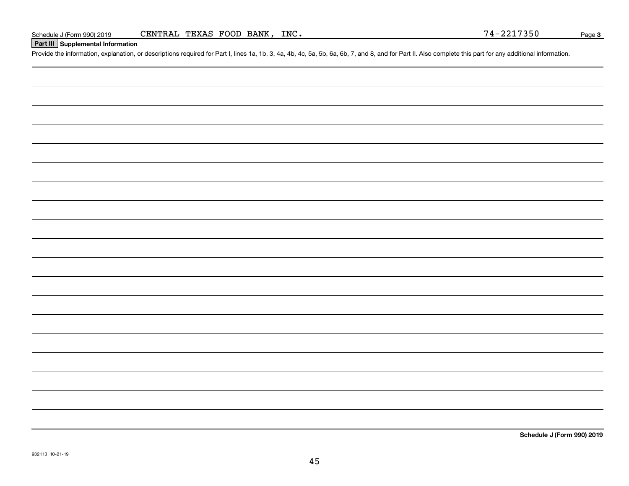#### **Part III Supplemental Information**

Schedule J (Form 990) 2019 CENTRAL TEXAS FOOD BANK, INC.<br>Part III Supplemental Information<br>Provide the information, explanation, or descriptions required for Part I, lines 1a, 1b, 3, 4a, 4b, 4c, 5a, 5b, 6a, 6b, 7, and 8, a

**Schedule J (Form 990) 2019**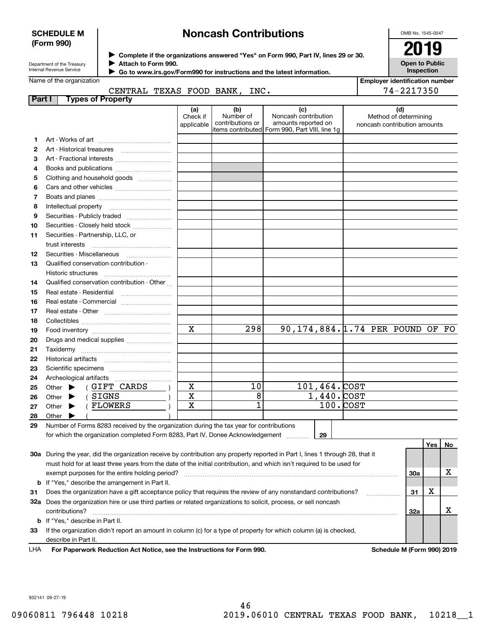#### **SCHEDULE M (Form 990)**

# **Noncash Contributions**

OMB No. 1545-0047

**Open to Public Inspection**

| Department of the Treasury      |
|---------------------------------|
| <b>Internal Revenue Service</b> |

**Complete if the organizations answered "Yes" on Form 990, Part IV, lines 29 or 30.** <sup>J</sup>**2019 Attach to Form 990.** J

 **Go to www.irs.gov/Form990 for instructions and the latest information.** J

#### Name of the organization CENTRAL TEXAS FOOD BANK, INC.

**Employer identification number** 74-2217350

|        | CENIRAL IEAAS FOOD BANR, INC.                                                                                                  |                               |                                      |                                                                                                      |              |                                 | $14 - 2211$                                                  |     |          |   |
|--------|--------------------------------------------------------------------------------------------------------------------------------|-------------------------------|--------------------------------------|------------------------------------------------------------------------------------------------------|--------------|---------------------------------|--------------------------------------------------------------|-----|----------|---|
| Part I | <b>Types of Property</b>                                                                                                       |                               |                                      |                                                                                                      |              |                                 |                                                              |     |          |   |
|        |                                                                                                                                | (a)<br>Check if<br>applicable | (b)<br>Number of<br>contributions or | (c)<br>Noncash contribution<br>amounts reported on<br>items contributed Form 990, Part VIII, line 1g |              |                                 | (d)<br>Method of determining<br>noncash contribution amounts |     |          |   |
| 1      |                                                                                                                                |                               |                                      |                                                                                                      |              |                                 |                                                              |     |          |   |
| 2      |                                                                                                                                |                               |                                      |                                                                                                      |              |                                 |                                                              |     |          |   |
| 3      | Art - Fractional interests                                                                                                     |                               |                                      |                                                                                                      |              |                                 |                                                              |     |          |   |
| 4      | Books and publications                                                                                                         |                               |                                      |                                                                                                      |              |                                 |                                                              |     |          |   |
| 5      | Clothing and household goods                                                                                                   |                               |                                      |                                                                                                      |              |                                 |                                                              |     |          |   |
| 6      |                                                                                                                                |                               |                                      |                                                                                                      |              |                                 |                                                              |     |          |   |
| 7      |                                                                                                                                |                               |                                      |                                                                                                      |              |                                 |                                                              |     |          |   |
| 8      |                                                                                                                                |                               |                                      |                                                                                                      |              |                                 |                                                              |     |          |   |
| 9      | Securities - Publicly traded                                                                                                   |                               |                                      |                                                                                                      |              |                                 |                                                              |     |          |   |
| 10     | Securities - Closely held stock                                                                                                |                               |                                      |                                                                                                      |              |                                 |                                                              |     |          |   |
| 11     | Securities - Partnership, LLC, or                                                                                              |                               |                                      |                                                                                                      |              |                                 |                                                              |     |          |   |
|        | trust interests                                                                                                                |                               |                                      |                                                                                                      |              |                                 |                                                              |     |          |   |
| 12     | Securities - Miscellaneous                                                                                                     |                               |                                      |                                                                                                      |              |                                 |                                                              |     |          |   |
| 13     | Qualified conservation contribution -                                                                                          |                               |                                      |                                                                                                      |              |                                 |                                                              |     |          |   |
|        | Historic structures                                                                                                            |                               |                                      |                                                                                                      |              |                                 |                                                              |     |          |   |
| 14     | Qualified conservation contribution - Other                                                                                    |                               |                                      |                                                                                                      |              |                                 |                                                              |     |          |   |
| 15     | Real estate - Residential                                                                                                      |                               |                                      |                                                                                                      |              |                                 |                                                              |     |          |   |
| 16     | Real estate - Commercial                                                                                                       |                               |                                      |                                                                                                      |              |                                 |                                                              |     |          |   |
| 17     |                                                                                                                                |                               |                                      |                                                                                                      |              |                                 |                                                              |     |          |   |
| 18     |                                                                                                                                |                               |                                      |                                                                                                      |              |                                 |                                                              |     |          |   |
| 19     |                                                                                                                                | $\overline{\mathbf{x}}$       | 298                                  |                                                                                                      |              | 90,174,884.1.74 PER POUND OF FO |                                                              |     |          |   |
| 20     |                                                                                                                                |                               |                                      |                                                                                                      |              |                                 |                                                              |     |          |   |
| 21     | Drugs and medical supplies                                                                                                     |                               |                                      |                                                                                                      |              |                                 |                                                              |     |          |   |
| 22     |                                                                                                                                |                               |                                      |                                                                                                      |              |                                 |                                                              |     |          |   |
|        |                                                                                                                                |                               |                                      |                                                                                                      |              |                                 |                                                              |     |          |   |
| 23     |                                                                                                                                |                               |                                      |                                                                                                      |              |                                 |                                                              |     |          |   |
| 24     | (GIFT CARDS                                                                                                                    | $\mathbf X$                   | 10                                   |                                                                                                      | 101,464.COST |                                 |                                                              |     |          |   |
| 25     | Other $\blacktriangleright$                                                                                                    | X                             | 8                                    |                                                                                                      | 1,440. COST  |                                 |                                                              |     |          |   |
| 26     | (SIGNS<br>Other $\blacktriangleright$<br>(FLOWERS                                                                              | $\mathbf X$                   | 1                                    |                                                                                                      |              | $100 \cdot$ COST                |                                                              |     |          |   |
| 27     | Other $\blacktriangleright$                                                                                                    |                               |                                      |                                                                                                      |              |                                 |                                                              |     |          |   |
| 28     | Other                                                                                                                          |                               |                                      |                                                                                                      |              |                                 |                                                              |     |          |   |
| 29     | Number of Forms 8283 received by the organization during the tax year for contributions                                        |                               |                                      |                                                                                                      |              |                                 |                                                              |     |          |   |
|        | for which the organization completed Form 8283, Part IV, Donee Acknowledgement                                                 |                               |                                      |                                                                                                      | 29           |                                 |                                                              |     |          |   |
|        |                                                                                                                                |                               |                                      |                                                                                                      |              |                                 |                                                              |     | Yes   No |   |
|        | 30a During the year, did the organization receive by contribution any property reported in Part I, lines 1 through 28, that it |                               |                                      |                                                                                                      |              |                                 |                                                              |     |          |   |
|        | must hold for at least three years from the date of the initial contribution, and which isn't required to be used for          |                               |                                      |                                                                                                      |              |                                 |                                                              |     |          |   |
|        |                                                                                                                                |                               |                                      |                                                                                                      |              |                                 |                                                              | 30a |          | x |
| b      | If "Yes," describe the arrangement in Part II.                                                                                 |                               |                                      |                                                                                                      |              |                                 |                                                              |     |          |   |
| 31     | Does the organization have a gift acceptance policy that requires the review of any nonstandard contributions?                 |                               |                                      |                                                                                                      |              |                                 | .                                                            | 31  | х        |   |
|        | 32a Does the organization hire or use third parties or related organizations to solicit, process, or sell noncash              |                               |                                      |                                                                                                      |              |                                 |                                                              |     |          |   |
|        | contributions?                                                                                                                 |                               |                                      |                                                                                                      |              |                                 |                                                              | 32a |          | х |
|        | <b>b</b> If "Yes," describe in Part II.                                                                                        |                               |                                      |                                                                                                      |              |                                 |                                                              |     |          |   |
| 33     | If the organization didn't report an amount in column (c) for a type of property for which column (a) is checked,              |                               |                                      |                                                                                                      |              |                                 |                                                              |     |          |   |
|        | describe in Part II.                                                                                                           |                               |                                      |                                                                                                      |              |                                 |                                                              |     |          |   |

For Paperwork Reduction Act Notice, see the Instructions for Form 990. Schedule M (Form 990) 2019 LHA

932141 09-27-19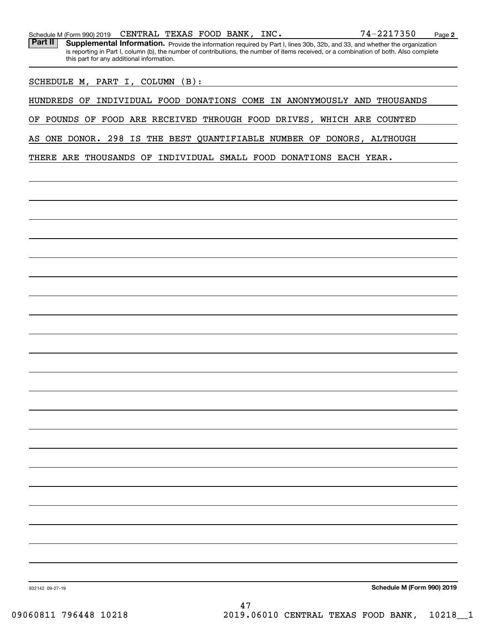Part II | Supplemental Information. Provide the information required by Part I, lines 30b, 32b, and 33, and whether the organization is reporting in Part I, column (b), the number of contributions, the number of items received, or a combination of both. Also complete this part for any additional information.

SCHEDULE M, PART I, COLUMN (B):

HUNDREDS OF INDIVIDUAL FOOD DONATIONS COME IN ANONYMOUSLY AND THOUSANDS

OF POUNDS OF FOOD ARE RECEIVED THROUGH FOOD DRIVES, WHICH ARE COUNTED

AS ONE DONOR. 298 IS THE BEST QUANTIFIABLE NUMBER OF DONORS, ALTHOUGH

THERE ARE THOUSANDS OF INDIVIDUAL SMALL FOOD DONATIONS EACH YEAR.

**Schedule M (Form 990) 2019**

932142 09-27-19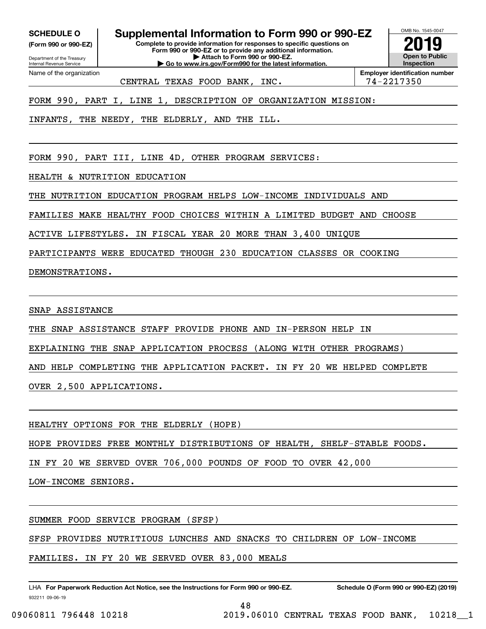**(Form 990 or 990-EZ)**

Department of the Treasury Internal Revenue Service Name of the organization

**SCHEDULE O Supplemental Information to Form 990 or 990-EZ**

**Complete to provide information for responses to specific questions on Form 990 or 990-EZ or to provide any additional information. | Attach to Form 990 or 990-EZ. | Go to www.irs.gov/Form990 for the latest information.**



CENTRAL TEXAS FOOD BANK, INC.  $\vert$  74-2217350

**Employer identification number**

FORM 990, PART I, LINE 1, DESCRIPTION OF ORGANIZATION MISSION:

INFANTS, THE NEEDY, THE ELDERLY, AND THE ILL.

FORM 990, PART III, LINE 4D, OTHER PROGRAM SERVICES:

HEALTH & NUTRITION EDUCATION

THE NUTRITION EDUCATION PROGRAM HELPS LOW-INCOME INDIVIDUALS AND

FAMILIES MAKE HEALTHY FOOD CHOICES WITHIN A LIMITED BUDGET AND CHOOSE

ACTIVE LIFESTYLES. IN FISCAL YEAR 20 MORE THAN 3,400 UNIQUE

PARTICIPANTS WERE EDUCATED THOUGH 230 EDUCATION CLASSES OR COOKING

DEMONSTRATIONS.

SNAP ASSISTANCE

THE SNAP ASSISTANCE STAFF PROVIDE PHONE AND IN-PERSON HELP IN

EXPLAINING THE SNAP APPLICATION PROCESS (ALONG WITH OTHER PROGRAMS)

AND HELP COMPLETING THE APPLICATION PACKET. IN FY 20 WE HELPED COMPLETE

OVER 2,500 APPLICATIONS.

HEALTHY OPTIONS FOR THE ELDERLY (HOPE)

HOPE PROVIDES FREE MONTHLY DISTRIBUTIONS OF HEALTH, SHELF-STABLE FOODS.

IN FY 20 WE SERVED OVER 706,000 POUNDS OF FOOD TO OVER 42,000

LOW-INCOME SENIORS.

SUMMER FOOD SERVICE PROGRAM (SFSP)

SFSP PROVIDES NUTRITIOUS LUNCHES AND SNACKS TO CHILDREN OF LOW-INCOME

FAMILIES. IN FY 20 WE SERVED OVER 83,000 MEALS

932211 09-06-19 LHA For Paperwork Reduction Act Notice, see the Instructions for Form 990 or 990-EZ. Schedule O (Form 990 or 990-EZ) (2019)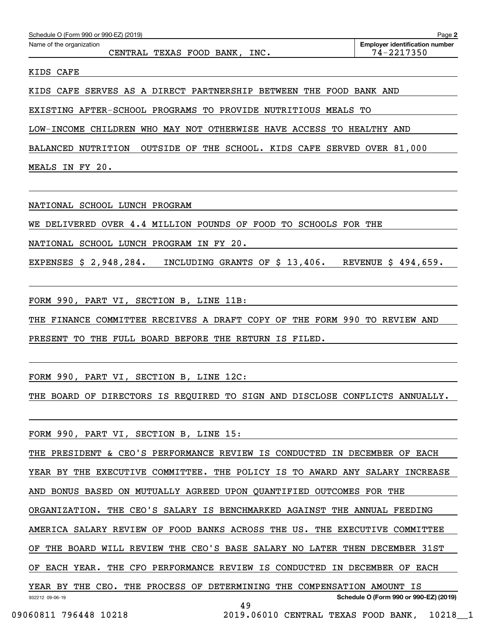| Name of the organization<br>CENTRAL TEXAS FOOD BANK, INC.                   | <b>Employer identification number</b><br>74-2217350 |
|-----------------------------------------------------------------------------|-----------------------------------------------------|
| KIDS CAFE                                                                   |                                                     |
| KIDS CAFE SERVES AS A DIRECT PARTNERSHIP BETWEEN THE FOOD BANK AND          |                                                     |
| EXISTING AFTER-SCHOOL PROGRAMS TO PROVIDE NUTRITIOUS MEALS TO               |                                                     |
| LOW-INCOME CHILDREN WHO MAY NOT OTHERWISE HAVE ACCESS TO HEALTHY AND        |                                                     |
| <b>BALANCED NUTRITION</b>                                                   | OUTSIDE OF THE SCHOOL. KIDS CAFE SERVED OVER 81,000 |
| MEALS IN FY 20.                                                             |                                                     |
| NATIONAL SCHOOL LUNCH PROGRAM                                               |                                                     |
| WE DELIVERED OVER 4.4 MILLION POUNDS OF FOOD TO SCHOOLS FOR THE             |                                                     |
| NATIONAL SCHOOL LUNCH PROGRAM IN FY 20.                                     |                                                     |
| EXPENSES \$ 2,948,284.<br>INCLUDING GRANTS OF \$13,406.                     | REVENUE \$ 494,659.                                 |
| FORM 990, PART VI, SECTION B, LINE 11B:                                     |                                                     |
| THE FINANCE COMMITTEE RECEIVES A DRAFT COPY OF THE FORM 990 TO REVIEW AND   |                                                     |
| PRESENT TO THE FULL BOARD BEFORE THE RETURN IS FILED.                       |                                                     |
| FORM 990, PART VI, SECTION B, LINE 12C:                                     |                                                     |
| THE BOARD OF DIRECTORS IS REQUIRED TO SIGN AND DISCLOSE CONFLICTS ANNUALLY. |                                                     |
| FORM 990, PART VI, SECTION B, LINE 15:                                      |                                                     |
| THE PRESIDENT & CEO'S PERFORMANCE REVIEW IS CONDUCTED IN DECEMBER OF EACH   |                                                     |
| YEAR BY THE EXECUTIVE COMMITTEE. THE POLICY IS TO AWARD ANY SALARY INCREASE |                                                     |
| AND BONUS BASED ON MUTUALLY AGREED UPON QUANTIFIED OUTCOMES FOR THE         |                                                     |
| ORGANIZATION. THE CEO'S SALARY IS BENCHMARKED AGAINST THE ANNUAL FEEDING    |                                                     |
| AMERICA SALARY REVIEW OF FOOD BANKS ACROSS THE US. THE EXECUTIVE COMMITTEE  |                                                     |
| OF THE BOARD WILL REVIEW THE CEO'S BASE SALARY NO LATER THEN DECEMBER 31ST  |                                                     |
| OF EACH YEAR. THE CFO PERFORMANCE REVIEW IS CONDUCTED IN DECEMBER OF EACH   |                                                     |
| YEAR BY THE CEO. THE PROCESS OF DETERMINING THE COMPENSATION AMOUNT IS      |                                                     |
| 932212 09-06-19                                                             | Schedule O (Form 990 or 990-EZ) (2019)              |

Schedule O (Form 990 or 990-EZ) (2019)

**2**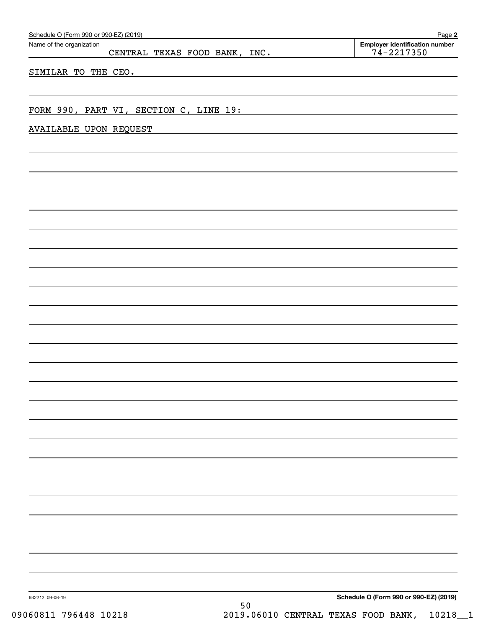| Schedule O (Form 990 or 990-EZ) (2019)<br>Name of the organization | Page 2<br><b>Employer identification number</b> |
|--------------------------------------------------------------------|-------------------------------------------------|
| CENTRAL TEXAS FOOD BANK, INC.                                      | $74 - 2217350$                                  |
| SIMILAR TO THE CEO.                                                |                                                 |
|                                                                    |                                                 |
|                                                                    |                                                 |
| FORM 990, PART VI, SECTION C, LINE 19:                             |                                                 |
| <b>AVAILABLE UPON REQUEST</b>                                      |                                                 |
|                                                                    |                                                 |
|                                                                    |                                                 |
|                                                                    |                                                 |
|                                                                    |                                                 |
|                                                                    |                                                 |
|                                                                    |                                                 |
|                                                                    |                                                 |
|                                                                    |                                                 |
|                                                                    |                                                 |
|                                                                    |                                                 |
|                                                                    |                                                 |
|                                                                    |                                                 |
|                                                                    |                                                 |
|                                                                    |                                                 |
|                                                                    |                                                 |
|                                                                    |                                                 |
|                                                                    |                                                 |
|                                                                    |                                                 |
|                                                                    |                                                 |
|                                                                    |                                                 |
|                                                                    |                                                 |
|                                                                    |                                                 |
|                                                                    |                                                 |
|                                                                    |                                                 |
|                                                                    |                                                 |
|                                                                    |                                                 |
|                                                                    |                                                 |
|                                                                    |                                                 |
|                                                                    |                                                 |
|                                                                    |                                                 |
|                                                                    |                                                 |
|                                                                    |                                                 |
| 932212 09-06-19                                                    | Schedule O (Form 990 or 990-EZ) (2019)          |
| 50                                                                 |                                                 |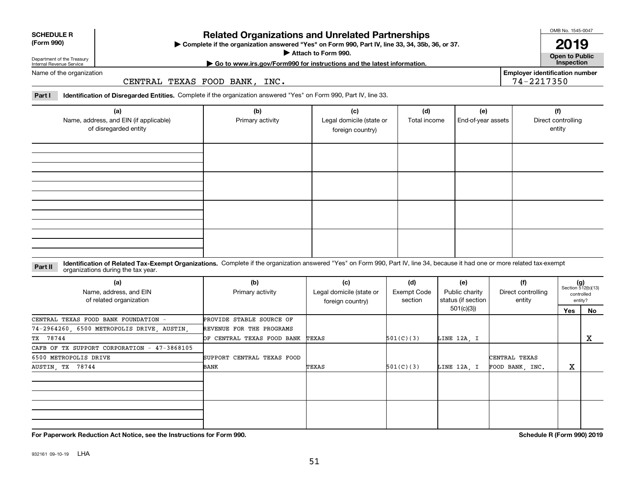932161 09-10-19 LHA

## **Related Organizations and Unrelated Partnerships**

**Complete if the organization answered "Yes" on Form 990, Part IV, line 33, 34, 35b, 36, or 37.** |

**Attach to Form 990.**  |

**Open to Public Employer identification number**

74-2217350

Name of the organization

Department of the Treasury Internal Revenue Service

**SCHEDULE R (Form 990)**

CENTRAL TEXAS FOOD BANK, INC.

**Part I Identification of Disregarded Entities.**  Complete if the organization answered "Yes" on Form 990, Part IV, line 33.

| (a)<br>Name, address, and EIN (if applicable)<br>of disregarded entity | (b)<br>Primary activity | (c)<br>Legal domicile (state or<br>foreign country) | (d)<br>Total income | (e)<br>End-of-year assets | (f)<br>Direct controlling<br>entity |
|------------------------------------------------------------------------|-------------------------|-----------------------------------------------------|---------------------|---------------------------|-------------------------------------|
|                                                                        |                         |                                                     |                     |                           |                                     |
|                                                                        |                         |                                                     |                     |                           |                                     |
|                                                                        |                         |                                                     |                     |                           |                                     |
|                                                                        |                         |                                                     |                     |                           |                                     |

#### **Identification of Related Tax-Exempt Organizations.** Complete if the organization answered "Yes" on Form 990, Part IV, line 34, because it had one or more related tax-exempt **Part II** organizations during the tax year.

| (a)<br>Name, address, and EIN<br>of related organization | (b)<br>Primary activity          | (c)<br>Legal domicile (state or<br>foreign country) | (d)<br>Exempt Code<br>section | (e)<br>Public charity<br>status (if section | (f)<br>Direct controlling<br>entity |     | $(g)$<br>Section 512(b)(13)<br>controlled<br>entity? |
|----------------------------------------------------------|----------------------------------|-----------------------------------------------------|-------------------------------|---------------------------------------------|-------------------------------------|-----|------------------------------------------------------|
|                                                          |                                  |                                                     |                               | 501(c)(3))                                  |                                     | Yes | No                                                   |
| CENTRAL TEXAS FOOD BANK FOUNDATION -                     | PROVIDE STABLE SOURCE OF         |                                                     |                               |                                             |                                     |     |                                                      |
| 74-2964260, 6500 METROPOLIS DRIVE, AUSTIN,               | REVENUE FOR THE PROGRAMS         |                                                     |                               |                                             |                                     |     |                                                      |
| TX 78744                                                 | OF CENTRAL TEXAS FOOD BANK TEXAS |                                                     | 501(C)(3)                     | LINE 12A, I                                 |                                     |     | X                                                    |
| CAFB OF TX SUPPORT CORPORATION - 47-3868105              |                                  |                                                     |                               |                                             |                                     |     |                                                      |
| 6500 METROPOLIS DRIVE                                    | SUPPORT CENTRAL TEXAS FOOD       |                                                     |                               |                                             | CENTRAL TEXAS                       |     |                                                      |
| AUSTIN, TX 78744                                         | BANK                             | TEXAS                                               | 501(C)(3)                     | LINE 12A. I                                 | FOOD BANK, INC.                     | х   |                                                      |
|                                                          |                                  |                                                     |                               |                                             |                                     |     |                                                      |
|                                                          |                                  |                                                     |                               |                                             |                                     |     |                                                      |
|                                                          |                                  |                                                     |                               |                                             |                                     |     |                                                      |
|                                                          |                                  |                                                     |                               |                                             |                                     |     |                                                      |
|                                                          |                                  |                                                     |                               |                                             |                                     |     |                                                      |
|                                                          |                                  |                                                     |                               |                                             |                                     |     |                                                      |

**For Paperwork Reduction Act Notice, see the Instructions for Form 990. Schedule R (Form 990) 2019**

**| Go to www.irs.gov/Form990 for instructions and the latest information. Inspection**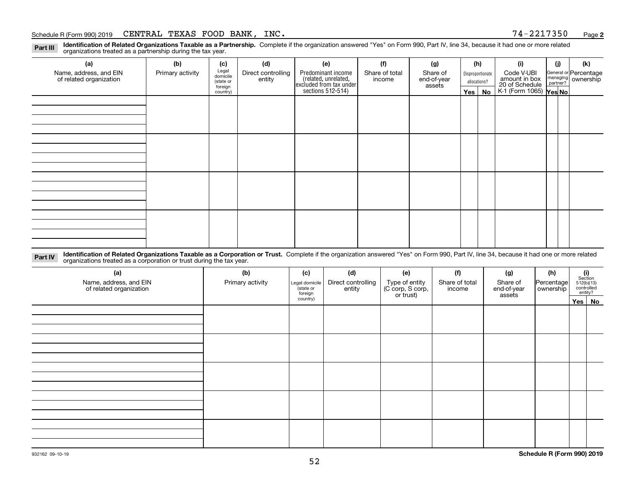#### Schedule R (Form 990) 2019  ${\tt CENTRAL}$   ${\tt TEXAS}$   ${\tt FOOD}$   ${\tt BANK}$  ,  ${\tt INC}$  . The set of the set of the set of the set of the set of the set of the set of the set of the set of the set of the set of the set of the set of the s

**2**

**Identification of Related Organizations Taxable as a Partnership.** Complete if the organization answered "Yes" on Form 990, Part IV, line 34, because it had one or more related **Part III** organizations treated as a partnership during the tax year.

| (a)                                               | (b)              | (c)                  | (d)                          | (e)                                                                                        | (f)                      | (g)                     |              | (h)              | (i)                                                              | (i) | (k)                                                     |
|---------------------------------------------------|------------------|----------------------|------------------------------|--------------------------------------------------------------------------------------------|--------------------------|-------------------------|--------------|------------------|------------------------------------------------------------------|-----|---------------------------------------------------------|
| Name, address, and EIN<br>of related organization | Primary activity | Legal<br>domicile    | Direct controlling<br>entity | Predominant income<br>(related, unrelated,<br>excluded from tax under<br>sections 512-514) | Share of total<br>income | Share of<br>end-of-year |              | Disproportionate | Code V-UBI                                                       |     | General or Percentage<br>managing ownership<br>partner? |
|                                                   |                  | (state or<br>foreign |                              |                                                                                            |                          | assets                  | allocations? |                  |                                                                  |     |                                                         |
|                                                   |                  | country)             |                              |                                                                                            |                          |                         | Yes $ $      | No               | amount in box<br>20 of Schedule<br>K-1 (Form 1065) <b>Yes No</b> |     |                                                         |
|                                                   |                  |                      |                              |                                                                                            |                          |                         |              |                  |                                                                  |     |                                                         |
|                                                   |                  |                      |                              |                                                                                            |                          |                         |              |                  |                                                                  |     |                                                         |
|                                                   |                  |                      |                              |                                                                                            |                          |                         |              |                  |                                                                  |     |                                                         |
|                                                   |                  |                      |                              |                                                                                            |                          |                         |              |                  |                                                                  |     |                                                         |
|                                                   |                  |                      |                              |                                                                                            |                          |                         |              |                  |                                                                  |     |                                                         |
|                                                   |                  |                      |                              |                                                                                            |                          |                         |              |                  |                                                                  |     |                                                         |
|                                                   |                  |                      |                              |                                                                                            |                          |                         |              |                  |                                                                  |     |                                                         |
|                                                   |                  |                      |                              |                                                                                            |                          |                         |              |                  |                                                                  |     |                                                         |
|                                                   |                  |                      |                              |                                                                                            |                          |                         |              |                  |                                                                  |     |                                                         |
|                                                   |                  |                      |                              |                                                                                            |                          |                         |              |                  |                                                                  |     |                                                         |
|                                                   |                  |                      |                              |                                                                                            |                          |                         |              |                  |                                                                  |     |                                                         |
|                                                   |                  |                      |                              |                                                                                            |                          |                         |              |                  |                                                                  |     |                                                         |
|                                                   |                  |                      |                              |                                                                                            |                          |                         |              |                  |                                                                  |     |                                                         |
|                                                   |                  |                      |                              |                                                                                            |                          |                         |              |                  |                                                                  |     |                                                         |
|                                                   |                  |                      |                              |                                                                                            |                          |                         |              |                  |                                                                  |     |                                                         |
|                                                   |                  |                      |                              |                                                                                            |                          |                         |              |                  |                                                                  |     |                                                         |
|                                                   |                  |                      |                              |                                                                                            |                          |                         |              |                  |                                                                  |     |                                                         |

**Identification of Related Organizations Taxable as a Corporation or Trust.** Complete if the organization answered "Yes" on Form 990, Part IV, line 34, because it had one or more related **Part IV** organizations treated as a corporation or trust during the tax year.

| (a)<br>Name, address, and EIN<br>of related organization | (b)<br>Primary activity | (c)<br>Legal domicile<br>(state or<br>foreign | (d)<br>Direct controlling<br>entity | (e)<br>Type of entity<br>(C corp, S corp,<br>or trust) | (f)<br>Share of total<br>income | (g)<br>Share of<br>end-of-year<br>assets | (h)<br>Percentage<br>ownership | (i)<br>Section<br>512(b)(13)<br>controlled | entity? |
|----------------------------------------------------------|-------------------------|-----------------------------------------------|-------------------------------------|--------------------------------------------------------|---------------------------------|------------------------------------------|--------------------------------|--------------------------------------------|---------|
|                                                          |                         | country)                                      |                                     |                                                        |                                 |                                          |                                | Yes No                                     |         |
|                                                          |                         |                                               |                                     |                                                        |                                 |                                          |                                |                                            |         |
|                                                          |                         |                                               |                                     |                                                        |                                 |                                          |                                |                                            |         |
|                                                          |                         |                                               |                                     |                                                        |                                 |                                          |                                |                                            |         |
|                                                          |                         |                                               |                                     |                                                        |                                 |                                          |                                |                                            |         |
|                                                          |                         |                                               |                                     |                                                        |                                 |                                          |                                |                                            |         |
|                                                          |                         |                                               |                                     |                                                        |                                 |                                          |                                |                                            |         |
|                                                          |                         |                                               |                                     |                                                        |                                 |                                          |                                |                                            |         |
|                                                          |                         |                                               |                                     |                                                        |                                 |                                          |                                |                                            |         |
|                                                          |                         |                                               |                                     |                                                        |                                 |                                          |                                |                                            |         |
|                                                          |                         |                                               |                                     |                                                        |                                 |                                          |                                |                                            |         |
|                                                          |                         |                                               |                                     |                                                        |                                 |                                          |                                |                                            |         |
|                                                          |                         |                                               |                                     |                                                        |                                 |                                          |                                |                                            |         |
|                                                          |                         |                                               |                                     |                                                        |                                 |                                          |                                |                                            |         |
|                                                          |                         |                                               |                                     |                                                        |                                 |                                          |                                |                                            |         |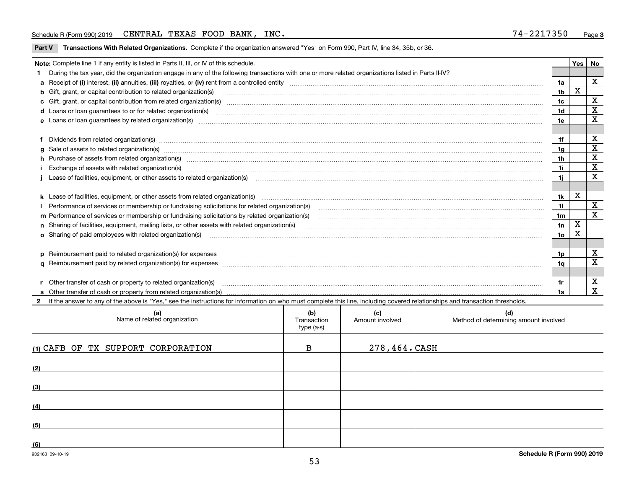#### Schedule R (Form 990) 2019  ${\tt CENTRAL}$   ${\tt TEXAS}$   ${\tt FOOD}$   ${\tt BANK}$  ,  ${\tt INC}$  . The set of the set of the set of the set of the set of the set of the set of the set of the set of the set of the set of the set of the set of the s

|  |  | Part V Transactions With Related Organizations. Complete if the organization answered "Yes" on Form 990, Part IV, line 34, 35b, or 36. |  |  |  |
|--|--|----------------------------------------------------------------------------------------------------------------------------------------|--|--|--|
|--|--|----------------------------------------------------------------------------------------------------------------------------------------|--|--|--|

| Note: Complete line 1 if any entity is listed in Parts II, III, or IV of this schedule. |                                                                                                                                                                                                                                |                 |   |                         |  |
|-----------------------------------------------------------------------------------------|--------------------------------------------------------------------------------------------------------------------------------------------------------------------------------------------------------------------------------|-----------------|---|-------------------------|--|
|                                                                                         | 1 During the tax year, did the organization engage in any of the following transactions with one or more related organizations listed in Parts II-IV?                                                                          |                 |   |                         |  |
|                                                                                         |                                                                                                                                                                                                                                | 1a              |   | X                       |  |
|                                                                                         | b Gift, grant, or capital contribution to related organization(s) mature and contained and contribution to related organization(s)                                                                                             | 1b              | x |                         |  |
|                                                                                         | c Gift, grant, or capital contribution from related organization(s) manufaction(s) manufaction contribution from related organization(s) manufaction contribution from related organization(s) manufaction continuum contribut | 1c              |   | X                       |  |
|                                                                                         |                                                                                                                                                                                                                                | 1 <sub>d</sub>  |   | X                       |  |
|                                                                                         |                                                                                                                                                                                                                                | 1e              |   | X                       |  |
|                                                                                         |                                                                                                                                                                                                                                |                 |   |                         |  |
|                                                                                         | f Dividends from related organization(s) manufactured contains and contained and contained contained and contained and contained and contained and contained and contained and contained and contained and contained and conta | 1f              |   | X                       |  |
|                                                                                         |                                                                                                                                                                                                                                | 1a              |   | X                       |  |
|                                                                                         | h Purchase of assets from related organization(s) manufactured content to content the content of the content of the content of the content of the content of the content of the content of the content of the content of the c | 1h              |   | X                       |  |
|                                                                                         | Exchange of assets with related organization(s) www.assettion.com/www.assettion.com/www.assettion.com/www.assettion.com/www.assettion.com/www.assettion.com/www.assettion.com/www.assettion.com/www.assettion.com/www.assettio | 1i              |   | $\overline{\mathbf{X}}$ |  |
|                                                                                         | Lease of facilities, equipment, or other assets to related organization(s) использованно положенно положенно по                                                                                                                | 1i.             |   | X                       |  |
|                                                                                         |                                                                                                                                                                                                                                |                 |   |                         |  |
|                                                                                         | k Lease of facilities, equipment, or other assets from related organization(s) manufaction content and content to the content of facilities, equipment, or other assets from related organization(s) manufaction content and c | 1k              | х |                         |  |
|                                                                                         | Performance of services or membership or fundraising solicitations for related organization(s)                                                                                                                                 | 11              |   | X                       |  |
|                                                                                         | m Performance of services or membership or fundraising solicitations by related organization(s)                                                                                                                                | 1 <sub>m</sub>  |   | X                       |  |
|                                                                                         |                                                                                                                                                                                                                                | 1n              | X |                         |  |
|                                                                                         | <b>o</b> Sharing of paid employees with related organization(s)                                                                                                                                                                | 10 <sub>o</sub> | x |                         |  |
|                                                                                         |                                                                                                                                                                                                                                |                 |   |                         |  |
|                                                                                         | p Reimbursement paid to related organization(s) for expenses [11111] [12] manufacture manufacture manufacture manufacture manufacture manufacture manufacture manufacture manufacture manufacture manufacture manufacture manu | 1p              |   | х                       |  |
|                                                                                         |                                                                                                                                                                                                                                | 1a              |   | X                       |  |
|                                                                                         |                                                                                                                                                                                                                                |                 |   |                         |  |
|                                                                                         | r Other transfer of cash or property to related organization(s)                                                                                                                                                                |                 |   | х                       |  |
|                                                                                         |                                                                                                                                                                                                                                |                 |   | X                       |  |

**2**If the answer to any of the above is "Yes," see the instructions for information on who must complete this line, including covered relationships and transaction thresholds.

| (a)<br>Name of related organization | (b)<br>Transaction<br>type (a-s) | (c)<br>Amount involved | (d)<br>Method of determining amount involved |
|-------------------------------------|----------------------------------|------------------------|----------------------------------------------|
| (1) CAFB OF TX SUPPORT CORPORATION  | В                                | 278,464. CASH          |                                              |
| (2)                                 |                                  |                        |                                              |
| (3)                                 |                                  |                        |                                              |
| (4)                                 |                                  |                        |                                              |
| (5)                                 |                                  |                        |                                              |
| (6)                                 |                                  |                        |                                              |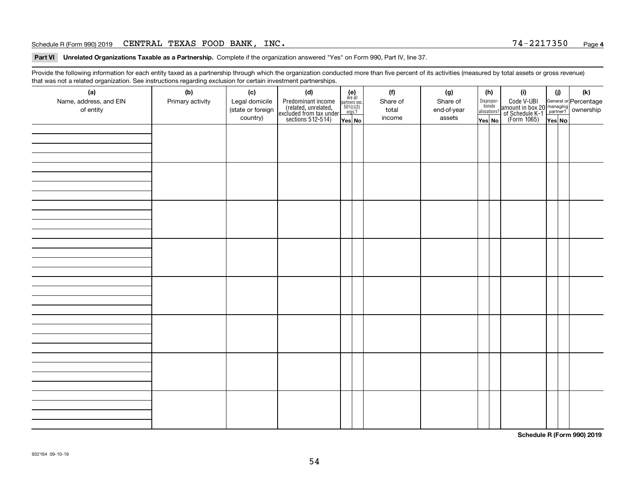#### Schedule R (Form 990) 2019  ${\tt CENTRAL}$   ${\tt TEXAS}$   ${\tt FOOD}$   ${\tt BANK}$  ,  ${\tt INC}$  . The set of the set of the set of the set of the set of the set of the set of the set of the set of the set of the set of the set of the set of the s

**Part VI Unrelated Organizations Taxable as a Partnership. Complete if the organization answered "Yes" on Form 990, Part IV, line 37.** 

Provide the following information for each entity taxed as a partnership through which the organization conducted more than five percent of its activities (measured by total assets or gross revenue) that was not a related organization. See instructions regarding exclusion for certain investment partnerships.

| (a)<br>Name, address, and EIN<br>of entity | ັ<br>(b)<br>Primary activity | (c)<br>Legal domicile<br>(state or foreign<br>country) | (d)<br>Predominant income<br>(related, unrelated,<br>excluded from tax under<br>sections 512-514) | $(e)$<br>Are all<br>partners sec.<br>501(c)(3)<br>orgs.?<br>Yes No | (f)<br>Share of<br>total<br>income | (g)<br>Share of<br>end-of-year<br>assets | (h)<br>Dispropor-<br>tionate<br>allocations?<br>Yes No | (i)<br>Code V-UBI<br>  amount in box 20 managing<br>  of Schedule K-1 partner? ownership<br>  of Schedule K-1 partner? ownership<br>  Yes No | (i)<br>Yes No | $(\mathsf{k})$ |
|--------------------------------------------|------------------------------|--------------------------------------------------------|---------------------------------------------------------------------------------------------------|--------------------------------------------------------------------|------------------------------------|------------------------------------------|--------------------------------------------------------|----------------------------------------------------------------------------------------------------------------------------------------------|---------------|----------------|
|                                            |                              |                                                        |                                                                                                   |                                                                    |                                    |                                          |                                                        |                                                                                                                                              |               |                |
|                                            |                              |                                                        |                                                                                                   |                                                                    |                                    |                                          |                                                        |                                                                                                                                              |               |                |
|                                            |                              |                                                        |                                                                                                   |                                                                    |                                    |                                          |                                                        |                                                                                                                                              |               |                |
|                                            |                              |                                                        |                                                                                                   |                                                                    |                                    |                                          |                                                        |                                                                                                                                              |               |                |
|                                            |                              |                                                        |                                                                                                   |                                                                    |                                    |                                          |                                                        |                                                                                                                                              |               |                |
|                                            |                              |                                                        |                                                                                                   |                                                                    |                                    |                                          |                                                        |                                                                                                                                              |               |                |
|                                            |                              |                                                        |                                                                                                   |                                                                    |                                    |                                          |                                                        |                                                                                                                                              |               |                |
|                                            |                              |                                                        |                                                                                                   |                                                                    |                                    |                                          |                                                        |                                                                                                                                              |               |                |

**Schedule R (Form 990) 2019**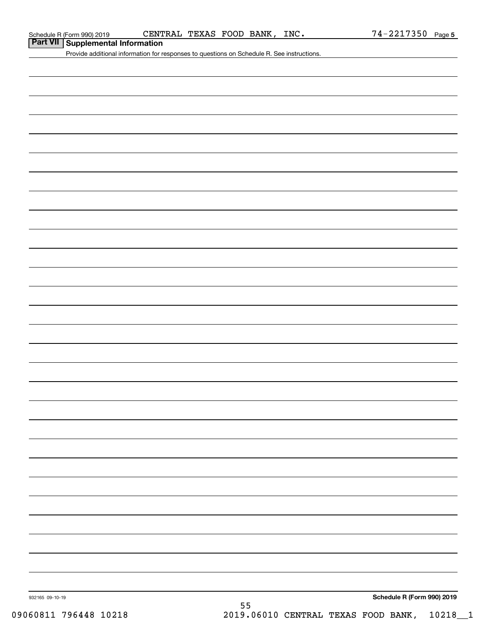| Part VII Supplemental Information |  |
|-----------------------------------|--|
|-----------------------------------|--|

Provide additional information for responses to questions on Schedule R. See instructions.

932165 09-10-19